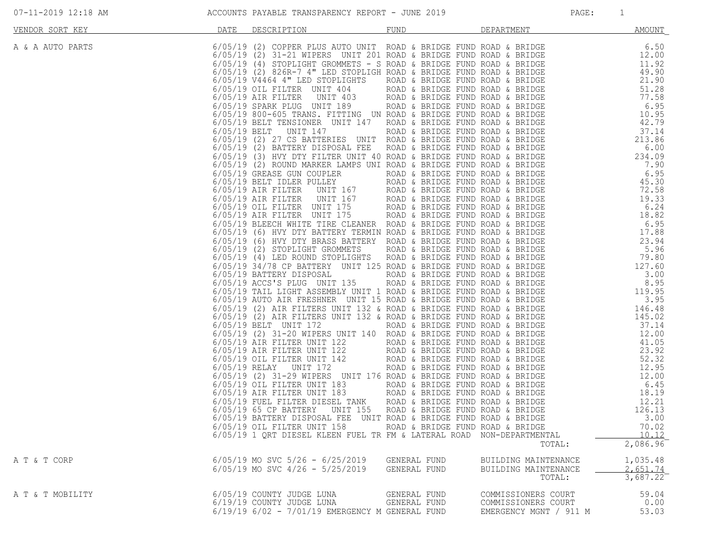| 07-11-2019 12:18 AM |  |  |
|---------------------|--|--|
|---------------------|--|--|

| VENDOR SORT KEY  | DATE                                             | DESCRIPTION                                                                                                                                                                                                                                                                                                                                                                                                                                                                                                                                                                                                                                                                                                                                                                                                                                                                                                                                                                                                                                                                                                                                                                                                                                                                                                                                                                                                                                                                                                                                                                                                                                                                                                                                                                                                                                                                                                                                                                                                                                                                                                                                                                                                                               | <b>FUND</b>                                                                                                                                                                                                                                                                                                                                                                                                                                                                                                                                                                                                                                                                                                                                                                                                                                                                                                                                                                         | DEPARTMENT                                                           | <b>AMOUNT</b>                                                                                                                                                                                                                                                                                                              |
|------------------|--------------------------------------------------|-------------------------------------------------------------------------------------------------------------------------------------------------------------------------------------------------------------------------------------------------------------------------------------------------------------------------------------------------------------------------------------------------------------------------------------------------------------------------------------------------------------------------------------------------------------------------------------------------------------------------------------------------------------------------------------------------------------------------------------------------------------------------------------------------------------------------------------------------------------------------------------------------------------------------------------------------------------------------------------------------------------------------------------------------------------------------------------------------------------------------------------------------------------------------------------------------------------------------------------------------------------------------------------------------------------------------------------------------------------------------------------------------------------------------------------------------------------------------------------------------------------------------------------------------------------------------------------------------------------------------------------------------------------------------------------------------------------------------------------------------------------------------------------------------------------------------------------------------------------------------------------------------------------------------------------------------------------------------------------------------------------------------------------------------------------------------------------------------------------------------------------------------------------------------------------------------------------------------------------------|-------------------------------------------------------------------------------------------------------------------------------------------------------------------------------------------------------------------------------------------------------------------------------------------------------------------------------------------------------------------------------------------------------------------------------------------------------------------------------------------------------------------------------------------------------------------------------------------------------------------------------------------------------------------------------------------------------------------------------------------------------------------------------------------------------------------------------------------------------------------------------------------------------------------------------------------------------------------------------------|----------------------------------------------------------------------|----------------------------------------------------------------------------------------------------------------------------------------------------------------------------------------------------------------------------------------------------------------------------------------------------------------------------|
| A & A AUTO PARTS | $6/05/19$ (2)<br>6/05/19 BELT<br>$6/05/19$ RELAY | 6/05/19 (2) COPPER PLUS AUTO UNIT ROAD & BRIDGE FUND ROAD & BRIDGE<br>31-21 WIPERS UNIT 201 ROAD & BRIDGE FUND ROAD & BRIDGE<br>$6/05/19$ (4) STOPLIGHT GROMMETS - S ROAD & BRIDGE FUND ROAD & BRIDGE<br>$6/05/19$ (2) 826R-7 4" LED STOPLIGH ROAD & BRIDGE FUND ROAD & BRIDGE<br>6/05/19 V4464 4" LED STOPLIGHTS<br>6/05/19 OIL FILTER UNIT 404<br>$6/05/19$ AIR FILTER<br>UNIT 403<br>6/05/19 SPARK PLUG UNIT 189<br>6/05/19 800-605 TRANS. FITTING UN ROAD & BRIDGE FUND ROAD & BRIDGE<br>6/05/19 BELT TENSIONER UNIT 147<br>UNIT 147<br>6/05/19 (2) 27 CS BATTERIES UNIT ROAD & BRIDGE FUND ROAD & BRIDGE<br>6/05/19 (2) BATTERY DISPOSAL FEE<br>$6/05/19$ (3) HVY DTY FILTER UNIT 40 ROAD & BRIDGE FUND ROAD & BRIDGE<br>6/05/19 (2) ROUND MARKER LAMPS UNI ROAD & BRIDGE FUND ROAD & BRIDGE<br>6/05/19 GREASE GUN COUPLER<br>6/05/19 BELT IDLER PULLEY<br><b>UNIT 167</b><br>$6/05/19$ AIR FILTER<br><b>UNIT 167</b><br>$6/05/19$ AIR FILTER<br>6/05/19 OIL FILTER UNIT 175<br>6/05/19 AIR FILTER UNIT 175<br>6/05/19 BLEECH WHITE TIRE CLEANER ROAD & BRIDGE FUND ROAD & BRIDGE<br>6/05/19 (6) HVY DTY BATTERY TERMIN ROAD & BRIDGE FUND ROAD & BRIDGE<br>6/05/19 (6) HVY DTY BRASS BATTERY ROAD & BRIDGE FUND ROAD & BRIDGE<br>6/05/19 (2) STOPLIGHT GROMMETS<br>6/05/19 (4) LED ROUND STOPLIGHTS<br>6/05/19 34/78 CP BATTERY UNIT 125 ROAD & BRIDGE FUND ROAD & BRIDGE<br>6/05/19 BATTERY DISPOSAL<br>6/05/19 ACCS'S PLUG UNIT 135<br>6/05/19 TAIL LIGHT ASSEMBLY UNIT 1 ROAD & BRIDGE FUND ROAD & BRIDGE<br>6/05/19 AUTO AIR FRESHNER UNIT 15 ROAD & BRIDGE FUND ROAD & BRIDGE<br>6/05/19 (2) AIR FILTERS UNIT 132 & ROAD & BRIDGE FUND ROAD & BRIDGE<br>6/05/19 (2) AIR FILTERS UNIT 132 & ROAD & BRIDGE FUND ROAD & BRIDGE<br>6/05/19 BELT UNIT 172<br>6/05/19 (2) 31-20 WIPERS UNIT 140 ROAD & BRIDGE FUND ROAD & BRIDGE<br>6/05/19 AIR FILTER UNIT 122<br>6/05/19 AIR FILTER UNIT 122<br>$6/05/19$ OIL FILTER UNIT 142<br>UNIT 172<br>6/05/19 (2) 31-29 WIPERS UNIT 176 ROAD & BRIDGE FUND ROAD & BRIDGE<br>6/05/19 OIL FILTER UNIT 183<br>6/05/19 AIR FILTER UNIT 183<br>6/05/19 FUEL FILTER DIESEL TANK<br>6/05/19 65 CP BATTERY<br><b>UNIT 155</b><br>6/05/19 BATTERY DISPOSAL FEE UNIT ROAD & BRIDGE FUND ROAD & BRIDGE | ROAD & BRIDGE FUND ROAD & BRIDGE<br>ROAD & BRIDGE FUND ROAD & BRIDGE<br>ROAD & BRIDGE FUND ROAD & BRIDGE<br>ROAD & BRIDGE FUND ROAD & BRIDGE<br>ROAD & BRIDGE FUND ROAD & BRIDGE<br>ROAD & BRIDGE FUND ROAD & BRIDGE<br>ROAD & BRIDGE FUND ROAD & BRIDGE<br>ROAD & BRIDGE FUND ROAD & BRIDGE<br>ROAD & BRIDGE FUND ROAD & BRIDGE<br>167            ROAD & BRIDGE FUND ROAD & BRIDGE<br>ROAD & BRIDGE FUND ROAD & BRIDGE<br>ROAD & BRIDGE FUND ROAD & BRIDGE<br>ROAD & BRIDGE FUND ROAD & BRIDGE<br>ROAD & BRIDGE FUND ROAD & BRIDGE<br>ROAD & BRIDGE FUND ROAD & BRIDGE<br>ROAD & BRIDGE FUND ROAD & BRIDGE<br>ROAD & BRIDGE FUND ROAD & BRIDGE<br>ROAD & BRIDGE FUND ROAD & BRIDGE<br>ROAD & BRIDGE FUND ROAD & BRIDGE<br>ROAD & BRIDGE FUND ROAD & BRIDGE<br>ROAD & BRIDGE FUND ROAD & BRIDGE<br>ROAD & BRIDGE FUND ROAD & BRIDGE<br>ROAD & BRIDGE FUND ROAD & BRIDGE<br>ROAD & BRIDGE FUND ROAD & BRIDGE<br>ROAD & BRIDGE FUND ROAD & BRIDGE<br>ROAD & BRIDGE FUND ROAD & BRIDGE |                                                                      | AMOUNT<br>6.50<br>12.00<br>11.92<br>49.90<br>21.90<br>21.90<br>51.28<br>77.28<br>6.95<br>10.95<br>42.79<br>37.14<br>36.00<br>234.99<br>6.00<br>234.99<br>6.95<br>45.38<br>45.38<br>45.38<br>45.38<br>45.38<br>45.38<br>45.38<br>45.38<br>45.38<br>45.38<br>46.95<br>45.38<br>46.95<br>45.38<br><br>12.21<br>126.13<br>3.00 |
|                  |                                                  | 6/05/19 OIL FILTER UNIT 158<br>6/05/19 1 QRT DIESEL KLEEN FUEL TR FM & LATERAL ROAD NON-DEPARTMENTAL                                                                                                                                                                                                                                                                                                                                                                                                                                                                                                                                                                                                                                                                                                                                                                                                                                                                                                                                                                                                                                                                                                                                                                                                                                                                                                                                                                                                                                                                                                                                                                                                                                                                                                                                                                                                                                                                                                                                                                                                                                                                                                                                      | ROAD & BRIDGE FUND ROAD & BRIDGE                                                                                                                                                                                                                                                                                                                                                                                                                                                                                                                                                                                                                                                                                                                                                                                                                                                                                                                                                    | TOTAL:                                                               | 70.02<br>10.12<br>2,086.96                                                                                                                                                                                                                                                                                                 |
| A T & T CORP     |                                                  | $6/05/19$ MO SVC $5/26 - 6/25/2019$<br>$6/05/19$ MO SVC $4/26 - 5/25/2019$                                                                                                                                                                                                                                                                                                                                                                                                                                                                                                                                                                                                                                                                                                                                                                                                                                                                                                                                                                                                                                                                                                                                                                                                                                                                                                                                                                                                                                                                                                                                                                                                                                                                                                                                                                                                                                                                                                                                                                                                                                                                                                                                                                | GENERAL FUND<br>GENERAL FUND                                                                                                                                                                                                                                                                                                                                                                                                                                                                                                                                                                                                                                                                                                                                                                                                                                                                                                                                                        | BUILDING MAINTENANCE<br>BUILDING MAINTENANCE<br>TOTAL:               | 1,035.48<br>2,651.74<br>3,687.22                                                                                                                                                                                                                                                                                           |
| A T & T MOBILITY |                                                  | 6/05/19 COUNTY JUDGE LUNA<br>6/19/19 COUNTY JUDGE LUNA<br>6/19/19 6/02 - 7/01/19 EMERGENCY M GENERAL FUND                                                                                                                                                                                                                                                                                                                                                                                                                                                                                                                                                                                                                                                                                                                                                                                                                                                                                                                                                                                                                                                                                                                                                                                                                                                                                                                                                                                                                                                                                                                                                                                                                                                                                                                                                                                                                                                                                                                                                                                                                                                                                                                                 | GENERAL FUND<br>GENERAL FUND                                                                                                                                                                                                                                                                                                                                                                                                                                                                                                                                                                                                                                                                                                                                                                                                                                                                                                                                                        | COMMISSIONERS COURT<br>COMMISSIONERS COURT<br>EMERGENCY MGNT / 911 M | 59.04<br>0.00<br>53.03                                                                                                                                                                                                                                                                                                     |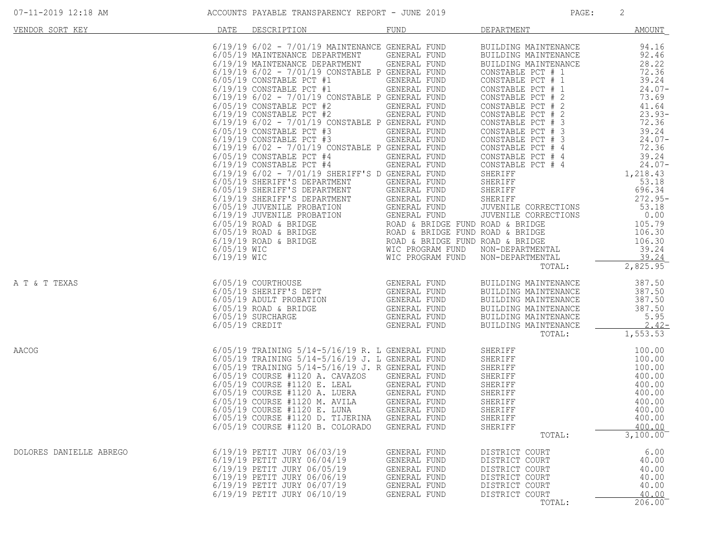| VENDOR SORT KEY         | DATE | DESCRIPTION                                                                                                                                                                                                                                                                                                                                                                                                                                                                                                                                                                                                                                                              | FUND                                                                                                                         | <b>DEPARTMENT</b>                                                                                                                                                                                                                                                                                                                                                                                                                      | AMOUNT                                                                                                                                                                                                                                                                                            |
|-------------------------|------|--------------------------------------------------------------------------------------------------------------------------------------------------------------------------------------------------------------------------------------------------------------------------------------------------------------------------------------------------------------------------------------------------------------------------------------------------------------------------------------------------------------------------------------------------------------------------------------------------------------------------------------------------------------------------|------------------------------------------------------------------------------------------------------------------------------|----------------------------------------------------------------------------------------------------------------------------------------------------------------------------------------------------------------------------------------------------------------------------------------------------------------------------------------------------------------------------------------------------------------------------------------|---------------------------------------------------------------------------------------------------------------------------------------------------------------------------------------------------------------------------------------------------------------------------------------------------|
|                         |      | $6/19/19$ $6/02$ - $7/01/19$ MAINTENANCE GENERAL FUND<br>$6/05/19$ MAINTENANCE DEPARTMENT GENERAL FUND<br>6/19/19 MAINTENANCE DEPARTMENT GENERAL FUND<br>6/19/19 6/02 - 7/01/19 CONSTABLE P GENERAL FUND<br>$6/05/19$ CONSTABLE PCT #1<br>$6/19/19$ CONSTABLE PCT #1<br>6/19/19 6/02 - 7/01/19 CONSTABLE P GENERAL FUND<br>$6/05/19$ CONSTABLE PCT #2<br>$6/19/19$ CONSTABLE PCT #2<br>6/19/19 6/02 - 7/01/19 CONSTABLE P GENERAL FUND<br>$6/05/19$ CONSTABLE PCT #3<br>6/19/19 CONSTABLE PCT #3<br>6/19/19 6/02 - 7/01/19 CONSTABLE P GENERAL FUND<br>$6/05/19$ CONSTABLE PCT #4<br>$6/19/19$ CONSTABLE PCT #4<br>$6/19/19$ $6/02$ - $7/01/19$ SHERIFF'S D GENERAL FUND | GENERAL FUND<br>GENERAL FUND<br>GENERAL FUND<br>GENERAL FUND<br>GENERAL FUND<br>GENERAL FUND<br>GENERAL FUND<br>GENERAL FUND | BUILDING MAINTENANCE<br>BUILDING MAINTENANCE<br>BUILDING MAINTENANCE<br>CONSTABLE PCT # 1<br>CONSTABLE PCT # 1<br>CONSTABLE PCT # 1<br>CONSTABLE PCT # 2<br>CONSTABLE PCT # 2<br>CONSTABLE PCT # 2<br>CONSTABLE PCT # 3<br>CONSTABLE PCT # 3<br>CONSTABLE PCT # 3<br>CONSTABLE PCT # 4<br>CONSTABLE PCT # 4<br>CONSTABLE PCT # 4<br>SHERIFF<br>SHERIFF<br>SHERIFF<br>SHERIFF<br>JUVENILE CORRECTIONS<br>JUVENILE CORRECTIONS<br>TOTAL: | 94.16<br>92.46<br>28.22<br>72.36<br>39.24<br>$24.07-$<br>73.69<br>41.64<br>$23.93-$<br>72.36<br>39.24<br>$24.07-$<br>72.36<br>39.24<br>$24.07-$<br>1,218.43<br>53.18<br>696.34<br>$272.95-$<br>53.18<br>0.00<br>CTIONS<br>105.79<br>106.30<br>106.30<br>39.24<br>39.24<br>$2,825.95$ <sup>-</sup> |
| A T & T TEXAS           |      | 6/05/19 COURTHOUSE GENERAL FUND<br>6/05/19 SHERIFF'S DEPT GENERAL FUND<br>6/05/19 ADULT PROBATION GENERAL FUND<br>6/05/19 ROAD & BRIDGE GENERAL FUND<br>6/05/19 SURCHARGE GENERAL FUND<br>6/05/19 CREDIT GENERAL FUND                                                                                                                                                                                                                                                                                                                                                                                                                                                    |                                                                                                                              | BUILDING MAINTENANCE<br>BUILDING MAINTENANCE<br>BUILDING MAINTENANCE<br>BUILDING MAINTENANCE<br>BUILDING MAINTENANCE<br>BUILDING MAINTENANCE<br>TOTAL:                                                                                                                                                                                                                                                                                 | 387.50<br>387.50<br>387.50<br>387.50<br>5.95<br>$2.42-$<br>1,553.53                                                                                                                                                                                                                               |
| AACOG                   |      | $6/05/19$ TRAINING $5/14-5/16/19$ R. L GENERAL FUND<br>6/05/19 TRAINING 5/14-5/16/19 J. L GENERAL FUND<br>6/05/19 TRAINING 5/14-5/16/19 J. R GENERAL FUND<br>6/05/19 COURSE #1120 A. CAVAZOS GENERAL FUND<br>6/05/19 COURSE #1120 E. LEAL GENERAL FUND<br>6/05/19 COURSE #1120 A. LUERA GENERAL FUND<br>6/05/19 COURSE #1120 M. AVILA GENERAL FUND<br>6/05/19 COURSE #1120 E. LUNA GENERAL FUND<br>6/05/19 COURSE #1120 D. TIJERINA GENERAL FUND<br>6/05/19 COURSE #1120 B. COLORADO                                                                                                                                                                                     | GENERAL FUND                                                                                                                 | SHERIFF<br>SHERIFF<br>SHERIFF<br>SHERIFF<br>SHERIFF<br>SHERIFF<br>SHERIFF<br>SHERIFF<br>SHERIFF<br>SHERIFF<br>SHERIFF<br>SHERIFF<br>TOTAL:                                                                                                                                                                                                                                                                                             | 100.00<br>100.00<br>100.00<br>400.00<br>400.00<br>400.00<br>400.00<br>400.00<br>400.00<br>400.00<br>$3,100.00$ <sup>-</sup>                                                                                                                                                                       |
| DOLORES DANIELLE ABREGO |      | 6/19/19 PETIT JURY 06/03/19<br>6/19/19 PETIT JURY 06/04/19<br>6/19/19 PETIT JURY 06/05/19<br>6/19/19 PETIT JURY 06/06/19<br>6/19/19 PETIT JURY 06/07/19<br>6/19/19 PETIT JURY 06/10/19                                                                                                                                                                                                                                                                                                                                                                                                                                                                                   | GENERAL FUND<br>GENERAL FUND<br>GENERAL FUND<br>GENERAL FUND<br>GENERAL FUND<br><b>GENERAL FUND</b>                          | DISTRICT COURT<br>DISTRICT COURT<br>DISTRICT COURT<br>DISTRICT COURT<br>DISTRICT COURT<br>DISTRICT COURT<br>TOTAL:                                                                                                                                                                                                                                                                                                                     | 6.00<br>40.00<br>40.00<br>40.00<br>40.00<br>40.00<br>206.00                                                                                                                                                                                                                                       |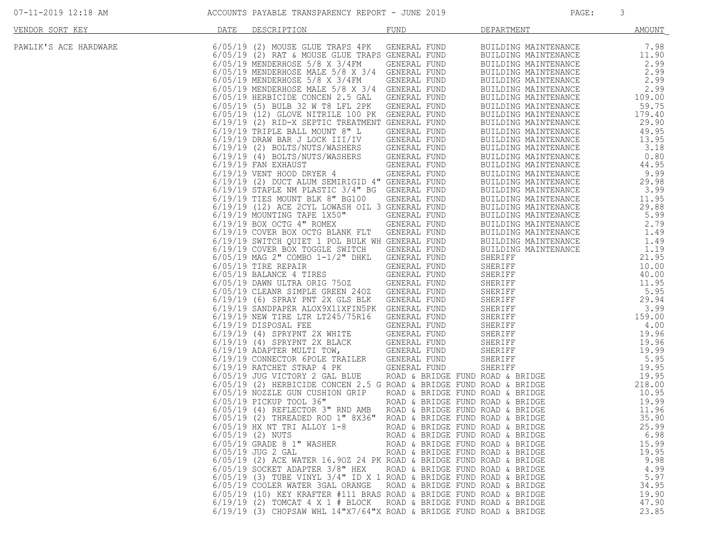| VENDOR SORT KEY       | DATE | DESCRIPTION                                                                                                                                | <b>FUND</b>                                                          | DEPARTMENT                                                                                                                                                                                                                                   | <b>AMOUNT</b>   |
|-----------------------|------|--------------------------------------------------------------------------------------------------------------------------------------------|----------------------------------------------------------------------|----------------------------------------------------------------------------------------------------------------------------------------------------------------------------------------------------------------------------------------------|-----------------|
| PAWLIK'S ACE HARDWARE |      | 6/05/19 (2) MOUSE GLUE TRAPS 4PK<br>6/05/19 (2) RAT & MOUSE GLUE TRAPS GENERAL FUND                                                        | GENERAL FUND                                                         | BUILDING MAINTENANCE<br>BUILDING MAINTENANCE                                                                                                                                                                                                 | 7.98<br>11.90   |
|                       |      | 6/05/19 MENDERHOSE 5/8 X 3/4FM<br>6/05/19 MENDERHOSE MALE 5/8 X 3/4 GENERAL FUND                                                           | GENERAL FUND                                                         | BUILDING MAINTENANCE<br>BUILDING MAINTENANCE                                                                                                                                                                                                 | 2.99<br>2.99    |
|                       |      | 6/05/19 MENDERHOSE 5/8 X 3/4FM                                                                                                             | GENERAL FUND                                                         | BUILDING MAINTENANCE                                                                                                                                                                                                                         | 2.99            |
|                       |      | 6/05/19 MENDERHOSE MALE 5/8 X 3/4 GENERAL FUND                                                                                             |                                                                      | BUILDING MAINTENANCE                                                                                                                                                                                                                         | 2.99            |
|                       |      | 6/05/19 HERBICIDE CONCEN 2.5 GAL<br>6/05/19 (5) BULB 32 W T8 LFL 2PK                                                                       | GENERAL FUND<br>GENERAL FUND                                         | BUILDING MAINTENANCE<br>BUILDING MAINTENANCE                                                                                                                                                                                                 | 109.00<br>59.75 |
|                       |      | 6/05/19 (12) GLOVE NITRILE 100 PK GENERAL FUND                                                                                             |                                                                      | BUILDING MAINTENANCE                                                                                                                                                                                                                         | 179.40          |
|                       |      | 6/19/19 (2) RID-X SEPTIC TREATMENT GENERAL FUND                                                                                            |                                                                      | BUILDING MAINTENANCE                                                                                                                                                                                                                         | 29.90           |
|                       |      | $6/19/19$ TRIPLE BALL MOUNT 8" L<br>6/19/19 DRAW BAR J LOCK III/IV                                                                         | GENERAL FUND<br>GENERAL FUND                                         | BUILDING MAINTENANCE<br>BUILDING MAINTENANCE                                                                                                                                                                                                 | 49.95<br>13.95  |
|                       |      |                                                                                                                                            |                                                                      | BUILDING MAINTENANCE                                                                                                                                                                                                                         | 3.18            |
|                       |      | 6/19/19 (2) BOLTS/NUTS/WASHERS GENERAL FUND<br>6/19/19 (4) BOLTS/NUTS/WASHERS GENERAL FUND                                                 |                                                                      | BUILDING MAINTENANCE                                                                                                                                                                                                                         | 0.80            |
|                       |      | $6/19/19$ FAN EXHAUST                                                                                                                      | GENERAL FUND<br>R 4 GENERAL FUND                                     | BUILDING MAINTENANCE                                                                                                                                                                                                                         | 44.95           |
|                       |      | 6/19/19 VENT HOOD DRYER 4<br>6/19/19 (2) DUCT ALUM SEMIRIGID 4" GENERAL FUND                                                               |                                                                      | BUILDING MAINTENANCE<br>BUILDING MAINTENANCE                                                                                                                                                                                                 | 9.99<br>29.98   |
|                       |      | 6/19/19 STAPLE NM PLASTIC 3/4" BG GENERAL FUND                                                                                             |                                                                      | BUILDING MAINTENANCE                                                                                                                                                                                                                         | 3.99            |
|                       |      | $6/19/19$ TIES MOUNT BLK 8" BG100                                                                                                          | GENERAL FUND                                                         | BUILDING MAINTENANCE                                                                                                                                                                                                                         | 11.95           |
|                       |      | 6/19/19 (12) ACE 2CYL LOWASH OIL 3 GENERAL FUND<br>6/19/19 MOUNTING TAPE 1X50"                                                             | GENERAL FUND                                                         | BUILDING MAINTENANCE<br>BUILDING MAINTENANCE                                                                                                                                                                                                 | 29.88<br>5.99   |
|                       |      | $6/19/19$ BOX OCTG $4"$ ROMEX                                                                                                              | <b>GENERAL FUND</b>                                                  | BUILDING MAINTENANCE                                                                                                                                                                                                                         | 2.79            |
|                       |      | 6/19/19 COVER BOX OCTG BLANK FLT GENERAL FUND                                                                                              |                                                                      | BUILDING MAINTENANCE                                                                                                                                                                                                                         | 1.49            |
|                       |      | 6/19/19 SWITCH QUIET 1 POL BULK WH GENERAL FUND                                                                                            |                                                                      |                                                                                                                                                                                                                                              |                 |
|                       |      | 6/19/19 COVER BOX TOGGLE SWITCH<br>6/05/19 MAG 2" COMBO 1-1/2" DHKL                                                                        | GENERAL FUND                                                         |                                                                                                                                                                                                                                              |                 |
|                       |      | $6/05/19$ TIRE REPAIR                                                                                                                      |                                                                      |                                                                                                                                                                                                                                              |                 |
|                       |      | $6/05/19$ BALANCE 4 TIRES                                                                                                                  |                                                                      |                                                                                                                                                                                                                                              |                 |
|                       |      | 6/05/19 DAWN ULTRA ORIG 750Z GENERAL FUND<br>6/05/19 CLEANR SIMPLE GREEN 240Z GENERAL FUND                                                 |                                                                      | ENERAL FUND BUILDING MAINTENANCE 1.49<br>SENERAL FUND BUILDING MAINTENANCE 1.19<br>SENERAL FUND SHERIFF 21.95<br>GENERAL FUND SHERIFF 10.00<br>GENERAL FUND SHERIFF 10.00<br>GENERAL FUND SHERIFF 11.95<br>GENERAL FUND SHERIFF 5.95<br>GENE |                 |
|                       |      | 6/19/19 (6) SPRAY PNT 2X GLS BLK                                                                                                           |                                                                      |                                                                                                                                                                                                                                              |                 |
|                       |      | 6/19/19 SANDPAPER ALOX9X11XFIN5PK GENERAL FUND                                                                                             |                                                                      |                                                                                                                                                                                                                                              |                 |
|                       |      | 6/19/19 NEW TIRE LTR LT245/75R16<br>6/19/19 DISPOSAL FEE                                                                                   |                                                                      |                                                                                                                                                                                                                                              |                 |
|                       |      | $6/19/19$ (4) SPRYPNT 2X WHITE                                                                                                             |                                                                      |                                                                                                                                                                                                                                              |                 |
|                       |      | $6/19/19$ (4) SPRYPNT 2X BLACK GENERAL FUND<br>$6/19/19$ ADAPTER MULTI TOW, GENERAL FUND                                                   |                                                                      |                                                                                                                                                                                                                                              |                 |
|                       |      |                                                                                                                                            |                                                                      |                                                                                                                                                                                                                                              |                 |
|                       |      | 6/19/19 CONNECTOR 6POLE TRAILER<br>$6/19/19$ RATCHET STRAP 4 PK                                                                            |                                                                      |                                                                                                                                                                                                                                              |                 |
|                       |      | 6/05/19 JUG VICTORY 2 GAL BLUE                                                                                                             |                                                                      |                                                                                                                                                                                                                                              |                 |
|                       |      | $6/05/19$ (2) HERBICIDE CONCEN 2.5 G ROAD & BRIDGE FUND ROAD & BRIDGE                                                                      |                                                                      |                                                                                                                                                                                                                                              |                 |
|                       |      | 6/05/19 NOZZLE GUN CUSHION GRIP<br>6/05/19 PICKUP TOOL 36"                                                                                 |                                                                      | ROAD & BRIDGE FUND ROAD & BRIDGE<br>ROAD & BRIDGE FUND ROAD & BRIDGE                                                                                                                                                                         | 10.95<br>19.99  |
|                       |      | $6/05/19$ (4) REFLECTOR 3" RND AMB ROAD & BRIDGE FUND ROAD & BRIDGE                                                                        |                                                                      |                                                                                                                                                                                                                                              | 11.96           |
|                       |      | $6/05/19$ (2) THREADED ROD 1" 8X36" ROAD & BRIDGE FUND ROAD & BRIDGE                                                                       |                                                                      |                                                                                                                                                                                                                                              | 35.90           |
|                       |      | $6/05/19$ HX NT TRI ALLOY $1-8$                                                                                                            | ROAD & BRIDGE FUND ROAD & BRIDGE                                     |                                                                                                                                                                                                                                              | 25.99           |
|                       |      | $6/05/19$ (2) NUTS<br>6/05/19 GRADE 8 1" WASHER                                                                                            | ROAD & BRIDGE FUND ROAD & BRIDGE<br>ROAD & BRIDGE FUND ROAD & BRIDGE |                                                                                                                                                                                                                                              | 6.98<br>15.99   |
|                       |      | $6/05/19$ JUG 2 GAL                                                                                                                        | ROAD & BRIDGE FUND ROAD & BRIDGE                                     |                                                                                                                                                                                                                                              | 19.95           |
|                       |      | 6/05/19 (2) ACE WATER 16.90Z 24 PK ROAD & BRIDGE FUND ROAD & BRIDGE                                                                        |                                                                      |                                                                                                                                                                                                                                              | 9.98            |
|                       |      | $6/05/19$ SOCKET ADAPTER $3/8$ " HEX<br>$6/05/19$ (3) TUBE VINYL 3/4" ID X 1 ROAD & BRIDGE FUND ROAD & BRIDGE                              | ROAD & BRIDGE FUND ROAD & BRIDGE                                     |                                                                                                                                                                                                                                              | 4.99<br>5.97    |
|                       |      | 6/05/19 COOLER WATER 3GAL ORANGE                                                                                                           | ROAD & BRIDGE FUND ROAD & BRIDGE                                     |                                                                                                                                                                                                                                              | 34.95           |
|                       |      | 6/05/19 (10) KEY KRAFTER #111 BRAS ROAD & BRIDGE FUND ROAD & BRIDGE                                                                        |                                                                      |                                                                                                                                                                                                                                              | 19.90           |
|                       |      | $6/19/19$ (2) TOMCAT 4 X 1 # BLOCK ROAD & BRIDGE FUND ROAD & BRIDGE<br>6/19/19 (3) CHOPSAW WHL 14"X7/64"X ROAD & BRIDGE FUND ROAD & BRIDGE |                                                                      |                                                                                                                                                                                                                                              | 47.90<br>23.85  |
|                       |      |                                                                                                                                            |                                                                      |                                                                                                                                                                                                                                              |                 |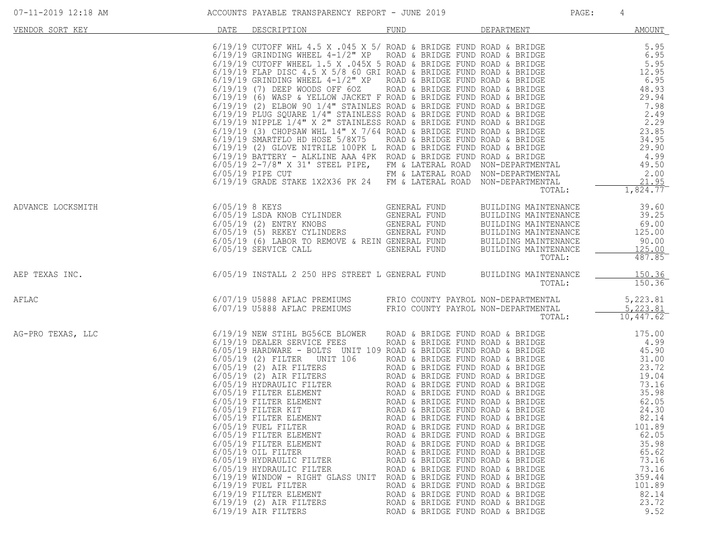| 07-11-2019 12:18 AM |                | ACCOUNTS PAYABLE TRANSPARENCY REPORT - JUNE 2019                                                                                                                                                                                                                                                                                                                                                                                                                                                                                                                                                                                                                      |                                                                                                                                                                                                                                                                                                                                                                                                                                                                                  |                                                                                                                                                        | PAGE: | 4                                                                                                                                                                                                    |
|---------------------|----------------|-----------------------------------------------------------------------------------------------------------------------------------------------------------------------------------------------------------------------------------------------------------------------------------------------------------------------------------------------------------------------------------------------------------------------------------------------------------------------------------------------------------------------------------------------------------------------------------------------------------------------------------------------------------------------|----------------------------------------------------------------------------------------------------------------------------------------------------------------------------------------------------------------------------------------------------------------------------------------------------------------------------------------------------------------------------------------------------------------------------------------------------------------------------------|--------------------------------------------------------------------------------------------------------------------------------------------------------|-------|------------------------------------------------------------------------------------------------------------------------------------------------------------------------------------------------------|
| VENDOR SORT KEY     | DATE           | DESCRIPTION                                                                                                                                                                                                                                                                                                                                                                                                                                                                                                                                                                                                                                                           | FUND                                                                                                                                                                                                                                                                                                                                                                                                                                                                             | DEPARTMENT                                                                                                                                             |       | <b>AMOUNT</b>                                                                                                                                                                                        |
|                     |                | 6/19/19 CUTOFF WHL 4.5 X .045 X 5/ ROAD & BRIDGE FUND ROAD & BRIDGE<br>6/19/19 GRINDING WHEEL 4-1/2" XP ROAD & BRIDGE FUND ROAD & BRIDGE<br>6/19/19 CUTOFF WHEEL 1.5 X .045X 5 ROAD & BRIDGE FUND ROAD & BRIDGE<br>6/19/19 FLAP DISC 4<br>6/05/19 2-7/8" X 31' STEEL PIPE, FM & LATERAL ROAD NON-DEPARTMENTAL<br>6/05/19 PIPE CUT<br>6/19/19 GRADE STAKE 1X2X36 PK 24 FM & LATERAL ROAD                                                                                                                                                                                                                                                                               | FM & LATERAL ROAD NON-DEPARTMENTAL                                                                                                                                                                                                                                                                                                                                                                                                                                               | NON-DEPARTMENTAL<br>TOTAL:                                                                                                                             |       | 5.95<br>6.95<br>5.95<br>12.95<br>6.95<br>48.93<br>29.94<br>7.98<br>2.49<br>2.29<br>23.85<br>34.95<br>29.90<br>4.99<br>49.50<br>2.00<br>21.95<br>1,824.77                                             |
| ADVANCE LOCKSMITH   | 6/05/19 8 KEYS | 6/05/19 LSDA KNOB CYLINDER GENERAL FUND<br>$6/05/19$ (2) ENTRY KNOBS<br>6/05/19 (2) ENTRY KNOBS<br>6/05/19 (5) REKEY CYLINDERS GENERAL FUND<br>6/05/19 (6) LABOR TO REMOVE & REIN GENERAL FUND<br>6/05/19 SERVICE CALL GENERAL FUND                                                                                                                                                                                                                                                                                                                                                                                                                                   | GENERAL FUND<br>GENERAL FUND                                                                                                                                                                                                                                                                                                                                                                                                                                                     | BUILDING MAINTENANCE<br>BUILDING MAINTENANCE<br>BUILDING MAINTENANCE<br>BUILDING MAINTENANCE<br>BUILDING MAINTENANCE<br>BUILDING MAINTENANCE<br>TOTAL: |       | 39.60<br>39.25<br>69.00<br>125.00<br>90.00<br>125.00<br>487.85                                                                                                                                       |
| AEP TEXAS INC.      |                | 6/05/19 INSTALL 2 250 HPS STREET L GENERAL FUND                                                                                                                                                                                                                                                                                                                                                                                                                                                                                                                                                                                                                       |                                                                                                                                                                                                                                                                                                                                                                                                                                                                                  | BUILDING MAINTENANCE<br>TOTAL:                                                                                                                         |       | 150.36<br>150.36                                                                                                                                                                                     |
| AFLAC               |                | 6/07/19 U5888 AFLAC PREMIUMS<br>6/07/19 U5888 AFLAC PREMIUMS                                                                                                                                                                                                                                                                                                                                                                                                                                                                                                                                                                                                          | FRIO COUNTY PAYROL NON-DEPARTMENTAL<br>FRIO COUNTY PAYROL NON-DEPARTMENTAL                                                                                                                                                                                                                                                                                                                                                                                                       | TOTAL:                                                                                                                                                 |       | 5,223.81<br>5, 223.81<br>$10,447.62$ <sup>-</sup>                                                                                                                                                    |
| AG-PRO TEXAS, LLC   |                | 6/19/19 NEW STIHL BG56CE BLOWER<br>0/19/19 NEALER SERVICE FEES<br>6/05/19 HARDWARE - BOLTS UNIT 109 ROAD & BRIDGE FUND ROAD & BRIDGE<br>6/05/19 (2) FILTER UNIT 106<br>6/05/19 (2) AIR FILTERS<br>6/05/19 (2) AIR FILTERS<br>6/05/19 (2) AIR FILTERS<br>6/05/19 HINER ELEMENT<br>6/05/19 FILTER KIT<br>6/05/19 FILTER ELEMENT<br>6/05/19 FUEL FILTER<br>6/05/19 FILTER ELEMENT<br>6/05/19 FILTER ELEMENT<br>$6/05/19$ OIL FILTER<br>6/05/19 HYDRAULIC FILTER<br>6/05/19 HYDRAULIC FILTER<br>6/19/19 WINDOW - RIGHT GLASS UNIT ROAD & BRIDGE FUND ROAD & BRIDGE<br>$6/19/19$ FUEL FILTER<br>6/19/19 FILTER ELEMENT<br>$6/19/19$ (2) AIR FILTERS<br>6/19/19 AIR FILTERS | ROAD & BRIDGE FUND ROAD & BRIDGE<br>ROAD & BRIDGE FUND ROAD & BRIDGE<br>ROAD & BRIDGE FUND ROAD & BRIDGE<br>ROAD & BRIDGE FUND ROAD & BRIDGE<br>ROAD & BRIDGE FUND ROAD & BRIDGE<br>ROAD & BRIDGE FUND ROAD & BRIDGE<br>ROAD & BRIDGE FUND ROAD & BRIDGE<br>ROAD & BRIDGE FUND ROAD & BRIDGE<br>ROAD & BRIDGE FUND ROAD & BRIDGE<br>ROAD & BRIDGE FUND ROAD & BRIDGE<br>ROAD & BRIDGE FUND ROAD & BRIDGE<br>ROAD & BRIDGE FUND ROAD & BRIDGE<br>ROAD & BRIDGE FUND ROAD & BRIDGE |                                                                                                                                                        |       | 175.00<br>4.99<br>45.90<br>31.00<br>23.72<br>19.04<br>73.16<br>35.98<br>62.05<br>24.30<br>82.14<br>101.89<br>62.05<br>35.98<br>65.62<br>73.16<br>73.16<br>359.44<br>101.89<br>82.14<br>23.72<br>9.52 |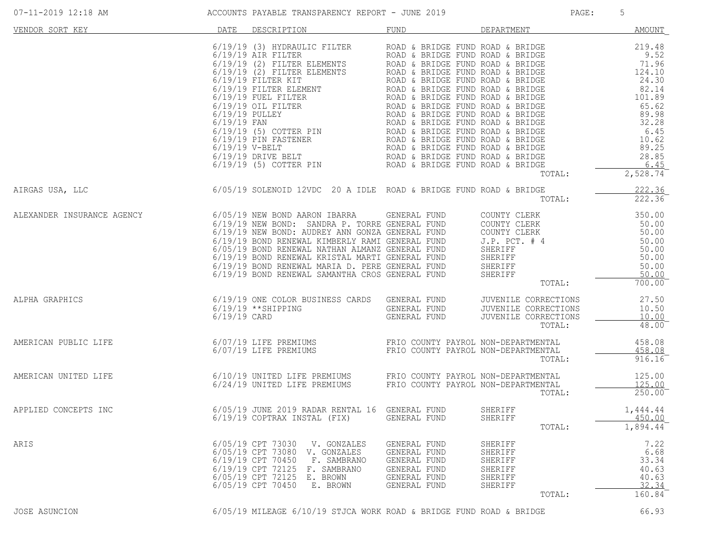| 07-11-2019 12:18 AM |  |  |  |
|---------------------|--|--|--|
|                     |  |  |  |

| VENDOR SORT KEY            | DATE                                                                                                                                                                           | DESCRIPTION                                                                      | FUND                                                                                         | DEPARTMENT                                                                                         | <b>AMOUNT</b>                                              |
|----------------------------|--------------------------------------------------------------------------------------------------------------------------------------------------------------------------------|----------------------------------------------------------------------------------|----------------------------------------------------------------------------------------------|----------------------------------------------------------------------------------------------------|------------------------------------------------------------|
|                            |                                                                                                                                                                                |                                                                                  |                                                                                              | TOTAL:                                                                                             | 2,528.74                                                   |
| AIRGAS USA, LLC            | $6/05/19$ SOLENOID 12VDC 20 A IDLE ROAD & BRIDGE FUND ROAD & BRIDGE TO                                                                                                         |                                                                                  |                                                                                              | TOTAL:                                                                                             | 222.36<br>222.36                                           |
| ALEXANDER INSURANCE AGENCY |                                                                                                                                                                                |                                                                                  |                                                                                              |                                                                                                    |                                                            |
| ALPHA GRAPHICS             |                                                                                                                                                                                |                                                                                  |                                                                                              | TOTAL:                                                                                             | 27.50<br>10.50<br>10.00<br>48.00                           |
| AMERICAN PUBLIC LIFE       | 6/07/19 LIFE PREMIUMS                             FRIO COUNTY PAYROL NON-DEPARTMENTAL<br>6/07/19 LIFE PREMIUMS                             FRIO COUNTY PAYROL NON-DEPARTMENTAL |                                                                                  |                                                                                              | TOTAL:                                                                                             | 458.08<br>458.08<br>916.16                                 |
| AMERICAN UNITED LIFE       | 6/10/19 UNITED LIFE PREMIUMS<br>6/24/19 UNITED LIFE PREMIUMS                                                                                                                   |                                                                                  |                                                                                              | FRIO COUNTY PAYROL NON-DEPARTMENTAL 125.00<br>FRIO COUNTY PAYROL NON-DEPARTMENTAL 125.00<br>TOTAL: | $250.00$ <sup>-</sup>                                      |
| APPLIED CONCEPTS INC       |                                                                                                                                                                                |                                                                                  |                                                                                              | SHERIFF<br>SHERIFF<br>TOTAL:                                                                       | 1,444.44<br>450.00<br>1,894.44                             |
| ARIS                       | 6/05/19 CPT 73030<br>6/05/19 CPT 73080<br>6/19/19 CPT 70450<br>6/19/19 CPT 72125<br>6/05/19 CPT 72125<br>6/05/19 CPT 70450                                                     | V. GONZALES<br>V. GONZALES<br>F. SAMBRANO<br>F. SAMBRANO<br>E. BROWN<br>E. BROWN | GENERAL FUND<br>GENERAL FUND<br>GENERAL FUND<br>GENERAL FUND<br>GENERAL FUND<br>GENERAL FUND | SHERIFF<br>SHERIFF<br>SHERIFF<br>SHERIFF<br>SHERIFF<br>SHERIFF<br>TOTAL:                           | 7.22<br>6.68<br>33.34<br>40.63<br>40.63<br>32.34<br>160.84 |
| JOSE ASUNCION              |                                                                                                                                                                                |                                                                                  | 6/05/19 MILEAGE 6/10/19 STJCA WORK ROAD & BRIDGE FUND ROAD & BRIDGE                          |                                                                                                    | 66.93                                                      |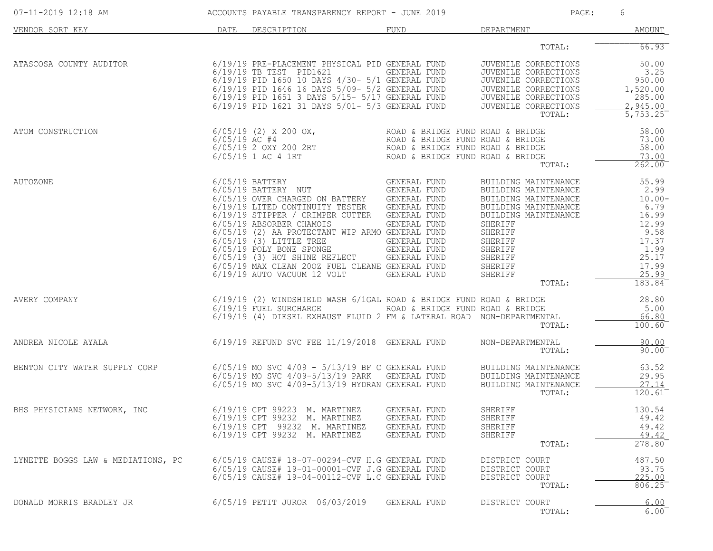| 07-11-2019 12:18 AM                |                 | ACCOUNTS PAYABLE TRANSPARENCY REPORT - JUNE 2019                                                                                                                                                                                                                                                                                                                                                                |                                                                                                                                                              | PAGE:                                                                                                                                                                                                       | 6                                                                                                                  |
|------------------------------------|-----------------|-----------------------------------------------------------------------------------------------------------------------------------------------------------------------------------------------------------------------------------------------------------------------------------------------------------------------------------------------------------------------------------------------------------------|--------------------------------------------------------------------------------------------------------------------------------------------------------------|-------------------------------------------------------------------------------------------------------------------------------------------------------------------------------------------------------------|--------------------------------------------------------------------------------------------------------------------|
| VENDOR SORT KEY                    | DATE            | DESCRIPTION                                                                                                                                                                                                                                                                                                                                                                                                     | FUND                                                                                                                                                         | DEPARTMENT                                                                                                                                                                                                  | AMOUNT                                                                                                             |
|                                    |                 |                                                                                                                                                                                                                                                                                                                                                                                                                 |                                                                                                                                                              | TOTAL:                                                                                                                                                                                                      | 66.93                                                                                                              |
| ATASCOSA COUNTY AUDITOR            |                 | 6/19/19 PRE-PLACEMENT PHYSICAL PID GENERAL FUND<br>6/19/19 TB TEST PID1621<br>6/19/19 PID 1650 10 DAYS 4/30- 5/1 GENERAL FUND<br>6/19/19 PID 1646 16 DAYS 5/09- 5/2 GENERAL FUND<br>6/19/19 PID 1651 3 DAYS 5/15- 5/17 GENERAL FUND<br>6/19/19 PID 1621 31 DAYS 5/01- 5/3 GENERAL FUND                                                                                                                          | GENERAL FUND                                                                                                                                                 | JUVENILE CORRECTIONS<br>JUVENILE CORRECTIONS<br>JUVENILE CORRECTIONS<br>JUVENILE CORRECTIONS<br>JUVENILE CORRECTIONS<br>JUVENILE CORRECTIONS<br>TOTAL:                                                      | 50.00<br>3.25<br>950.00<br>1,520.00<br>285.00<br>2,945.00<br>5,753.25                                              |
| ATOM CONSTRUCTION                  | $6/05/19$ AC #4 | $6/05/19$ (2) X 200 OX,<br>6/05/19 2 OXY 200 2RT<br>$6/05/19$ 1 AC 4 1RT                                                                                                                                                                                                                                                                                                                                        | ROAD & BRIDGE FUND ROAD & BRIDGE<br>ROAD & BRIDGE FUND ROAD & BRIDGE<br>ROAD & BRIDGE FOND ROAD & BRIDGE<br>ROAD & BRIDGE FUND ROAD & BRIDGE                 | TOTAL:                                                                                                                                                                                                      | 58.00<br>73.00<br>58.00<br>73.00<br>$262.00$ <sup>-</sup>                                                          |
| AUTOZONE                           |                 | $6/05/19$ BATTERY<br>6/05/19 BATTERY NUT<br>6/05/19 OVER CHARGED ON BATTERY<br>6/19/19 LITED CONTINUITY TESTER<br>6/19/19 STIPPER / CRIMPER CUTTER<br>6/05/19 ABSORBER CHAMOIS<br>6/05/19 (2) AA PROTECTANT WIP ARMO GENERAL FUND<br>$6/05/19$ (3) LITTLE TREE<br>6/05/19 POLY BONE SPONGE<br>$6/05/19$ (3) HOT SHINE REFLECT<br>6/05/19 MAX CLEAN 200Z FUEL CLEANE GENERAL FUND<br>6/19/19 AUTO VACUUM 12 VOLT | GENERAL FUND<br>GENERAL FUND<br>GENERAL FUND<br>GENERAL FUND<br>GENERAL FUND<br>GENERAL FUND<br>GENERAL FUND<br>GENERAL FUND<br>GENERAL FUND<br>GENERAL FUND | BUILDING MAINTENANCE<br>BUILDING MAINTENANCE<br>BUILDING MAINTENANCE<br>BUILDING MAINTENANCE<br>BUILDING MAINTENANCE<br>SHERIFF<br>SHERIFF<br>SHERIFF<br>SHERIFF<br>SHERIFF<br>SHERIFF<br>SHERIFF<br>TOTAL: | 55.99<br>2.99<br>$10.00 -$<br>6.79<br>16.99<br>12.99<br>9.58<br>17.37<br>1.99<br>25.17<br>17.99<br>25.99<br>183.84 |
| AVERY COMPANY                      |                 | 6/19/19 (2) WINDSHIELD WASH 6/1GAL ROAD & BRIDGE FUND ROAD & BRIDGE<br>6/19/19 FUEL SURCHARGE<br>6/19/19 (4) DIESEL EXHAUST FLUID 2 FM & LATERAL ROAD                                                                                                                                                                                                                                                           | ROAD & BRIDGE FUND ROAD & BRIDGE                                                                                                                             | NON-DEPARTMENTAL<br>TOTAL:                                                                                                                                                                                  | 28.80<br>5.00<br>66.80<br>$100.60$ <sup>-</sup>                                                                    |
| ANDREA NICOLE AYALA                |                 | $6/19/19$ REFUND SVC FEE $11/19/2018$ GENERAL FUND                                                                                                                                                                                                                                                                                                                                                              |                                                                                                                                                              | NON-DEPARTMENTAL<br>TOTAL:                                                                                                                                                                                  | 90.00<br>$90.00$ <sup>-</sup>                                                                                      |
| BENTON CITY WATER SUPPLY CORP      |                 | $6/05/19$ MO SVC $4/09 - 5/13/19$ BF C GENERAL FUND<br>6/05/19 MO SVC 4/09-5/13/19 PARK<br>6/05/19 MO SVC 4/09-5/13/19 HYDRAN GENERAL FUND                                                                                                                                                                                                                                                                      | GENERAL FUND                                                                                                                                                 | BUILDING MAINTENANCE<br>BUILDING MAINTENANCE<br>BUILDING MAINTENANCE<br>TOTAL:                                                                                                                              | 63.52<br>29.95<br>27.14<br>$120.61^{-}$                                                                            |
| BHS PHYSICIANS NETWORK, INC        |                 | 6/19/19 CPT 99223<br>M. MARTINEZ<br>6/19/19 CPT 99232 M. MARTINEZ<br>6/19/19 CPT 99232 M. MARTINEZ<br>6/19/19 CPT 99232 M. MARTINEZ                                                                                                                                                                                                                                                                             | GENERAL FUND<br>GENERAL FUND<br>GENERAL FUND<br>GENERAL FUND                                                                                                 | SHERIFF<br>SHERIFF<br>SHERIFF<br>SHERIFF<br>TOTAL:                                                                                                                                                          | 130.54<br>49.42<br>49.42<br>49.42<br>278.80                                                                        |
| LYNETTE BOGGS LAW & MEDIATIONS, PC |                 | 6/05/19 CAUSE# 18-07-00294-CVF H.G GENERAL FUND<br>6/05/19 CAUSE# 19-01-00001-CVF J.G GENERAL FUND<br>6/05/19 CAUSE# 19-04-00112-CVF L.C GENERAL FUND                                                                                                                                                                                                                                                           |                                                                                                                                                              | DISTRICT COURT<br>DISTRICT COURT<br>DISTRICT COURT<br>TOTAL:                                                                                                                                                | 487.50<br>93.75<br>225.00<br>806.25                                                                                |
| DONALD MORRIS BRADLEY JR           |                 | 6/05/19 PETIT JUROR 06/03/2019                                                                                                                                                                                                                                                                                                                                                                                  | GENERAL FUND                                                                                                                                                 | DISTRICT COURT<br>TOTAL:                                                                                                                                                                                    | 6.00<br>6.00                                                                                                       |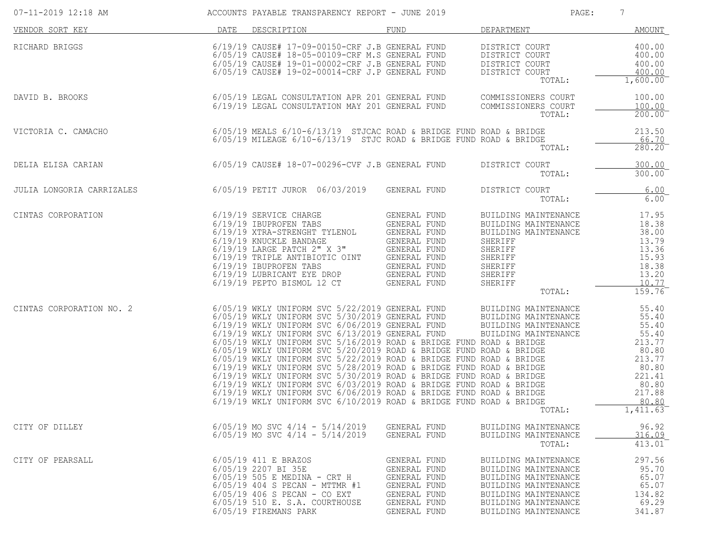| 07-11-2019 12:18 AM       |      | ACCOUNTS PAYABLE TRANSPARENCY REPORT - JUNE 2019                                                                                                                                                                                                                                                                                                                                                                                                                                                                                                                                                                                                                                                                                                                                                                    |                                                                                                              | PAGE:                                                                                                                                                                | 7                                                                                                                        |
|---------------------------|------|---------------------------------------------------------------------------------------------------------------------------------------------------------------------------------------------------------------------------------------------------------------------------------------------------------------------------------------------------------------------------------------------------------------------------------------------------------------------------------------------------------------------------------------------------------------------------------------------------------------------------------------------------------------------------------------------------------------------------------------------------------------------------------------------------------------------|--------------------------------------------------------------------------------------------------------------|----------------------------------------------------------------------------------------------------------------------------------------------------------------------|--------------------------------------------------------------------------------------------------------------------------|
| VENDOR SORT KEY           | DATE | DESCRIPTION                                                                                                                                                                                                                                                                                                                                                                                                                                                                                                                                                                                                                                                                                                                                                                                                         | FUND                                                                                                         | DEPARTMENT                                                                                                                                                           | AMOUNT                                                                                                                   |
| RICHARD BRIGGS            |      | 6/19/19 CAUSE# 17-09-00150-CRF J.B GENERAL FUND<br>6/05/19 CAUSE# 18-05-00109-CRF M.S GENERAL FUND<br>6/05/19 CAUSE# 19-01-00002-CRF J.B GENERAL FUND<br>6/05/19 CAUSE# 19-02-00014-CRF J.P GENERAL FUND                                                                                                                                                                                                                                                                                                                                                                                                                                                                                                                                                                                                            |                                                                                                              | DISTRICT COURT<br>DISTRICT COURT<br>DISTRICT COURT<br>DISTRICT COURT<br>TOTAL:                                                                                       | 400.00<br>400.00<br>400.00<br>400.00<br>$1,600.00^{-}$                                                                   |
| DAVID B. BROOKS           |      | 6/05/19 LEGAL CONSULTATION APR 201 GENERAL FUND<br>6/19/19 LEGAL CONSULTATION MAY 201 GENERAL FUND                                                                                                                                                                                                                                                                                                                                                                                                                                                                                                                                                                                                                                                                                                                  |                                                                                                              | COMMISSIONERS COURT<br>COMMISSIONERS COURT<br>TOTAL:                                                                                                                 | 100.00<br>100.00<br>$200.00^{-}$                                                                                         |
| VICTORIA C. CAMACHO       |      | $6/05/19$ MEALS $6/10-6/13/19$ STJCAC ROAD & BRIDGE FUND ROAD & BRIDGE<br>$6/05/19$ MILEAGE $6/10-6/13/19$ STJC ROAD & BRIDGE FUND ROAD & BRIDGE                                                                                                                                                                                                                                                                                                                                                                                                                                                                                                                                                                                                                                                                    |                                                                                                              | TOTAL:                                                                                                                                                               | 213.50<br>66.70<br>280.20                                                                                                |
| DELIA ELISA CARIAN        |      | 6/05/19 CAUSE# 18-07-00296-CVF J.B GENERAL FUND                                                                                                                                                                                                                                                                                                                                                                                                                                                                                                                                                                                                                                                                                                                                                                     |                                                                                                              | DISTRICT COURT<br>TOTAL:                                                                                                                                             | 300.00<br>300.00                                                                                                         |
| JULIA LONGORIA CARRIZALES |      | 6/05/19 PETIT JUROR 06/03/2019                                                                                                                                                                                                                                                                                                                                                                                                                                                                                                                                                                                                                                                                                                                                                                                      | GENERAL FUND                                                                                                 | DISTRICT COURT<br>TOTAL:                                                                                                                                             | 6.00<br>6.00                                                                                                             |
| CINTAS CORPORATION        |      | 6/19/19 SERVICE CHARGE<br>6/19/19 IBUPROFEN TABS<br>6/19/19 XTRA-STRENGHT TYLENOL<br>6/19/19 TRIPLE ANTIBIOTIC OINT GENERAL FUND<br>6/19/19 IBUPROFEN TABS<br>6/19/19 LUBRICANT EYE DROP<br>$6/19/19$ PEPTO BISMOL 12 CT                                                                                                                                                                                                                                                                                                                                                                                                                                                                                                                                                                                            | GENERAL FUND<br>GENERAL FUND<br>GENERAL FUND<br>GENERAL FUND                                                 | BUILDING MAINTENANCE<br>BUILDING MAINTENANCE<br>BUILDING MAINTENANCE<br>SHERIFF<br>SHERIFF<br>SHERIFF<br>SHERIFF<br>SHERIFF<br>SHERIFF<br>TOTAL:                     | 17.95<br>18.38<br>38.00<br>13.79<br>13.36<br>15.93<br>18.38<br>13.20<br>10.77<br>159.76                                  |
| CINTAS CORPORATION NO. 2  |      | 6/05/19 WKLY UNIFORM SVC 5/22/2019 GENERAL FUND<br>6/05/19 WKLY UNIFORM SVC 5/30/2019 GENERAL FUND<br>6/19/19 WKLY UNIFORM SVC 6/06/2019 GENERAL FUND<br>6/19/19 WKLY UNIFORM SVC 6/13/2019 GENERAL FUND<br>$6/05/19$ WKLY UNIFORM SVC $5/16/2019$ ROAD & BRIDGE FUND ROAD & BRIDGE<br>6/05/19 WKLY UNIFORM SVC 5/20/2019 ROAD & BRIDGE FUND ROAD & BRIDGE<br>$6/05/19$ WKLY UNIFORM SVC 5/22/2019 ROAD & BRIDGE FUND ROAD & BRIDGE $6/19/19$ WKLY UNIFORM SVC 5/28/2019 ROAD & BRIDGE FUND ROAD & BRIDGE<br>$6/19/19$ WKLY UNIFORM SVC 5/30/2019 ROAD & BRIDGE FUND ROAD & BRIDGE<br>$6/19/19$ WKLY UNIFORM SVC $6/03/2019$ ROAD & BRIDGE FUND ROAD & BRIDGE<br>$6/19/19$ WKLY UNIFORM SVC $6/06/2019$ ROAD & BRIDGE FUND ROAD & BRIDGE<br>$6/19/19$ WKLY UNIFORM SVC $6/10/2019$ ROAD & BRIDGE FUND ROAD & BRIDGE |                                                                                                              | BUILDING MAINTENANCE<br>BUILDING MAINTENANCE<br>BUILDING MAINTENANCE<br>BUILDING MAINTENANCE<br>TOTAL:                                                               | 55.40<br>55.40<br>55.40<br>55.40<br>213.77<br>80.80<br>213.77<br>80.80<br>221.41<br>80.80<br>217.88<br>80.80<br>1,411.63 |
| CITY OF DILLEY            |      | $6/05/19$ MO SVC $4/14$ - $5/14/2019$<br>$6/05/19$ MO SVC $4/14$ - $5/14/2019$                                                                                                                                                                                                                                                                                                                                                                                                                                                                                                                                                                                                                                                                                                                                      | GENERAL FUND<br>GENERAL FUND                                                                                 | BUILDING MAINTENANCE<br>BUILDING MAINTENANCE<br>TOTAL:                                                                                                               | 96.92<br>316.09<br>$413.01^{-}$                                                                                          |
| CITY OF PEARSALL          |      | 6/05/19 411 E BRAZOS<br>6/05/19 2207 BI 35E<br>$6/05/19$ 505 E MEDINA - CRT H<br>6/05/19 404 S PECAN - MTTMR #1<br>$6/05/19$ 406 S PECAN - CO EXT<br>6/05/19 510 E. S.A. COURTHOUSE<br>6/05/19 FIREMANS PARK                                                                                                                                                                                                                                                                                                                                                                                                                                                                                                                                                                                                        | GENERAL FUND<br>GENERAL FUND<br>GENERAL FUND<br>GENERAL FUND<br>GENERAL FUND<br>GENERAL FUND<br>GENERAL FUND | BUILDING MAINTENANCE<br>BUILDING MAINTENANCE<br>BUILDING MAINTENANCE<br>BUILDING MAINTENANCE<br>BUILDING MAINTENANCE<br>BUILDING MAINTENANCE<br>BUILDING MAINTENANCE | 297.56<br>95.70<br>65.07<br>65.07<br>134.82<br>69.29<br>341.87                                                           |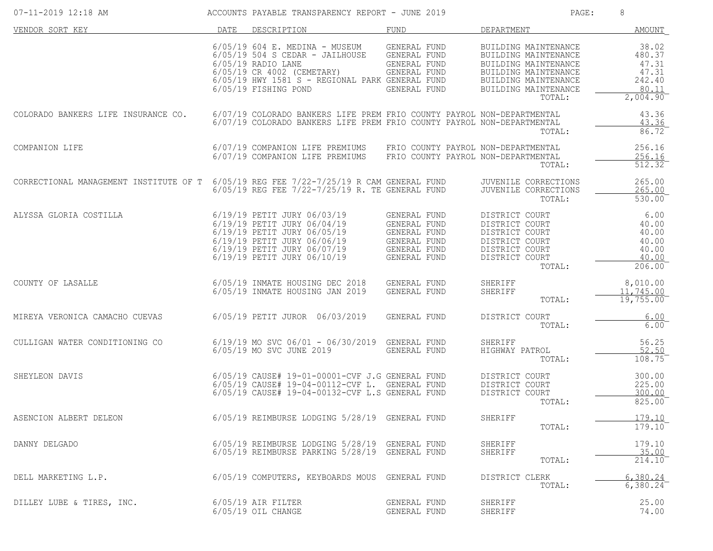| 07-11-2019 12:18 AM                                                                    |      | ACCOUNTS PAYABLE TRANSPARENCY REPORT - JUNE 2019                                                                                                                                                                    |                                                                                                     | PAGE:                                                                                                                                                  | 8                                                                               |
|----------------------------------------------------------------------------------------|------|---------------------------------------------------------------------------------------------------------------------------------------------------------------------------------------------------------------------|-----------------------------------------------------------------------------------------------------|--------------------------------------------------------------------------------------------------------------------------------------------------------|---------------------------------------------------------------------------------|
| VENDOR SORT KEY                                                                        | DATE | DESCRIPTION                                                                                                                                                                                                         | FUND                                                                                                | DEPARTMENT                                                                                                                                             | AMOUNT                                                                          |
|                                                                                        |      | $6/05/19$ $604$ E. MEDINA - MUSEUM<br>6/05/19 504 S CEDAR - JAILHOUSE GENERAL FUND<br>$6/05/19$ RADIO LANE<br>6/05/19 CR 4002 (CEMETARY)<br>6/05/19 HWY 1581 S - REGIONAL PARK GENERAL FUND<br>6/05/19 FISHING POND | GENERAL FUND<br>GENERAL FUND<br>GENERAL FUND<br>GENERAL FUND                                        | BUILDING MAINTENANCE<br>BUILDING MAINTENANCE<br>BUILDING MAINTENANCE<br>BUILDING MAINTENANCE<br>BUILDING MAINTENANCE<br>BUILDING MAINTENANCE<br>TOTAL: | 38.02<br>480.37<br>47.31<br>47.31<br>242.40<br>80.11<br>$2,004.90$ <sup>-</sup> |
| COLORADO BANKERS LIFE INSURANCE CO.                                                    |      | 6/07/19 COLORADO BANKERS LIFE PREM FRIO COUNTY PAYROL NON-DEPARTMENTAL<br>6/07/19 COLORADO BANKERS LIFE PREM FRIO COUNTY PAYROL NON-DEPARTMENTAL                                                                    |                                                                                                     | TOTAL:                                                                                                                                                 | 43.36<br>43.36<br>86.72                                                         |
| COMPANION LIFE                                                                         |      | 6/07/19 COMPANION LIFE PREMIUMS<br>6/07/19 COMPANION LIFE PREMIUMS                                                                                                                                                  | FRIO COUNTY PAYROL NON-DEPARTMENTAL<br>FRIO COUNTY PAYROL NON-DEPARTMENTAL                          | TOTAL:                                                                                                                                                 | 256.16<br>256.16<br>512.32                                                      |
| CORRECTIONAL MANAGEMENT INSTITUTE OF T 6/05/19 REG FEE 7/22-7/25/19 R CAM GENERAL FUND |      | $6/05/19$ REG FEE $7/22-7/25/19$ R. TE GENERAL FUND                                                                                                                                                                 |                                                                                                     | JUVENILE CORRECTIONS<br>JUVENILE CORRECTIONS<br>TOTAL:                                                                                                 | 265.00<br>265.00<br>530.00                                                      |
| ALYSSA GLORIA COSTILLA                                                                 |      | 6/19/19 PETIT JURY 06/03/19<br>6/19/19 PETIT JURY 06/04/19<br>6/19/19 PETIT JURY 06/05/19<br>6/19/19 PETIT JURY 06/06/19<br>6/19/19 PETIT JURY 06/07/19<br>6/19/19 PETIT JURY 06/10/19                              | GENERAL FUND<br>GENERAL FUND<br>GENERAL FUND<br><b>GENERAL FUND</b><br>GENERAL FUND<br>GENERAL FUND | DISTRICT COURT<br>DISTRICT COURT<br>DISTRICT COURT<br>DISTRICT COURT<br>DISTRICT COURT<br>DISTRICT COURT<br>TOTAL:                                     | 6.00<br>40.00<br>40.00<br>40.00<br>40.00<br>40.00<br>206.00                     |
| COUNTY OF LASALLE                                                                      |      | 6/05/19 INMATE HOUSING DEC 2018<br>6/05/19 INMATE HOUSING JAN 2019                                                                                                                                                  | GENERAL FUND<br>GENERAL FUND                                                                        | SHERIFF<br>SHERIFF<br>TOTAL:                                                                                                                           | 8,010.00<br>11,745.00<br>19,755.00                                              |
| MIREYA VERONICA CAMACHO CUEVAS                                                         |      | 6/05/19 PETIT JUROR 06/03/2019                                                                                                                                                                                      | GENERAL FUND                                                                                        | DISTRICT COURT<br>TOTAL:                                                                                                                               | 6.00<br>$6.00$ <sup>-</sup>                                                     |
| CULLIGAN WATER CONDITIONING CO                                                         |      | 6/19/19 MO SVC 06/01 - 06/30/2019 GENERAL FUND<br>6/05/19 MO SVC JUNE 2019                                                                                                                                          | GENERAL FUND                                                                                        | SHERIFF<br>HIGHWAY PATROL<br>TOTAL:                                                                                                                    | 56.25<br>52.50<br>108.75                                                        |
| SHEYLEON DAVIS                                                                         |      | 6/05/19 CAUSE# 19-01-00001-CVF J.G GENERAL FUND<br>6/05/19 CAUSE# 19-04-00112-CVF L. GENERAL FUND<br>6/05/19 CAUSE# 19-04-00132-CVF L.S GENERAL FUND                                                                |                                                                                                     | DISTRICT COURT<br>DISTRICT COURT<br>DISTRICT COURT<br>TOTAL:                                                                                           | 300.00<br>225.00<br>300.00<br>825.00                                            |
| ASENCION ALBERT DELEON                                                                 |      | 6/05/19 REIMBURSE LODGING 5/28/19 GENERAL FUND                                                                                                                                                                      |                                                                                                     | SHERIFF<br>TOTAL:                                                                                                                                      | 179.10<br>179.10                                                                |
| DANNY DELGADO                                                                          |      | 6/05/19 REIMBURSE LODGING 5/28/19<br>6/05/19 REIMBURSE PARKING 5/28/19 GENERAL FUND                                                                                                                                 | GENERAL FUND                                                                                        | SHERIFF<br>SHERIFF<br>TOTAL:                                                                                                                           | 179.10<br>35.00<br>$214.10^-$                                                   |
| DELL MARKETING L.P.                                                                    |      | 6/05/19 COMPUTERS, KEYBOARDS MOUS GENERAL FUND                                                                                                                                                                      |                                                                                                     | DISTRICT CLERK<br>TOTAL:                                                                                                                               | 6,380.24<br>$6,380.24$ <sup>-</sup>                                             |
| DILLEY LUBE & TIRES, INC.                                                              |      | $6/05/19$ AIR FILTER<br>6/05/19 OIL CHANGE                                                                                                                                                                          | GENERAL FUND<br>GENERAL FUND                                                                        | SHERIFF<br>SHERIFF                                                                                                                                     | 25.00<br>74.00                                                                  |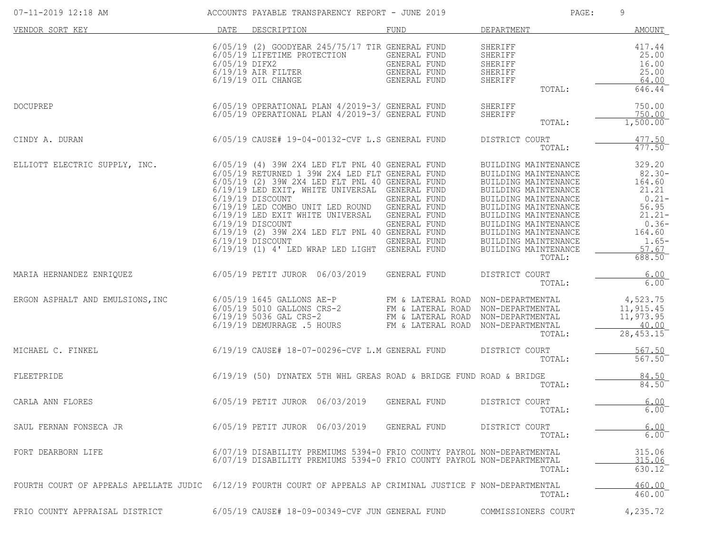| 07-11-2019 12:18 AM                                                                                           |                 | ACCOUNTS PAYABLE TRANSPARENCY REPORT - JUNE 2019                                                                                                                                                                                                                                                                                                                                                                                                                                 |                                                              | PAGE:                                                                                                                                                                                                                                                                          | 9                                                                                                                           |
|---------------------------------------------------------------------------------------------------------------|-----------------|----------------------------------------------------------------------------------------------------------------------------------------------------------------------------------------------------------------------------------------------------------------------------------------------------------------------------------------------------------------------------------------------------------------------------------------------------------------------------------|--------------------------------------------------------------|--------------------------------------------------------------------------------------------------------------------------------------------------------------------------------------------------------------------------------------------------------------------------------|-----------------------------------------------------------------------------------------------------------------------------|
| VENDOR SORT KEY                                                                                               | DATE            | DESCRIPTION                                                                                                                                                                                                                                                                                                                                                                                                                                                                      | FUND                                                         | DEPARTMENT                                                                                                                                                                                                                                                                     | AMOUNT                                                                                                                      |
|                                                                                                               | $6/05/19$ DIFX2 | 6/05/19 (2) GOODYEAR 245/75/17 TIR GENERAL FUND<br>6/05/19 LIFETIME PROTECTION<br>$6/19/19$ AIR FILTER<br>$6/19/19$ OIL CHANGE                                                                                                                                                                                                                                                                                                                                                   | GENERAL FUND<br>GENERAL FUND<br>GENERAL FUND<br>GENERAL FUND | SHERIFF<br>SHERIFF<br>SHERIFF<br>SHERIFF<br>SHERIFF<br>TOTAL:                                                                                                                                                                                                                  | 417.44<br>25.00<br>16.00<br>25.00<br>64.00<br>646.44                                                                        |
| <b>DOCUPREP</b>                                                                                               |                 | 6/05/19 OPERATIONAL PLAN 4/2019-3/ GENERAL FUND<br>6/05/19 OPERATIONAL PLAN 4/2019-3/ GENERAL FUND                                                                                                                                                                                                                                                                                                                                                                               |                                                              | SHERIFF<br>SHERIFF<br>TOTAL:                                                                                                                                                                                                                                                   | 750.00<br>750.00<br>1,500.00                                                                                                |
| CINDY A. DURAN                                                                                                |                 | $6/05/19$ CAUSE# 19-04-00132-CVF L.S GENERAL FUND                                                                                                                                                                                                                                                                                                                                                                                                                                |                                                              | DISTRICT COURT<br>TOTAL:                                                                                                                                                                                                                                                       | 477.50<br>477.50                                                                                                            |
| ELLIOTT ELECTRIC SUPPLY, INC.                                                                                 |                 | $6/05/19$ (4) 39W 2X4 LED FLT PNL 40 GENERAL FUND<br>6/05/19 RETURNED 1 39W 2X4 LED FLT GENERAL FUND<br>6/05/19 (2) 39W 2X4 LED FLT PNL 40 GENERAL FUND<br>6/19/19 LED EXIT, WHITE UNIVERSAL GENERAL FUND<br>$6/19/19$ DISCOUNT<br>6/19/19 LED COMBO UNIT LED ROUND GENERAL FUND<br>6/19/19 LED EXIT WHITE UNIVERSAL GENERAL FUND<br>$6/19/19$ DISCOUNT<br>6/19/19 (2) 39W 2X4 LED FLT PNL 40 GENERAL FUND<br>6/19/19 DISCOUNT<br>6/19/19 (1) 4' LED WRAP LED LIGHT GENERAL FUND | GENERAL FUND<br>GENERAL FUND<br>GENERAL FUND                 | BUILDING MAINTENANCE<br>BUILDING MAINTENANCE<br>BUILDING MAINTENANCE<br>BUILDING MAINTENANCE<br>BUILDING MAINTENANCE<br>BUILDING MAINTENANCE<br>BUILDING MAINTENANCE<br>BUILDING MAINTENANCE<br>BUILDING MAINTENANCE<br>BUILDING MAINTENANCE<br>BUILDING MAINTENANCE<br>TOTAL: | 329.20<br>$82.30 -$<br>164.60<br>21.21<br>$0.21 -$<br>56.95<br>$21.21 -$<br>$0.36-$<br>164.60<br>$1.65-$<br>57.67<br>688.50 |
| MARIA HERNANDEZ ENRIQUEZ 6/05/19 PETIT JUROR 06/03/2019                                                       |                 |                                                                                                                                                                                                                                                                                                                                                                                                                                                                                  | GENERAL FUND                                                 | DISTRICT COURT<br>TOTAL:                                                                                                                                                                                                                                                       | 6.00<br>$6.00^{-}$                                                                                                          |
| ERGON ASPHALT AND EMULSIONS, INC                                                                              |                 | $6/05/19$ 1645 GALLONS AE-P FM & LATERAL ROAD NON-DEPARTMENTAL<br>6/05/19 5010 GALLONS CRS-2<br>6/19/19 5036 GAL CRS-2<br>6/19/19 DEMURRAGE .5 HOURS                                                                                                                                                                                                                                                                                                                             | FM & LATERAL ROAD<br>FM & LATERAL ROAD<br>FM & LATERAL ROAD  | NON-DEPARTMENTAL<br>NON-DEPARTMENTAL<br>NON-DEPARTMENTAL<br>TOTAL:                                                                                                                                                                                                             | 4,523.75<br>11,915.45<br>11,973.95<br>40.00<br>28, 453.15                                                                   |
| MICHAEL C. FINKEL                                                                                             |                 | 6/19/19 CAUSE# 18-07-00296-CVF L.M GENERAL FUND                                                                                                                                                                                                                                                                                                                                                                                                                                  |                                                              | DISTRICT COURT<br>TOTAL:                                                                                                                                                                                                                                                       | 567.50<br>567.50                                                                                                            |
| FLEETPRIDE                                                                                                    |                 | 6/19/19 (50) DYNATEX 5TH WHL GREAS ROAD & BRIDGE FUND ROAD & BRIDGE                                                                                                                                                                                                                                                                                                                                                                                                              |                                                              | TOTAL:                                                                                                                                                                                                                                                                         | 84.50<br>84.50                                                                                                              |
| CARLA ANN FLORES                                                                                              |                 | 6/05/19 PETIT JUROR 06/03/2019 GENERAL FUND                                                                                                                                                                                                                                                                                                                                                                                                                                      |                                                              | DISTRICT COURT<br>TOTAL:                                                                                                                                                                                                                                                       | 6.00<br>$6.00$ <sup>-</sup>                                                                                                 |
| SAUL FERNAN FONSECA JR                                                                                        |                 | 6/05/19 PETIT JUROR 06/03/2019 GENERAL FUND                                                                                                                                                                                                                                                                                                                                                                                                                                      |                                                              | DISTRICT COURT<br>TOTAL:                                                                                                                                                                                                                                                       | 6.00<br>$6.00$ <sup>-</sup>                                                                                                 |
| FORT DEARBORN LIFE                                                                                            |                 | 6/07/19 DISABILITY PREMIUMS 5394-0 FRIO COUNTY PAYROL NON-DEPARTMENTAL<br>6/07/19 DISABILITY PREMIUMS 5394-0 FRIO COUNTY PAYROL NON-DEPARTMENTAL                                                                                                                                                                                                                                                                                                                                 |                                                              | TOTAL:                                                                                                                                                                                                                                                                         | 315.06<br>315.06<br>630.12                                                                                                  |
| FOURTH COURT OF APPEALS APELLATE JUDIC 6/12/19 FOURTH COURT OF APPEALS AP CRIMINAL JUSTICE F NON-DEPARTMENTAL |                 |                                                                                                                                                                                                                                                                                                                                                                                                                                                                                  |                                                              | TOTAL:                                                                                                                                                                                                                                                                         | 460.00<br>460.00                                                                                                            |
| FRIO COUNTY APPRAISAL DISTRICT                                                                                |                 | 6/05/19 CAUSE# 18-09-00349-CVF JUN GENERAL FUND                                                                                                                                                                                                                                                                                                                                                                                                                                  |                                                              | COMMISSIONERS COURT                                                                                                                                                                                                                                                            | 4,235.72                                                                                                                    |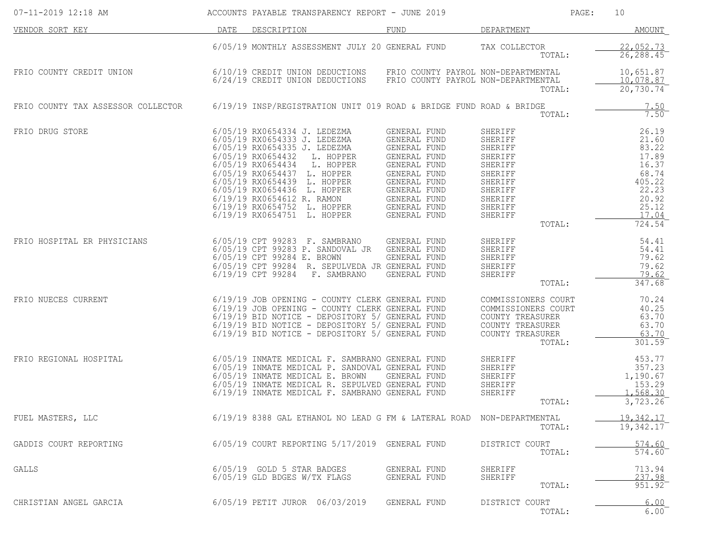| $07 - 11 - 2019$ 12:18 AM          |      | ACCOUNTS PAYABLE TRANSPARENCY REPORT - JUNE 2019                                                                                                                                                                                                                                                                                                          |                                                                                                                                                                              |                                                                                                                                 | PAGE:<br>10                                                                                                |
|------------------------------------|------|-----------------------------------------------------------------------------------------------------------------------------------------------------------------------------------------------------------------------------------------------------------------------------------------------------------------------------------------------------------|------------------------------------------------------------------------------------------------------------------------------------------------------------------------------|---------------------------------------------------------------------------------------------------------------------------------|------------------------------------------------------------------------------------------------------------|
| VENDOR SORT KEY                    | DATE | DESCRIPTION                                                                                                                                                                                                                                                                                                                                               | FUND                                                                                                                                                                         | DEPARTMENT                                                                                                                      | <b>AMOUNT</b>                                                                                              |
|                                    |      | 6/05/19 MONTHLY ASSESSMENT JULY 20 GENERAL FUND                                                                                                                                                                                                                                                                                                           |                                                                                                                                                                              | TAX COLLECTOR<br>TOTAL:                                                                                                         | 22,052.73<br>26, 288.45                                                                                    |
| FRIO COUNTY CREDIT UNION           |      | 6/10/19 CREDIT UNION DEDUCTIONS<br>6/24/19 CREDIT UNION DEDUCTIONS                                                                                                                                                                                                                                                                                        | FRIO COUNTY PAYROL NON-DEPARTMENTAL                                                                                                                                          | FRIO COUNTY PAYROL NON-DEPARTMENTAL<br>TOTAL:                                                                                   | 10,651.87<br>10,078.87<br>20,730.74                                                                        |
| FRIO COUNTY TAX ASSESSOR COLLECTOR |      |                                                                                                                                                                                                                                                                                                                                                           | $6/19/19$ INSP/REGISTRATION UNIT 019 ROAD & BRIDGE FUND ROAD & BRIDGE                                                                                                        | TOTAL:                                                                                                                          | 7.50<br>7.50                                                                                               |
| FRIO DRUG STORE                    |      | 6/05/19 RX0654334 J. LEDEZMA<br>6/05/19 RX0654333 J. LEDEZMA<br>6/05/19 RX0654335 J. LEDEZMA<br>6/05/19 RX0654432<br>L. HOPPER<br>6/05/19 RX0654434<br>L. HOPPER<br>6/05/19 RX0654437 L. HOPPER<br>6/05/19 RX0654439 L. HOPPER<br>6/05/19 RX0654436 L. HOPPER<br>6/19/19 RX0654612 R. RAMON<br>6/19/19 RX0654752 L. HOPPER<br>6/19/19 RX0654751 L. HOPPER | GENERAL FUND<br>GENERAL FUND<br>GENERAL FUND<br>GENERAL FUND<br>GENERAL FUND<br>GENERAL FUND<br>GENERAL FUND<br>GENERAL FUND<br>GENERAL FUND<br>GENERAL FUND<br>GENERAL FUND | SHERIFF<br>SHERIFF<br>SHERIFF<br>SHERIFF<br>SHERIFF<br>SHERIFF<br>SHERIFF<br>SHERIFF<br>SHERIFF<br>SHERIFF<br>SHERIFF<br>TOTAL: | 26.19<br>21.60<br>83.22<br>17.89<br>16.37<br>68.74<br>405.22<br>22.23<br>20.92<br>25.12<br>17.04<br>724.54 |
| FRIO HOSPITAL ER PHYSICIANS        |      | 6/05/19 CPT 99283 F. SAMBRANO<br>6/05/19 CPT 99283 P. SANDOVAL JR GENERAL FUND<br>6/05/19 CPT 99284 E. BROWN<br>6/05/19 CPT 99284 R. SEPULVEDA JR GENERAL FUND<br>6/19/19 CPT 99284<br>F. SAMBRANO                                                                                                                                                        | GENERAL FUND<br>GENERAL FUND<br>GENERAL FUND                                                                                                                                 | SHERIFF<br>SHERIFF<br>SHERIFF<br>SHERIFF<br>SHERIFF<br>TOTAL:                                                                   | 54.41<br>54.41<br>79.62<br>79.62<br>79.62<br>347.68                                                        |
| FRIO NUECES CURRENT                |      | 6/19/19 JOB OPENING - COUNTY CLERK GENERAL FUND<br>6/19/19 JOB OPENING - COUNTY CLERK GENERAL FUND<br>6/19/19 BID NOTICE - DEPOSITORY 5/ GENERAL FUND<br>6/19/19 BID NOTICE - DEPOSITORY 5/ GENERAL FUND<br>6/19/19 BID NOTICE - DEPOSITORY 5/ GENERAL FUND                                                                                               |                                                                                                                                                                              | COMMISSIONERS COURT<br>COMMISSIONERS COURT<br>COUNTY TREASURER<br>COUNTY TREASURER<br>COUNTY TREASURER<br>TOTAL:                | 70.24<br>40.25<br>63.70<br>63.70<br>63.70<br>301.59                                                        |
| FRIO REGIONAL HOSPITAL             |      | 6/05/19 INMATE MEDICAL F. SAMBRANO GENERAL FUND<br>6/05/19 INMATE MEDICAL P. SANDOVAL GENERAL FUND<br>6/05/19 INMATE MEDICAL E. BROWN<br>6/05/19 INMATE MEDICAL R. SEPULVED GENERAL FUND<br>6/19/19 INMATE MEDICAL F. SAMBRANO GENERAL FUND                                                                                                               | GENERAL FUND                                                                                                                                                                 | SHERIFF<br>SHERIFF<br>SHERIFF<br>SHERIFF<br>SHERIFF<br>TOTAL:                                                                   | 453.77<br>357.23<br>1,190.67<br>153.29<br>1,568.30<br>3,723.26                                             |
| FUEL MASTERS, LLC                  |      |                                                                                                                                                                                                                                                                                                                                                           | 6/19/19 8388 GAL ETHANOL NO LEAD G FM & LATERAL ROAD NON-DEPARTMENTAL                                                                                                        | TOTAL:                                                                                                                          | 19,342.17<br>19,342.17                                                                                     |
| GADDIS COURT REPORTING             |      | 6/05/19 COURT REPORTING 5/17/2019 GENERAL FUND                                                                                                                                                                                                                                                                                                            |                                                                                                                                                                              | DISTRICT COURT<br>TOTAL:                                                                                                        | 574.60<br>574.60                                                                                           |
| GALLS                              |      | 6/05/19 GOLD 5 STAR BADGES<br>6/05/19 GLD BDGES W/TX FLAGS                                                                                                                                                                                                                                                                                                | GENERAL FUND<br>GENERAL FUND                                                                                                                                                 | SHERIFF<br>SHERIFF<br>TOTAL:                                                                                                    | 713.94<br>237.98<br>$951.92$ <sup>-</sup>                                                                  |
| CHRISTIAN ANGEL GARCIA             |      | 6/05/19 PETIT JUROR 06/03/2019                                                                                                                                                                                                                                                                                                                            | GENERAL FUND                                                                                                                                                                 | DISTRICT COURT<br>TOTAL:                                                                                                        | 6.00<br>6.00                                                                                               |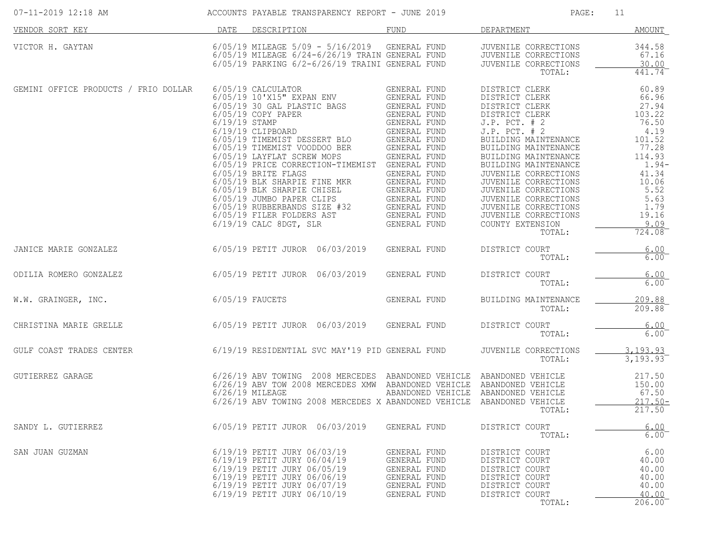| 07-11-2019 12:18 AM                                                      |                   |                                                                                                                                                                                        |                                                                                                                                                                                                                                                                                                                                                                                                                                                                                                                                                                                             | ACCOUNTS PAYABLE TRANSPARENCY REPORT - JUNE 2019                                                 | PAGE:                                                                                                                                                                                                                                                                                                                                                                                        | 11                                                                                                                                                              |
|--------------------------------------------------------------------------|-------------------|----------------------------------------------------------------------------------------------------------------------------------------------------------------------------------------|---------------------------------------------------------------------------------------------------------------------------------------------------------------------------------------------------------------------------------------------------------------------------------------------------------------------------------------------------------------------------------------------------------------------------------------------------------------------------------------------------------------------------------------------------------------------------------------------|--------------------------------------------------------------------------------------------------|----------------------------------------------------------------------------------------------------------------------------------------------------------------------------------------------------------------------------------------------------------------------------------------------------------------------------------------------------------------------------------------------|-----------------------------------------------------------------------------------------------------------------------------------------------------------------|
| VENDOR SORT KEY                                                          |                   | DATE DESCRIPTION                                                                                                                                                                       |                                                                                                                                                                                                                                                                                                                                                                                                                                                                                                                                                                                             | FUND                                                                                             | DEPARTMENT                                                                                                                                                                                                                                                                                                                                                                                   | <b>AMOUNT</b>                                                                                                                                                   |
| VICTOR H. GAYTAN                                                         |                   |                                                                                                                                                                                        | 6/05/19 PARKING 6/2-6/26/19 TRAINI GENERAL FUND                                                                                                                                                                                                                                                                                                                                                                                                                                                                                                                                             | 6/05/19 MILEAGE 5/09 - 5/16/2019 GENERAL FUND<br>6/05/19 MILEAGE 6/24-6/26/19 TRAIN GENERAL FUND | JUVENILE CORRECTIONS<br>JUVENILE CORRECTIONS<br>JUVENILE CORRECTIONS<br>TOTAL:                                                                                                                                                                                                                                                                                                               | 344.58<br>67.16<br>30.00<br>441.74                                                                                                                              |
| GEMINI OFFICE PRODUCTS / FRIO DOLLAR                                     |                   | 6/05/19 CALCULATOR<br>$6/19/19$ CALC 8DGT, SLR                                                                                                                                         | 6/05/19 10'X15" EXPAN ENV GENERAL FUND<br>6/05/19 30 GAL PLASTIC BAGS<br>6/05/19 30 GAL PLASTIC BAGS<br>6/05/19 COPY PAPER<br>6/19/19 STAMP<br>6/19/19 CLIPBOARD<br>6/05/19 TIMEMIST DESSERT BLO<br>6/05/19 TIMEMIST VOODDOO BER<br>6/05/19 LAYFLAT SCREW MOPS<br>6/05/19 LAYFLAT SCREW<br>6/05/19 PRICE CORRECTION-TIMEMIST GENERAL FUND<br>6/05/19 BRITE FLAGS<br>6/05/19 BRITE FLAGS<br>6/05/19 BLK SHARPIE FINE MKR<br>6/05/19 BLK SHARPIE CHISEL<br>6/05/19 BLK SHARPIE CHISEL<br>6/05/19 BLK SHARPIE CHISEL<br>6/05/19 BLIK SHARPIE CLIPS<br>6/05/19 FILER FOLDERS AST<br>6/19/19 FIL | GENERAL FUND<br>GENERAL FUND                                                                     | DISTRICT CLERK<br>DISTRICT CLERK<br>DISTRICT CLERK<br>DISTRICT CLERK<br>$J.P.$ PCT. $# 2$<br>$J.P.$ PCT. $# 2$<br>BUILDING MAINTENANCE<br>BUILDING MAINTENANCE<br>BUILDING MAINTENANCE<br>BUILDING MAINTENANCE<br>JUVENILE CORRECTIONS<br>JUVENILE CORRECTIONS<br>JUVENILE CORRECTIONS<br>JUVENILE CORRECTIONS<br>JUVENILE CORRECTIONS<br>JUVENILE CORRECTIONS<br>COUNTY EXTENSION<br>TOTAL: | 60.89<br>66.96<br>27.94<br>103.22<br>76.50<br>4.19<br>101.52<br>77.28<br>114.93<br>$1.94-$<br>41.34<br>10.06<br>5.52<br>5.63<br>1.79<br>19.16<br>9.09<br>724.08 |
| 6/05/19 PETIT JUROR 06/03/2019<br>JANICE MARIE GONZALEZ                  |                   |                                                                                                                                                                                        |                                                                                                                                                                                                                                                                                                                                                                                                                                                                                                                                                                                             | GENERAL FUND                                                                                     | DISTRICT COURT<br>TOTAL:                                                                                                                                                                                                                                                                                                                                                                     | 6.00<br>$6.00$ <sup>-</sup>                                                                                                                                     |
| 6/05/19 PETIT JUROR 06/03/2019<br>ODILIA ROMERO GONZALEZ                 |                   |                                                                                                                                                                                        |                                                                                                                                                                                                                                                                                                                                                                                                                                                                                                                                                                                             | GENERAL FUND                                                                                     | DISTRICT COURT<br>TOTAL:                                                                                                                                                                                                                                                                                                                                                                     | 6.00<br>$6.00^{-}$                                                                                                                                              |
| W.W. GRAINGER, INC.                                                      | $6/05/19$ FAUCETS |                                                                                                                                                                                        |                                                                                                                                                                                                                                                                                                                                                                                                                                                                                                                                                                                             | GENERAL FUND                                                                                     | BUILDING MAINTENANCE<br>TOTAL:                                                                                                                                                                                                                                                                                                                                                               | 209.88<br>209.88                                                                                                                                                |
| CHRISTINA MARIE GRELLE                                                   |                   |                                                                                                                                                                                        |                                                                                                                                                                                                                                                                                                                                                                                                                                                                                                                                                                                             | 6/05/19 PETIT JUROR 06/03/2019 GENERAL FUND                                                      | DISTRICT COURT<br>TOTAL:                                                                                                                                                                                                                                                                                                                                                                     | 6.00<br>6.00                                                                                                                                                    |
| GULF COAST TRADES CENTER 6/19/19 RESIDENTIAL SVC MAY'19 PID GENERAL FUND |                   |                                                                                                                                                                                        |                                                                                                                                                                                                                                                                                                                                                                                                                                                                                                                                                                                             |                                                                                                  | JUVENILE CORRECTIONS<br>TOTAL:                                                                                                                                                                                                                                                                                                                                                               | 3, 193.93<br>3,193.93                                                                                                                                           |
| GUTIERREZ GARAGE                                                         |                   | $6/26/19$ MILEAGE                                                                                                                                                                      |                                                                                                                                                                                                                                                                                                                                                                                                                                                                                                                                                                                             | 6/26/19 ABV TOWING 2008 MERCEDES X ABANDONED VEHICLE ABANDONED VEHICLE                           | 6/26/19 ABV TOWING 2008 MERCEDES ABANDONED VEHICLE ABANDONED VEHICLE<br>6/26/19 ABV TOW 2008 MERCEDES XMW ABANDONED VEHICLE ABANDONED VEHICLE<br>ABANDONED VEHICLE ABANDONED VEHICLE<br>TOTAL:                                                                                                                                                                                               | 217.50<br>150.00<br>67.50<br>$217.50 -$<br>217.50                                                                                                               |
| SANDY L. GUTIERREZ                                                       |                   |                                                                                                                                                                                        | 6/05/19 PETIT JUROR 06/03/2019                                                                                                                                                                                                                                                                                                                                                                                                                                                                                                                                                              | GENERAL FUND                                                                                     | DISTRICT COURT<br>TOTAL:                                                                                                                                                                                                                                                                                                                                                                     | 6.00<br>6.00                                                                                                                                                    |
| SAN JUAN GUZMAN                                                          |                   | 6/19/19 PETIT JURY 06/03/19<br>6/19/19 PETIT JURY 06/04/19<br>6/19/19 PETIT JURY 06/05/19<br>6/19/19 PETIT JURY 06/06/19<br>6/19/19 PETIT JURY 06/07/19<br>6/19/19 PETIT JURY 06/10/19 |                                                                                                                                                                                                                                                                                                                                                                                                                                                                                                                                                                                             | GENERAL FUND<br>GENERAL FUND<br>GENERAL FUND<br>GENERAL FUND<br>GENERAL FUND<br>GENERAL FUND     | DISTRICT COURT<br>DISTRICT COURT<br>DISTRICT COURT<br>DISTRICT COURT<br>DISTRICT COURT<br>DISTRICT COURT<br>TOTAL:                                                                                                                                                                                                                                                                           | 6.00<br>40.00<br>40.00<br>40.00<br>40.00<br>40.00<br>206.00                                                                                                     |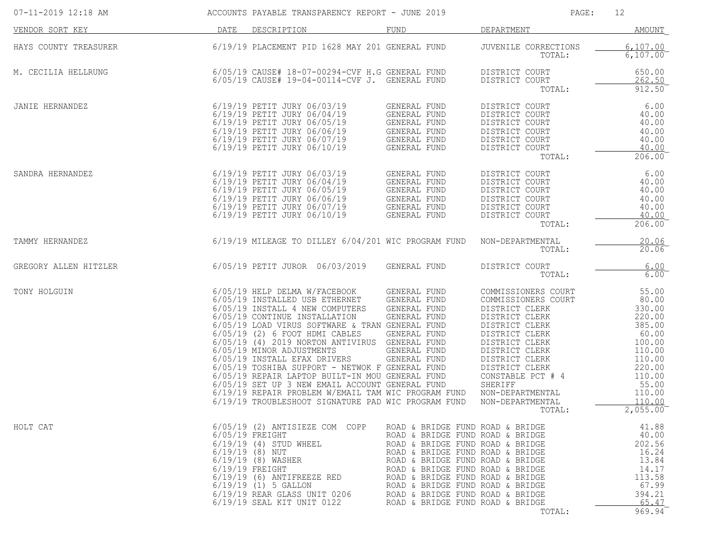| 07-11-2019 12:18 AM   |      | ACCOUNTS PAYABLE TRANSPARENCY REPORT - JUNE 2019                                                                                                                                                                                                                                                                                                                                                                                                                                                                                                                                                                 |                                                                                                                                                                                                                                                                                                                                                                      | PAGE:                                                                                                                                                                                                                                                                        | 12                                                                                                                                               |
|-----------------------|------|------------------------------------------------------------------------------------------------------------------------------------------------------------------------------------------------------------------------------------------------------------------------------------------------------------------------------------------------------------------------------------------------------------------------------------------------------------------------------------------------------------------------------------------------------------------------------------------------------------------|----------------------------------------------------------------------------------------------------------------------------------------------------------------------------------------------------------------------------------------------------------------------------------------------------------------------------------------------------------------------|------------------------------------------------------------------------------------------------------------------------------------------------------------------------------------------------------------------------------------------------------------------------------|--------------------------------------------------------------------------------------------------------------------------------------------------|
| VENDOR SORT KEY       | DATE | DESCRIPTION                                                                                                                                                                                                                                                                                                                                                                                                                                                                                                                                                                                                      | FUND                                                                                                                                                                                                                                                                                                                                                                 | DEPARTMENT                                                                                                                                                                                                                                                                   | AMOUNT                                                                                                                                           |
| HAYS COUNTY TREASURER |      | 6/19/19 PLACEMENT PID 1628 MAY 201 GENERAL FUND                                                                                                                                                                                                                                                                                                                                                                                                                                                                                                                                                                  |                                                                                                                                                                                                                                                                                                                                                                      | JUVENILE CORRECTIONS<br>TOTAL:                                                                                                                                                                                                                                               | 6,107.00<br>$6,107.00^-$                                                                                                                         |
| M. CECILIA HELLRUNG   |      | $6/05/19$ CAUSE# 18-07-00294-CVF H.G GENERAL FUND<br>$6/05/19$ CAUSE# 19-04-00114-CVF J.                                                                                                                                                                                                                                                                                                                                                                                                                                                                                                                         | GENERAL FUND                                                                                                                                                                                                                                                                                                                                                         | DISTRICT COURT<br>DISTRICT COURT<br>TOTAL:                                                                                                                                                                                                                                   | 650.00<br>262.50<br>912.50                                                                                                                       |
| JANIE HERNANDEZ       |      | 6/19/19 PETIT JURY 06/03/19<br>6/19/19 PETIT JURY 06/04/19<br>6/19/19 PETIT JURY 06/05/19<br>6/19/19 PETIT JURY 06/06/19<br>6/19/19 PETIT JURY 06/07/19<br>6/19/19 PETIT JURY 06/10/19                                                                                                                                                                                                                                                                                                                                                                                                                           | GENERAL FUND<br>GENERAL FUND<br>GENERAL FUND<br>GENERAL FUND<br>GENERAL FUND<br>GENERAL FUND                                                                                                                                                                                                                                                                         | DISTRICT COURT<br>DISTRICT COURT<br>DISTRICT COURT<br>DISTRICT COURT<br>DISTRICT COURT<br>DISTRICT COURT<br>TOTAL:                                                                                                                                                           | 6.00<br>40.00<br>40.00<br>40.00<br>40.00<br>40.00<br>206.00                                                                                      |
| SANDRA HERNANDEZ      |      | 6/19/19 PETIT JURY 06/03/19<br>6/19/19 PETIT JURY 06/04/19<br>6/19/19 PETIT JURY 06/05/19<br>6/19/19 PETIT JURY 06/06/19<br>6/19/19 PETIT JURY 06/07/19<br>6/19/19 PETIT JURY 06/10/19                                                                                                                                                                                                                                                                                                                                                                                                                           | GENERAL FUND<br>GENERAL FUND<br>GENERAL FUND<br>GENERAL FUND<br>GENERAL FUND<br>GENERAL FUND                                                                                                                                                                                                                                                                         | DISTRICT COURT<br>DISTRICT COURT<br>DISTRICT COURT<br>DISTRICT COURT<br>DISTRICT COURT<br>DISTRICT COURT<br>TOTAL:                                                                                                                                                           | 6.00<br>40.00<br>40.00<br>40.00<br>40.00<br>40.00<br>206.00                                                                                      |
| TAMMY HERNANDEZ       |      | $6/19/19$ MILEAGE TO DILLEY $6/04/201$ WIC PROGRAM FUND                                                                                                                                                                                                                                                                                                                                                                                                                                                                                                                                                          |                                                                                                                                                                                                                                                                                                                                                                      | NON-DEPARTMENTAL<br>TOTAL:                                                                                                                                                                                                                                                   | 20.06<br>20.06                                                                                                                                   |
| GREGORY ALLEN HITZLER |      | 6/05/19 PETIT JUROR 06/03/2019                                                                                                                                                                                                                                                                                                                                                                                                                                                                                                                                                                                   | GENERAL FUND                                                                                                                                                                                                                                                                                                                                                         | DISTRICT COURT<br>TOTAL:                                                                                                                                                                                                                                                     | 6.00<br>$6.00$ <sup>-</sup>                                                                                                                      |
| TONY HOLGUIN          |      | 6/05/19 HELP DELMA W/FACEBOOK<br>6/05/19 INSTALLED USB ETHERNET<br>6/05/19 INSTALL 4 NEW COMPUTERS<br>6/05/19 CONTINUE INSTALLATION<br>6/05/19 LOAD VIRUS SOFTWARE & TRAN GENERAL FUND<br>$6/05/19$ (2) 6 FOOT HDMI CABLES<br>6/05/19 (4) 2019 NORTON ANTIVIRUS GENERAL FUND<br>6/05/19 MINOR ADJUSTMENTS<br>6/05/19 INSTALL EFAX DRIVERS<br>6/05/19 TOSHIBA SUPPORT - NETWOK F GENERAL FUND<br>6/05/19 REPAIR LAPTOP BUILT-IN MOU GENERAL FUND<br>6/05/19 SET UP 3 NEW EMAIL ACCOUNT GENERAL FUND<br>6/19/19 REPAIR PROBLEM W/EMAIL TAM WIC PROGRAM FUND<br>6/19/19 TROUBLESHOOT SIGNATURE PAD WIC PROGRAM FUND | GENERAL FUND<br>GENERAL FUND<br>GENERAL FUND<br>GENERAL FUND<br>GENERAL FUND<br>GENERAL FUND<br>GENERAL FUND                                                                                                                                                                                                                                                         | COMMISSIONERS COURT<br>COMMISSIONERS COURT<br>DISTRICT CLERK<br>DISTRICT CLERK<br>DISTRICT CLERK<br>DISTRICT CLERK<br>DISTRICT CLERK<br>DISTRICT CLERK<br>DISTRICT CLERK<br>DISTRICT CLERK<br>CONSTABLE PCT # 4<br>SHERIFF<br>NON-DEPARTMENTAL<br>NON-DEPARTMENTAL<br>TOTAL: | 55.00<br>80.00<br>330.00<br>220.00<br>385.00<br>60.00<br>100.00<br>110.00<br>110.00<br>220.00<br>110.00<br>55.00<br>110.00<br>110,00<br>2,055.00 |
| HOLT CAT              |      | 6/05/19 (2) ANTISIEZE COM COPP<br>$6/05/19$ FREIGHT<br>$6/19/19$ (4) STUD WHEEL<br>$6/19/19$ (8) NUT<br>6/19/19 (8) WASHER<br>$6/19/19$ FREIGHT<br>$6/19/19$ (6) ANTIFREEZE RED<br>$6/19/19$ (1) 5 GALLON<br>6/19/19 REAR GLASS UNIT 0206<br>6/19/19 SEAL KIT UNIT 0122                                                                                                                                                                                                                                                                                                                                          | ROAD & BRIDGE FUND ROAD & BRIDGE<br>ROAD & BRIDGE FUND ROAD & BRIDGE<br>ROAD & BRIDGE FUND ROAD & BRIDGE<br>ROAD & BRIDGE FUND ROAD & BRIDGE<br>ROAD & BRIDGE FUND ROAD & BRIDGE<br>ROAD & BRIDGE FUND ROAD & BRIDGE<br>ROAD & BRIDGE FUND ROAD & BRIDGE<br>ROAD & BRIDGE FUND ROAD & BRIDGE<br>ROAD & BRIDGE FUND ROAD & BRIDGE<br>ROAD & BRIDGE FUND ROAD & BRIDGE | TOTAL:                                                                                                                                                                                                                                                                       | 41.88<br>40.00<br>202.56<br>16.24<br>13.84<br>14.17<br>113.58<br>67.99<br>394.21<br>65.47<br>969.94                                              |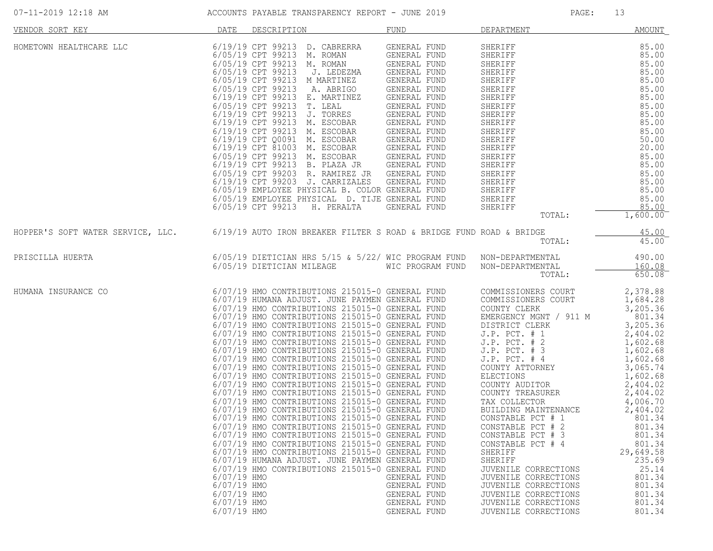| 07-11-2019 12:18 AM                                                                                   |                                                                         | ACCOUNTS PAYABLE TRANSPARENCY REPORT - JUNE 2019                                                                                                                                                                                                                                                                                                                                                                                                                                                                                                                                                                                                                                                                                                                                                                                                                                                                                                                                                                                                                                                                                                               |                                                                                                                                              | PAGE:                                                                                                                                                                                                                                                                                                                                                                                                                                                                                                                                                           | 13                                                                                                                                                                                                                                                                                                       |
|-------------------------------------------------------------------------------------------------------|-------------------------------------------------------------------------|----------------------------------------------------------------------------------------------------------------------------------------------------------------------------------------------------------------------------------------------------------------------------------------------------------------------------------------------------------------------------------------------------------------------------------------------------------------------------------------------------------------------------------------------------------------------------------------------------------------------------------------------------------------------------------------------------------------------------------------------------------------------------------------------------------------------------------------------------------------------------------------------------------------------------------------------------------------------------------------------------------------------------------------------------------------------------------------------------------------------------------------------------------------|----------------------------------------------------------------------------------------------------------------------------------------------|-----------------------------------------------------------------------------------------------------------------------------------------------------------------------------------------------------------------------------------------------------------------------------------------------------------------------------------------------------------------------------------------------------------------------------------------------------------------------------------------------------------------------------------------------------------------|----------------------------------------------------------------------------------------------------------------------------------------------------------------------------------------------------------------------------------------------------------------------------------------------------------|
| VENDOR SORT KEY                                                                                       | <b>DATE</b>                                                             | DESCRIPTION                                                                                                                                                                                                                                                                                                                                                                                                                                                                                                                                                                                                                                                                                                                                                                                                                                                                                                                                                                                                                                                                                                                                                    | FUND                                                                                                                                         | DEPARTMENT                                                                                                                                                                                                                                                                                                                                                                                                                                                                                                                                                      | <b>AMOUNT</b>                                                                                                                                                                                                                                                                                            |
| HOMETOWN HEALTHCARE LLC                                                                               |                                                                         | 6/19/19 CPT 99213 D. CABRERRA<br>6/05/19 CPT 99213 M. ROMAN<br>6/05/19 CPT 99213<br>M. ROMAN<br>6/05/19 CPT 99213<br>J. LEDEZMA<br>6/05/19 CPT 99213<br>M MARTINEZ<br>6/05/19 CPT 99213<br>A. ABRIGO<br>6/19/19 CPT 99213 E. MARTINEZ<br>$\begin{tabular}{llllll} 6/05/19 & CPT & 99213 & T. LEAL & GENERAL FUND \\ 6/19/19 & CPT & 99213 & J. TORRES & GENERAL FUND \\ 6/19/19 & CPT & 99213 & M. ESCOBAR & GENERAL FUND \\ \end{tabular}$<br>6/19/19 CPT 99213 M. ESCOBAR<br>6/19/19 CPT 99213 B. PLAZA JR<br>6/05/19 CPT 99203 R. RAMIREZ JR GENERAL FUND<br>6/19/19 CPT 99203 J. CARRIZALES GENERAL FUND<br>6/05/19 EMPLOYEE PHYSICAL B. COLOR GENERAL FUND<br>6/05/19 EMPLOYEE PHYSICAL D. TIJE GENERAL FUND<br>6/05/19 CPT 99213<br>H. PERALTA                                                                                                                                                                                                                                                                                                                                                                                                           | GENERAL FUND<br>GENERAL FUND<br>GENERAL FUND<br>GENERAL FUND<br>GENERAL FUND<br>GENERAL FUND<br>GENERAL FUND<br>GENERAL FUND<br>GENERAL FUND | SHERIFF<br>FRIERIFF 85.00<br>SHERIFF 85.00<br>SHERIFF 85.00<br>SHERIFF 85.00<br>SHERIFF 85.00<br>SHERIFF 85.00<br>SHERIFF 85.00<br>SHERIFF 85.00<br>SHERIFF 85.00<br>SHERIFF 85.00<br>SHERIFF 85.00<br>SHERIFF 85.00<br>SHERIFF 85.00<br>SHERIFF 85.00<br>SHERIFF 85.<br>SHERIFF<br>SHERIFF<br>¤WERTFF<br>SHERIFF<br>TOTAL:                                                                                                                                                                                                                                     | 85.00<br>85.00<br>$1,600.00^-$                                                                                                                                                                                                                                                                           |
| HOPPER'S SOFT WATER SERVICE, LLC. 6/19/19 AUTO IRON BREAKER FILTER S ROAD & BRIDGE FUND ROAD & BRIDGE |                                                                         |                                                                                                                                                                                                                                                                                                                                                                                                                                                                                                                                                                                                                                                                                                                                                                                                                                                                                                                                                                                                                                                                                                                                                                |                                                                                                                                              | TOTAL:                                                                                                                                                                                                                                                                                                                                                                                                                                                                                                                                                          | 45.00<br>45.00                                                                                                                                                                                                                                                                                           |
| PRISCILLA HUERTA                                                                                      |                                                                         | 6/05/19 DIETICIAN HRS 5/15 & 5/22/ WIC PROGRAM FUND NON-DEPARTMENTAL<br>6/05/19 DIETICIAN MILEAGE WIC PROGRAM FUND                                                                                                                                                                                                                                                                                                                                                                                                                                                                                                                                                                                                                                                                                                                                                                                                                                                                                                                                                                                                                                             |                                                                                                                                              | NON-DEPARTMENTAL<br>TOTAL:                                                                                                                                                                                                                                                                                                                                                                                                                                                                                                                                      | 490.00<br>160.08<br>650.08                                                                                                                                                                                                                                                                               |
| HUMANA INSURANCE CO                                                                                   | 6/07/19 HMO<br>6/07/19 HMO<br>6/07/19 HMO<br>6/07/19 HMO<br>6/07/19 HMO | 6/07/19 HMO CONTRIBUTIONS 215015-0 GENERAL FUND<br>6/07/19 HUMANA ADJUST. JUNE PAYMEN GENERAL FUND<br>6/07/19 HMO CONTRIBUTIONS 215015-0 GENERAL FUND<br>6/07/19 HMO CONTRIBUTIONS 215015-0 GENERAL FUND<br>6/07/19 HMO CONTRIBUTIONS 215015-0 GENERAL FUND<br>6/07/19 HMO CONTRIBUTIONS 215015-0 GENERAL FUND<br>6/07/19 HMO CONTRIBUTIONS 215015-0 GENERAL FUND<br>6/07/19 HMO CONTRIBUTIONS 215015-0 GENERAL FUND<br>6/07/19 HMO CONTRIBUTIONS 215015-0 GENERAL FUND<br>6/07/19 HMO CONTRIBUTIONS 215015-0 GENERAL FUND<br>6/07/19 HMO CONTRIBUTIONS 215015-0 GENERAL FUND<br>6/07/19 HMO CONTRIBUTIONS 215015-0 GENERAL FUND<br>6/07/19 HMO CONTRIBUTIONS 215015-0 GENERAL FUND<br>6/07/19 HMO CONTRIBUTIONS 215015-0 GENERAL FUND<br>6/07/19 HMO CONTRIBUTIONS 215015-0 GENERAL FUND<br>6/07/19 HMO CONTRIBUTIONS 215015-0 GENERAL FUND<br>6/07/19 HMO CONTRIBUTIONS 215015-0 GENERAL FUND<br>6/07/19 HMO CONTRIBUTIONS 215015-0 GENERAL FUND<br>6/07/19 HMO CONTRIBUTIONS 215015-0 GENERAL FUND<br>6/07/19 HMO CONTRIBUTIONS 215015-0 GENERAL FUND<br>6/07/19 HUMANA ADJUST. JUNE PAYMEN GENERAL FUND<br>6/07/19 HMO CONTRIBUTIONS 215015-0 GENERAL FUND | GENERAL FUND<br>GENERAL FUND<br>GENERAL FUND<br>GENERAL FUND<br>GENERAL FUND                                                                 | COMMISSIONERS COURT<br>COMMISSIONERS COURT<br>COUNTY CLERK<br>EMERGENCY MGNT / 911 M<br>DISTRICT CLERK<br>$J.P.$ PCT. $# 1$<br>J.P. PCT. # 2<br>$J.P.$ PCT. $#$ 3<br>$J.P.$ PCT. $#$ 4<br>COUNTY ATTORNEY<br>ELECTIONS<br>COUNTY AUDITOR<br>COUNTY TREASURER<br>TAX COLLECTOR<br>BUILDING MAINTENANCE<br>CONSTABLE PCT # 1<br>CONSTABLE PCT # 2<br>CONSTABLE PCT # 3<br>CONSTABLE PCT # 4<br>SHERIFF<br>SHERIFF<br>JUVENILE CORRECTIONS<br>JUVENILE CORRECTIONS<br>JUVENILE CORRECTIONS<br>JUVENILE CORRECTIONS<br>JUVENILE CORRECTIONS<br>JUVENILE CORRECTIONS | 2,378.88<br>1,684.28<br>3,205.36<br>801.34<br>3,205.36<br>2,404.02<br>1,602.68<br>1,602.68<br>1,602.68<br>3,065.74<br>1,602.68<br>2,404.02<br>2,404.02<br>4,006.70<br>2,404.02<br>801.34<br>801.34<br>801.34<br>801.34<br>29,649.58<br>235.69<br>25.14<br>801.34<br>801.34<br>801.34<br>801.34<br>801.34 |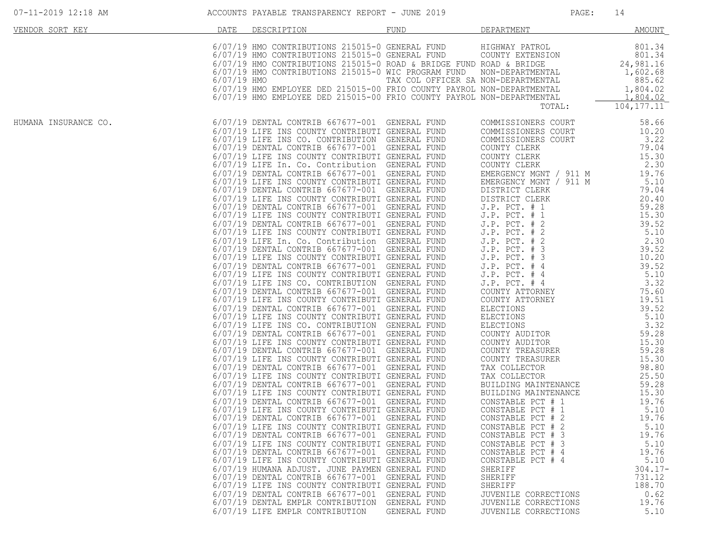| VENDOR SORT KEY      | DATE          | DESCRIPTION                                                                                                                                                                                                                                                                                                                                                                                                                                                                                                                                                                                                                                                                                                                                                                                                                                                                                                                                                                                                                                                                                                                                                                                                                                                                                                                                                                                                                                                                                                                                                                                                                                                                                                                                                                                                                                                                                                                                                                                                                                 | FUND                                | DEPARTMENT                                                                                                                                                                                                                                                                                                                                                                                                                                                                                                                                                                                                                                                                                                                                                                                | <b>AMOUNT</b>                                                                                                                                                                                                                                                                                                                                   |
|----------------------|---------------|---------------------------------------------------------------------------------------------------------------------------------------------------------------------------------------------------------------------------------------------------------------------------------------------------------------------------------------------------------------------------------------------------------------------------------------------------------------------------------------------------------------------------------------------------------------------------------------------------------------------------------------------------------------------------------------------------------------------------------------------------------------------------------------------------------------------------------------------------------------------------------------------------------------------------------------------------------------------------------------------------------------------------------------------------------------------------------------------------------------------------------------------------------------------------------------------------------------------------------------------------------------------------------------------------------------------------------------------------------------------------------------------------------------------------------------------------------------------------------------------------------------------------------------------------------------------------------------------------------------------------------------------------------------------------------------------------------------------------------------------------------------------------------------------------------------------------------------------------------------------------------------------------------------------------------------------------------------------------------------------------------------------------------------------|-------------------------------------|-------------------------------------------------------------------------------------------------------------------------------------------------------------------------------------------------------------------------------------------------------------------------------------------------------------------------------------------------------------------------------------------------------------------------------------------------------------------------------------------------------------------------------------------------------------------------------------------------------------------------------------------------------------------------------------------------------------------------------------------------------------------------------------------|-------------------------------------------------------------------------------------------------------------------------------------------------------------------------------------------------------------------------------------------------------------------------------------------------------------------------------------------------|
|                      | $6/07/19$ HMO | 6/07/19 HMO CONTRIBUTIONS 215015-0 GENERAL FUND<br>6/07/19 HMO CONTRIBUTIONS 215015-0 GENERAL FUND<br>6/07/19 HMO CONTRIBUTIONS 215015-0 ROAD & BRIDGE FUND ROAD & BRIDGE<br>6/07/19 HMO CONTRIBUTIONS 215015-0 WIC PROGRAM FUND<br>6/07/19 HMO EMPLOYEE DED 215015-00 FRIO COUNTY PAYROL NON-DEPARTMENTAL<br>6/07/19 HMO EMPLOYEE DED 215015-00 FRIO COUNTY PAYROL NON-DEPARTMENTAL                                                                                                                                                                                                                                                                                                                                                                                                                                                                                                                                                                                                                                                                                                                                                                                                                                                                                                                                                                                                                                                                                                                                                                                                                                                                                                                                                                                                                                                                                                                                                                                                                                                        | TAX COL OFFICER SA NON-DEPARTMENTAL | HIGHWAY PATROL<br>COUNTY EXTENSION<br>NON-DEPARTMENTAL<br>TOTAL:                                                                                                                                                                                                                                                                                                                                                                                                                                                                                                                                                                                                                                                                                                                          | 801.34<br>801.34<br>24,981.16<br>1,602.68<br>885.62<br>1,804.02<br>1,804.02<br>104, 177.11                                                                                                                                                                                                                                                      |
| HUMANA INSURANCE CO. |               | 6/07/19 DENTAL CONTRIB 667677-001 GENERAL FUND<br>6/07/19 LIFE INS COUNTY CONTRIBUTI GENERAL FUND<br>6/07/19 LIFE INS CO. CONTRIBUTION GENERAL FUND<br>6/07/19 DENTAL CONTRIB 667677-001 GENERAL FUND<br>6/07/19 LIFE INS COUNTY CONTRIBUTI GENERAL FUND<br>6/07/19 LIFE In. Co. Contribution GENERAL FUND<br>6/07/19 DENTAL CONTRIB 667677-001 GENERAL FUND<br>6/07/19 LIFE INS COUNTY CONTRIBUTI GENERAL FUND<br>6/07/19 DENTAL CONTRIB 667677-001 GENERAL FUND<br>6/07/19 LIFE INS COUNTY CONTRIBUTI GENERAL FUND<br>6/07/19 DENTAL CONTRIB 667677-001 GENERAL FUND<br>6/07/19 LIFE INS COUNTY CONTRIBUTI GENERAL FUND<br>6/07/19 DENTAL CONTRIB 667677-001 GENERAL FUND<br>6/07/19 LIFE INS COUNTY CONTRIBUTI GENERAL FUND<br>6/07/19 LIFE In. Co. Contribution GENERAL FUND<br>6/07/19 DENTAL CONTRIB 667677-001 GENERAL FUND<br>6/07/19 LIFE INS COUNTY CONTRIBUTI GENERAL FUND<br>6/07/19 DENTAL CONTRIB 667677-001 GENERAL FUND<br>6/07/19 LIFE INS COUNTY CONTRIBUTI GENERAL FUND<br>6/07/19 LIFE INS CO. CONTRIBUTION GENERAL FUND<br>6/07/19 DENTAL CONTRIB 667677-001 GENERAL FUND<br>6/07/19 LIFE INS COUNTY CONTRIBUTI GENERAL FUND<br>6/07/19 DENTAL CONTRIB 667677-001 GENERAL FUND<br>6/07/19 LIFE INS COUNTY CONTRIBUTI GENERAL FUND<br>6/07/19 LIFE INS CO. CONTRIBUTION GENERAL FUND<br>6/07/19 DENTAL CONTRIB 667677-001 GENERAL FUND<br>6/07/19 LIFE INS COUNTY CONTRIBUTI GENERAL FUND<br>6/07/19 DENTAL CONTRIB 667677-001 GENERAL FUND<br>6/07/19 LIFE INS COUNTY CONTRIBUTI GENERAL FUND<br>6/07/19 DENTAL CONTRIB 667677-001 GENERAL FUND<br>6/07/19 LIFE INS COUNTY CONTRIBUTI GENERAL FUND<br>6/07/19 DENTAL CONTRIB 667677-001 GENERAL FUND<br>6/07/19 LIFE INS COUNTY CONTRIBUTI GENERAL FUND<br>6/07/19 DENTAL CONTRIB 667677-001 GENERAL FUND<br>6/07/19 LIFE INS COUNTY CONTRIBUTI GENERAL FUND<br>6/07/19 DENTAL CONTRIB 667677-001 GENERAL FUND<br>6/07/19 LIFE INS COUNTY CONTRIBUTI GENERAL FUND<br>6/07/19 DENTAL CONTRIB 667677-001 GENERAL FUND<br>6/07/19 LIFE INS COUNTY CONTRIBUTI GENERAL FUND |                                     | COMMISSIONERS COURT<br>COMMISSIONERS COURT<br>COMMISSIONERS COURT<br>COUNTY CLERK<br>COUNTY CLERK<br>COUNTY CLERK<br>EMERGENCY MGNT / 911 M<br>EMERGENCY MGNT / 911 M<br>DISTRICT CLERK<br>DISTRICT CLERK<br>J.P. $PCT. # 1$<br>J.P. PCT. # 1<br>$J.P.$ PCT. $# 2$<br>$J.P.$ PCT. $# 2$<br>J.P. PCT. # 2<br>$J.P.$ PCT. $# 3$<br>$J.P.$ PCT. $# 3$<br>J.P. PCT. # 4<br>$J.P.$ PCT. $#4$<br>$J.P.$ PCT. $#4$<br>COUNTY ATTORNEY<br>COUNTY ATTORNEY<br>ELECTIONS<br>ELECTIONS<br>ELECTIONS<br>COUNTY AUDITOR<br>COUNTY AUDITOR<br>COUNTY TREASURER<br>COUNTY TREASURER<br>TAX COLLECTOR<br>TAX COLLECTOR<br>BUILDING MAINTENANCE<br>BUILDING MAINTENANCE<br>CONSTABLE PCT # 1<br>CONSTABLE PCT # 1<br>CONSTABLE PCT # 2<br>CONSTABLE PCT #<br>- 2<br>CONSTABLE PCT # 3<br>CONSTABLE PCT # 3 | 58.66<br>10.20<br>3.22<br>79.04<br>15.30<br>2.30<br>19.76<br>5.10<br>79.04<br>20.40<br>59.28<br>15.30<br>39.52<br>5.10<br>2.30<br>39.52<br>10.20<br>39.52<br>5.10<br>3.32<br>75.60<br>19.51<br>39.52<br>5.10<br>3.32<br>59.28<br>15.30<br>59.28<br>15.30<br>98.80<br>25.50<br>59.28<br>15.30<br>19.76<br>5.10<br>19.76<br>5.10<br>19.76<br>5.10 |
|                      |               | 6/07/19 DENTAL CONTRIB 667677-001 GENERAL FUND<br>6/07/19 LIFE INS COUNTY CONTRIBUTI GENERAL FUND<br>6/07/19 HUMANA ADJUST. JUNE PAYMEN GENERAL FUND<br>6/07/19 DENTAL CONTRIB 667677-001 GENERAL FUND<br>6/07/19 LIFE INS COUNTY CONTRIBUTI GENERAL FUND<br>6/07/19 DENTAL CONTRIB 667677-001<br>6/07/19 DENTAL EMPLR CONTRIBUTION GENERAL FUND<br>6/07/19 LIFE EMPLR CONTRIBUTION                                                                                                                                                                                                                                                                                                                                                                                                                                                                                                                                                                                                                                                                                                                                                                                                                                                                                                                                                                                                                                                                                                                                                                                                                                                                                                                                                                                                                                                                                                                                                                                                                                                         | GENERAL FUND<br>GENERAL FUND        | CONSTABLE PCT # 4<br>CONSTABLE PCT # 4<br>SHERIFF<br>SHERIFF<br>SHERIFF<br>JUVENILE CORRECTIONS<br>JUVENILE CORRECTIONS<br>JUVENILE CORRECTIONS                                                                                                                                                                                                                                                                                                                                                                                                                                                                                                                                                                                                                                           | 19.76<br>5.10<br>$304.17 -$<br>731.12<br>188.70<br>0.62<br>19.76<br>5.10                                                                                                                                                                                                                                                                        |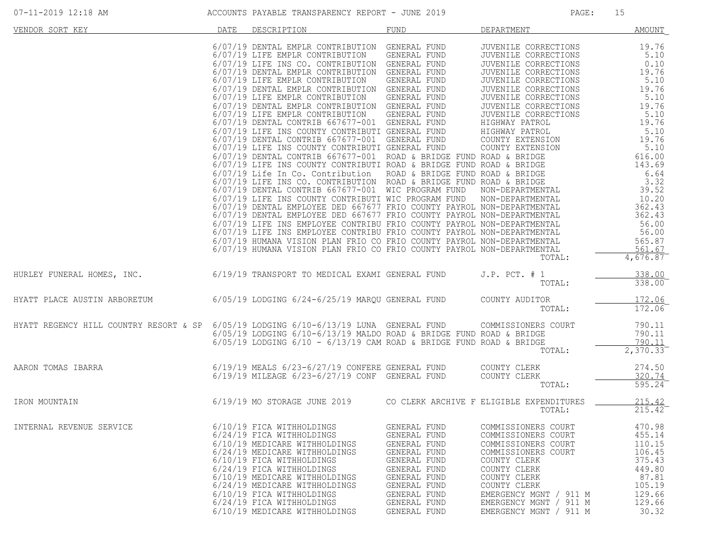| VENDOR SORT KEY                        | DATE | DESCRIPTION                                                                                                                                                                                                                                                                                                                                                                                                                                                                                                                                                                                                                                                                                                                                                                                                                                                                                                                                                                                                                                                                                                                                                                                                                                                                                                                                                                                                                                                                  | FUND                                                                                                                                                                         | DEPARTMENT                                                                                                                                                                                                                                                                                                           | <b>AMOUNT</b>                                                                                                                                                                                                    |
|----------------------------------------|------|------------------------------------------------------------------------------------------------------------------------------------------------------------------------------------------------------------------------------------------------------------------------------------------------------------------------------------------------------------------------------------------------------------------------------------------------------------------------------------------------------------------------------------------------------------------------------------------------------------------------------------------------------------------------------------------------------------------------------------------------------------------------------------------------------------------------------------------------------------------------------------------------------------------------------------------------------------------------------------------------------------------------------------------------------------------------------------------------------------------------------------------------------------------------------------------------------------------------------------------------------------------------------------------------------------------------------------------------------------------------------------------------------------------------------------------------------------------------------|------------------------------------------------------------------------------------------------------------------------------------------------------------------------------|----------------------------------------------------------------------------------------------------------------------------------------------------------------------------------------------------------------------------------------------------------------------------------------------------------------------|------------------------------------------------------------------------------------------------------------------------------------------------------------------------------------------------------------------|
|                                        |      | 6/07/19 DENTAL EMPLR CONTRIBUTION GENERAL FUND<br>6/07/19 LIFE EMPLR CONTRIBUTION GENERAL FUND<br>6/07/19 LIFE INS CO. CONTRIBUTION GENERAL FUND<br>6/07/19 DENTAL EMPLR CONTRIBUTION GENERAL FUND<br>6/07/19 LIFE EMPLR CONTRIBUTION GENERAL FUND<br>6/07/19 DENTAL EMPLR CONTRIBUTION GENERAL FUND<br>6/07/19 LIFE EMPLR CONTRIBUTION GENERAL FUND<br>6/07/19 DENTAL EMPLR CONTRIBUTION GENERAL FUND<br>6/07/19 LIFE EMPLR CONTRIBUTION GENERAL FUND<br>6/07/19 DENTAL CONTRIB 667677-001 GENERAL FUND<br>6/07/19 LIFE INS COUNTY CONTRIBUTI GENERAL FUND<br>6/07/19 DENTAL CONTRIB 667677-001 GENERAL FUND<br>6/07/19 LIFE INS COUNTY CONTRIBUTI GENERAL FUND<br>$6/07/19$ DENTAL CONTRIB $667677-001$ ROAD & BRIDGE FUND ROAD & BRIDGE<br>6/07/19 LIFE INS COUNTY CONTRIBUTI ROAD & BRIDGE FUND ROAD & BRIDGE<br>6/07/19 Life In Co. Contribution ROAD & BRIDGE FUND ROAD & BRIDGE<br>6/07/19 LIFE INS CO. CONTRIBUTION ROAD & BRIDGE FUND ROAD & BRIDGE<br>6/07/19 DENTAL CONTRIB 667677-001 WIC PROGRAM FUND NON-DEPARTMENTAL<br>6/07/19 LIFE INS COUNTY CONTRIBUTI WIC PROGRAM FUND<br>6/07/19 DENTAL EMPLOYEE DED 667677 FRIO COUNTY PAYROL NON-DEPARTMENTAL<br>6/07/19 DENTAL EMPLOYEE DED 667677 FRIO COUNTY PAYROL NON-DEPARTMENTAL<br>6/07/19 LIFE INS EMPLOYEE CONTRIBU FRIO COUNTY PAYROL NON-DEPARTMENTAL<br>6/07/19 LIFE INS EMPLOYEE CONTRIBU FRIO COUNTY PAYROL NON-DEPARTMENTAL<br>6/07/19 HUMANA VISION PLAN FRIO CO FRIO COUNTY PAYROL NON-DEPARTMENTAL |                                                                                                                                                                              | JUVENILE CORRECTIONS<br>JUVENILE CORRECTIONS<br>JUVENILE CORRECTIONS<br>JUVENILE CORRECTIONS<br>JUVENILE CORRECTIONS<br>JUVENILE CORRECTIONS<br>JUVENILE CORRECTIONS<br>JUVENILE CORRECTIONS<br>JUVENILE CORRECTIONS<br>HIGHWAY PATROL<br>HIGHWAY PATROL<br>COUNTY EXTENSION<br>COUNTY EXTENSION<br>NON-DEPARTMENTAL | 19.76<br>5.10<br>0.10<br>19.76<br>5.10<br>19.76<br>5.10<br>19.76<br>5.10<br>19.76<br>5.10<br>19.76<br>5.10<br>616.00<br>143.69<br>6.64<br>3.32<br>39.52<br>10.20<br>362.43<br>362.43<br>56.00<br>56.00<br>565.87 |
|                                        |      | 6/07/19 HUMANA VISION PLAN FRIO CO FRIO COUNTY PAYROL NON-DEPARTMENTAL                                                                                                                                                                                                                                                                                                                                                                                                                                                                                                                                                                                                                                                                                                                                                                                                                                                                                                                                                                                                                                                                                                                                                                                                                                                                                                                                                                                                       |                                                                                                                                                                              | TOTAL:                                                                                                                                                                                                                                                                                                               | 561.67<br>$\overline{4,676.87}$                                                                                                                                                                                  |
| HURLEY FUNERAL HOMES, INC.             |      | 6/19/19 TRANSPORT TO MEDICAL EXAMI GENERAL FUND                                                                                                                                                                                                                                                                                                                                                                                                                                                                                                                                                                                                                                                                                                                                                                                                                                                                                                                                                                                                                                                                                                                                                                                                                                                                                                                                                                                                                              |                                                                                                                                                                              | $J.P.$ PCT. $# 1$<br>TOTAL:                                                                                                                                                                                                                                                                                          | 338.00<br>338.00                                                                                                                                                                                                 |
| HYATT PLACE AUSTIN ARBORETUM           |      | 6/05/19 LODGING 6/24-6/25/19 MARQU GENERAL FUND                                                                                                                                                                                                                                                                                                                                                                                                                                                                                                                                                                                                                                                                                                                                                                                                                                                                                                                                                                                                                                                                                                                                                                                                                                                                                                                                                                                                                              |                                                                                                                                                                              | COUNTY AUDITOR<br>TOTAL:                                                                                                                                                                                                                                                                                             | 172.06<br>172.06                                                                                                                                                                                                 |
| HYATT REGENCY HILL COUNTRY RESORT & SP |      | $6/05/19$ LODGING $6/10-6/13/19$ LUNA GENERAL FUND<br>$6/05/19$ LODGING $6/10-6/13/19$ MALDO ROAD & BRIDGE FUND ROAD & BRIDGE<br>$6/05/19$ LODGING $6/10$ - $6/13/19$ CAM ROAD & BRIDGE FUND ROAD & BRIDGE                                                                                                                                                                                                                                                                                                                                                                                                                                                                                                                                                                                                                                                                                                                                                                                                                                                                                                                                                                                                                                                                                                                                                                                                                                                                   |                                                                                                                                                                              | COMMISSIONERS COURT<br>TOTAL:                                                                                                                                                                                                                                                                                        | 790.11<br>790.11<br>790.11<br>2,370.33                                                                                                                                                                           |
| AARON TOMAS IBARRA                     |      | $6/19/19$ MEALS $6/23-6/27/19$ CONFERE GENERAL FUND<br>$6/19/19$ MILEAGE $6/23-6/27/19$ CONF GENERAL FUND                                                                                                                                                                                                                                                                                                                                                                                                                                                                                                                                                                                                                                                                                                                                                                                                                                                                                                                                                                                                                                                                                                                                                                                                                                                                                                                                                                    |                                                                                                                                                                              | COUNTY CLERK<br>COUNTY CLERK<br>TOTAL:                                                                                                                                                                                                                                                                               | 274.50<br>320.74<br>$595.24^{-}$                                                                                                                                                                                 |
| IRON MOUNTAIN                          |      | 6/19/19 MO STORAGE JUNE 2019 CO CLERK ARCHIVE F ELIGIBLE EXPENDITURES                                                                                                                                                                                                                                                                                                                                                                                                                                                                                                                                                                                                                                                                                                                                                                                                                                                                                                                                                                                                                                                                                                                                                                                                                                                                                                                                                                                                        |                                                                                                                                                                              | TOTAL:                                                                                                                                                                                                                                                                                                               | 215.42<br>$215.42^{-}$                                                                                                                                                                                           |
| INTERNAL REVENUE SERVICE               |      | 6/10/19 FICA WITHHOLDINGS<br>6/24/19 FICA WITHHOLDINGS<br>6/10/19 MEDICARE WITHHOLDINGS<br>6/24/19 MEDICARE WITHHOLDINGS<br>6/10/19 FICA WITHHOLDINGS<br>6/24/19 FICA WITHHOLDINGS<br>6/10/19 MEDICARE WITHHOLDINGS<br>6/24/19 MEDICARE WITHHOLDINGS<br>6/10/19 FICA WITHHOLDINGS<br>6/24/19 FICA WITHHOLDINGS<br>6/10/19 MEDICARE WITHHOLDINGS                                                                                                                                                                                                                                                                                                                                                                                                                                                                                                                                                                                                                                                                                                                                                                                                                                                                                                                                                                                                                                                                                                                              | GENERAL FUND<br>GENERAL FUND<br>GENERAL FUND<br>GENERAL FUND<br>GENERAL FUND<br>GENERAL FUND<br>GENERAL FUND<br>GENERAL FUND<br>GENERAL FUND<br>GENERAL FUND<br>GENERAL FUND | COMMISSIONERS COURT<br>COMMISSIONERS COURT<br>COMMISSIONERS COURT<br>COMMISSIONERS COURT<br>COUNTY CLERK<br>COUNTY CLERK<br>COUNTY CLERK<br>COUNTY CLERK<br>EMERGENCY MGNT / 911 M<br>EMERGENCY MGNT / 911 M<br>EMERGENCY MGNT / 911 M                                                                               | 470.98<br>455.14<br>110.15<br>106.45<br>375.43<br>449.80<br>87.81<br>105.19<br>129.66<br>129.66<br>30.32                                                                                                         |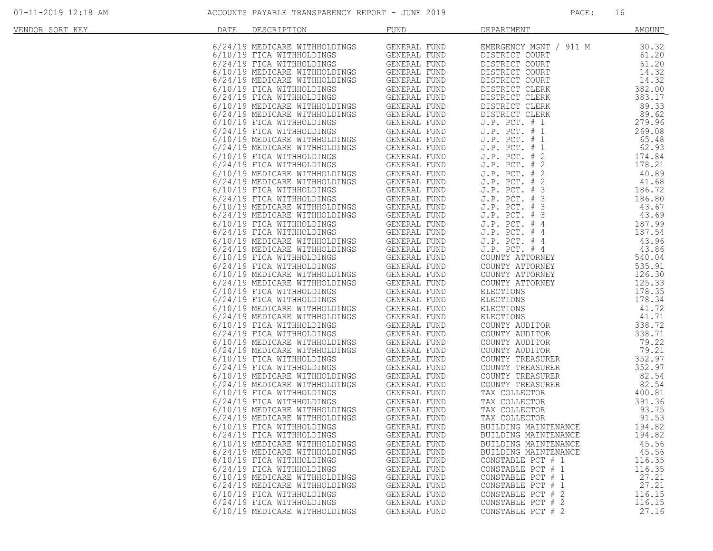| VENDOR SORT KEY | DATE | DESCRIPTION                                                                                                                                               | <b>FUND</b>                                                                            | DEPARTMENT                                                                                            | <b>AMOUNT</b>                               |
|-----------------|------|-----------------------------------------------------------------------------------------------------------------------------------------------------------|----------------------------------------------------------------------------------------|-------------------------------------------------------------------------------------------------------|---------------------------------------------|
|                 |      | 6/24/19 MEDICARE WITHHOLDINGS<br>6/10/19 FICA WITHHOLDINGS<br>6/24/19 FICA WITHHOLDINGS<br>6/10/19 MEDICARE WITHHOLDINGS                                  | GENERAL FUND<br>GENERAL FUND<br>GENERAL FUND<br>GENERAL FUND                           | EMERGENCY MGNT / 911 M<br>DISTRICT COURT<br>DISTRICT COURT<br>DISTRICT COURT                          | 30.32<br>61.20<br>61.20<br>14.32            |
|                 |      | 6/24/19 MEDICARE WITHHOLDINGS<br>6/10/19 FICA WITHHOLDINGS                                                                                                | GENERAL FUND<br>GENERAL FUND                                                           | DISTRICT COURT<br>DISTRICT CLERK                                                                      | 14.32<br>382.00                             |
|                 |      | 6/24/19 FICA WITHHOLDINGS<br>6/10/19 MEDICARE WITHHOLDINGS<br>6/24/19 MEDICARE WITHHOLDINGS<br>6/10/19 FICA WITHHOLDINGS                                  | GENERAL FUND<br>GENERAL FUND<br>GENERAL FUND<br>GENERAL FUND                           | DISTRICT CLERK<br>DISTRICT CLERK<br>DISTRICT CLERK<br>$J.P.$ PCT. $# 1$                               | 383.17<br>89.33<br>89.62<br>279.96          |
|                 |      | 6/24/19 FICA WITHHOLDINGS<br>6/10/19 MEDICARE WITHHOLDINGS<br>6/24/19 MEDICARE WITHHOLDINGS<br>6/10/19 FICA WITHHOLDINGS                                  | GENERAL FUND<br>---<br>GENERAL FUND<br>GENERAL FUND<br>GENERAL FUND                    | J.P. PCT. # 1<br>$J.P.$ PCT. $# 1$<br>$J.P.$ PCT. $# 1$<br>J.P. PCT. # 2                              | 269.08<br>65.48<br>62.93<br>174.84          |
|                 |      | MGS<br>C<br>6/24/19 FICA WITHHOLDINGS<br>6/10/19 MEDICARE WITHHOLDINGS<br>6/24/19 MEDICARE WITHHOLDINGS<br>6/10/19 FICA WITHHOLDINGS                      | GENERAL FUND<br>GENERAL FUND<br>GENERAL FUND<br>GENERAL FUND                           | J.P. PCT. # 2<br>J.P. PCT. # 2<br>J.P. PCT. # 2<br>J.P. PCT. # 3                                      | 178.21<br>40.89<br>41.68<br>186.72          |
|                 |      | 6/24/19 FICA WITHHOLDINGS<br>6/10/19 MEDICARE WITHHOLDINGS<br>6/24/19 MEDICARE WITHHOLDINGS<br>6/10/19 FICA WITHHOLDINGS                                  | GENERAL FUND<br>GENERAL FUND<br>GENERAL FUND<br>GENERAL FUND                           | J.P. PCT. # 3<br>J.P. PCT. # 3<br>J.P. PCT. # 3<br>J.P. PCT. # 4                                      | 186.80<br>43.67<br>43.69<br>187.99          |
|                 |      | 6/24/19 FICA WITHHOLDINGS<br>6/10/19 MEDICARE WITHHOLDINGS<br>6/24/19 MEDICARE WITHHOLDINGS                                                               | GENERAL FUND<br>GENERAL FUND<br>GENERAL FUND                                           | J.P. PCT. # 4<br>J.P. PCT. # 4<br>$J.P.$ PCT. $#$ 4                                                   | 187.54<br>43.96<br>43.86                    |
|                 |      | 6/10/19 FICA WITHHOLDINGS<br>6/24/19 FICA WITHHOLDINGS<br>6/10/19 MEDICARE WITHHOLDINGS<br>6/24/19 MEDICARE WITHHOLDINGS                                  | GENERAL FUND<br>GENERAL FUND<br>INGS GENERAL FUND<br>INGS GENERAL FUND<br>GENERAL FUND | COUNTY ATTORNEY<br>COUNTY ATTORNEY<br>COUNTY ATTORNEY<br>COUNTY ATTORNEY                              | 540.04<br>535.91<br>126.30<br>125.33        |
|                 |      | 6/10/19 FICA WITHHOLDINGS<br>6/24/19 FICA WITHHOLDINGS<br>6/10/19 MEDICARE WITHHOLDINGS                                                                   | GENERAL FUND<br>GENERAL FUND                                                           | ELECTIONS<br>ELECTIONS<br>ELECTIONS                                                                   | 178.35<br>178.34<br>41.72                   |
|                 |      | 6/24/19 MEDICARE WITHHOLDINGS<br>6/10/19 FICA WITHHOLDINGS<br>6/24/19 FICA WITHHOLDINGS<br>6/10/19 MEDICARE WITHHOLDINGS                                  | GENERAL FUND<br>GENERAL FUND<br>GENERAL FUND<br>GENERAL FUND                           | ELECTIONS<br>COUNTY AUDITOR<br>COUNTY AUDITOR<br>COUNTY AUDITOR                                       | 41.71<br>338.72<br>338.71<br>79.22          |
|                 |      | 6/24/19 MEDICARE WITHHOLDINGS<br>6/10/19 FICA WITHHOLDINGS<br>6/24/19 FICA WITHHOLDINGS<br>6/10/19 MEDICARE WITHHOLDINGS                                  | GENERAL FUND<br>GENERAL FUND<br>GENERAL FUND<br>GENERAL FUND                           | COUNTY AUDITOR<br>COUNTY TREASURER<br>COUNTY TREASURER<br>COUNTY TREASURER                            | 79.21<br>352.97<br>352.97<br>82.54          |
|                 |      | 6/24/19 MEDICARE WITHHOLDINGS<br>6/10/19 FICA WITHHOLDINGS<br>6/24/19 FICA WITHHOLDINGS<br>6/10/19 MEDICARE WITHHOLDINGS                                  | GENERAL FUND<br>GENERAL FUND<br>GENERAL FUND<br>GENERAL FUND                           | COUNTY TREASURER<br>TAX COLLECTOR<br>TAX COLLECTOR<br>TAX COLLECTOR                                   | 82.54<br>400.81<br>391.36<br>93.75          |
|                 |      | 6/24/19 MEDICARE WITHHOLDINGS<br>6/10/19 FICA WITHHOLDINGS<br>6/24/19 FICA WITHHOLDINGS                                                                   | GENERAL FUND<br>GENERAL FUND<br>GENERAL FUND                                           | TAX COLLECTOR<br>BUILDING MAINTENANCE<br>BUILDING MAINTENANCE                                         | 91.53<br>194.82<br>194.82                   |
|                 |      | 6/10/19 MEDICARE WITHHOLDINGS<br>6/24/19 MEDICARE WITHHOLDINGS<br>6/10/19 FICA WITHHOLDINGS<br>6/24/19 FICA WITHHOLDINGS                                  | GENERAL FUND<br>GENERAL FUND<br>GENERAL FUND<br>GENERAL FUND                           | BUILDING MAINTENANCE<br>BUILDING MAINTENANCE<br>CONSTABLE PCT # 1<br>CONSTABLE PCT # 1                | 45.56<br>45.56<br>116.35<br>116.35          |
|                 |      | 6/10/19 MEDICARE WITHHOLDINGS<br>6/24/19 MEDICARE WITHHOLDINGS<br>6/10/19 FICA WITHHOLDINGS<br>6/24/19 FICA WITHHOLDINGS<br>6/10/19 MEDICARE WITHHOLDINGS | GENERAL FUND<br>GENERAL FUND<br><b>GENERAL FUND</b><br>GENERAL FUND<br>GENERAL FUND    | CONSTABLE PCT # 1<br>CONSTABLE PCT # 1<br>CONSTABLE PCT # 2<br>CONSTABLE PCT # 2<br>CONSTABLE PCT # 2 | 27.21<br>27.21<br>116.15<br>116.15<br>27.16 |
|                 |      |                                                                                                                                                           |                                                                                        |                                                                                                       |                                             |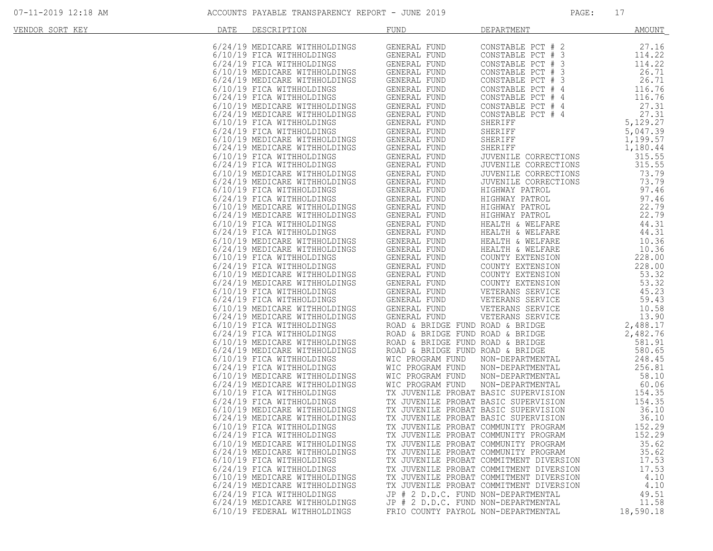| VENDOR SORT KEY | <b>DATE</b> | DESCRIPTION                   | <b>FUND</b>                          | DEPARTMENT                                                                                                                                                                                                                             | <b>AMOUNT</b>    |
|-----------------|-------------|-------------------------------|--------------------------------------|----------------------------------------------------------------------------------------------------------------------------------------------------------------------------------------------------------------------------------------|------------------|
|                 |             |                               |                                      |                                                                                                                                                                                                                                        |                  |
|                 |             |                               |                                      |                                                                                                                                                                                                                                        | 27.16            |
|                 |             |                               |                                      |                                                                                                                                                                                                                                        | 114.22           |
|                 |             |                               |                                      |                                                                                                                                                                                                                                        | 114.22           |
|                 |             |                               |                                      |                                                                                                                                                                                                                                        | 26.71            |
|                 |             |                               |                                      |                                                                                                                                                                                                                                        | 26.71            |
|                 |             |                               |                                      |                                                                                                                                                                                                                                        | 116.76           |
|                 |             |                               |                                      |                                                                                                                                                                                                                                        | 116.76           |
|                 |             |                               |                                      |                                                                                                                                                                                                                                        | 27.31            |
|                 |             |                               |                                      |                                                                                                                                                                                                                                        | 27.31            |
|                 |             |                               |                                      |                                                                                                                                                                                                                                        |                  |
|                 |             |                               |                                      | 5, 129.27<br>SHERIFF<br>SHERIFF 5, 047.39<br>SHERIFF 1, 199.57<br>JUVENILE CORRECTIONS                                                                                                                                                 |                  |
|                 |             |                               |                                      |                                                                                                                                                                                                                                        |                  |
|                 |             |                               |                                      |                                                                                                                                                                                                                                        |                  |
|                 |             |                               |                                      | JUVENILE CORRECTIONS                                                                                                                                                                                                                   |                  |
|                 |             |                               |                                      |                                                                                                                                                                                                                                        | 315.55           |
|                 |             |                               |                                      |                                                                                                                                                                                                                                        | 73.79            |
|                 |             |                               |                                      |                                                                                                                                                                                                                                        | 73.79            |
|                 |             |                               |                                      |                                                                                                                                                                                                                                        | 97.46            |
|                 |             |                               |                                      |                                                                                                                                                                                                                                        | 97.46            |
|                 |             |                               |                                      |                                                                                                                                                                                                                                        | 22.79            |
|                 |             |                               |                                      |                                                                                                                                                                                                                                        | 22.79            |
|                 |             |                               |                                      | HIGHWAY PATROL<br>HIGHWAY PATROL<br>HIGHWAY PATROL<br>HIGHWAY PATROL<br>HIGHWAY PATROL<br>HIGHWAY FAILLY<br>HEALTH & WELFARE<br>TITTI & WELFARE                                                                                        | 44.31            |
|                 |             |                               |                                      |                                                                                                                                                                                                                                        | 44.31            |
|                 |             |                               |                                      |                                                                                                                                                                                                                                        | 10.36            |
|                 |             |                               |                                      |                                                                                                                                                                                                                                        | 10.36            |
|                 |             |                               |                                      |                                                                                                                                                                                                                                        | 228.00           |
|                 |             |                               |                                      |                                                                                                                                                                                                                                        | 228.00           |
|                 |             |                               |                                      |                                                                                                                                                                                                                                        | 53.32            |
|                 |             |                               |                                      |                                                                                                                                                                                                                                        | 53.32            |
|                 |             |                               |                                      |                                                                                                                                                                                                                                        | 45.23            |
|                 |             |                               |                                      |                                                                                                                                                                                                                                        | 59.43            |
|                 |             |                               |                                      |                                                                                                                                                                                                                                        | 10.58            |
|                 |             |                               |                                      |                                                                                                                                                                                                                                        | 13.90            |
|                 |             |                               |                                      |                                                                                                                                                                                                                                        | 2,488.17         |
|                 |             |                               |                                      |                                                                                                                                                                                                                                        | 2,482.76         |
|                 |             |                               |                                      |                                                                                                                                                                                                                                        | 581.91           |
|                 |             |                               |                                      |                                                                                                                                                                                                                                        | 580.65           |
|                 |             |                               |                                      |                                                                                                                                                                                                                                        | 580.65<br>248.45 |
|                 |             |                               |                                      |                                                                                                                                                                                                                                        | 256.81           |
|                 |             |                               |                                      |                                                                                                                                                                                                                                        |                  |
|                 |             |                               |                                      |                                                                                                                                                                                                                                        | 58.10            |
|                 |             |                               |                                      |                                                                                                                                                                                                                                        | 60.06            |
|                 |             |                               |                                      |                                                                                                                                                                                                                                        | 154.35           |
|                 |             |                               |                                      |                                                                                                                                                                                                                                        | 154.35           |
|                 |             |                               |                                      | 6/10/19 FICA WITHHOLDINGS<br>6/24/19 FICA WITHHOLDINGS WIC PROGRAM FUND NON-DEPARTMENTAL<br>6/10/19 MEDICARE WITHHOLDINGS WIC PROGRAM FUND NON-DEPARTMENTAL<br>6/24/19 MEDICARE WITHHOLDINGS WIC PROGRAM FUND NON-DEPARTMENTAL<br>6/10 | 36.10            |
|                 |             |                               |                                      |                                                                                                                                                                                                                                        | 36.10            |
|                 |             | 6/10/19 FICA WITHHOLDINGS     | TX JUVENILE PROBAT COMMUNITY PROGRAM |                                                                                                                                                                                                                                        | 152.29           |
|                 |             | 6/24/19 FICA WITHHOLDINGS     |                                      | TX JUVENILE PROBAT COMMUNITY PROGRAM                                                                                                                                                                                                   | 152.29           |
|                 |             | 6/10/19 MEDICARE WITHHOLDINGS |                                      | TX JUVENILE PROBAT COMMUNITY PROGRAM                                                                                                                                                                                                   | 35.62            |
|                 |             | 6/24/19 MEDICARE WITHHOLDINGS |                                      | TX JUVENILE PROBAT COMMUNITY PROGRAM                                                                                                                                                                                                   | 35.62            |
|                 |             | 6/10/19 FICA WITHHOLDINGS     |                                      | TX JUVENILE PROBAT COMMITMENT DIVERSION                                                                                                                                                                                                | 17.53            |
|                 |             | 6/24/19 FICA WITHHOLDINGS     |                                      | TX JUVENILE PROBAT COMMITMENT DIVERSION                                                                                                                                                                                                | 17.53            |
|                 |             | 6/10/19 MEDICARE WITHHOLDINGS |                                      | TX JUVENILE PROBAT COMMITMENT DIVERSION                                                                                                                                                                                                | 4.10             |
|                 |             | 6/24/19 MEDICARE WITHHOLDINGS |                                      | TX JUVENILE PROBAT COMMITMENT DIVERSION                                                                                                                                                                                                | 4.10             |
|                 |             | 6/24/19 FICA WITHHOLDINGS     | JP # 2 D.D.C. FUND NON-DEPARTMENTAL  |                                                                                                                                                                                                                                        | 49.51            |
|                 |             | 6/24/19 MEDICARE WITHHOLDINGS | JP # 2 D.D.C. FUND NON-DEPARTMENTAL  |                                                                                                                                                                                                                                        | 11.58            |
|                 |             | 6/10/19 FEDERAL WITHHOLDINGS  | FRIO COUNTY PAYROL NON-DEPARTMENTAL  |                                                                                                                                                                                                                                        | 18,590.18        |
|                 |             |                               |                                      |                                                                                                                                                                                                                                        |                  |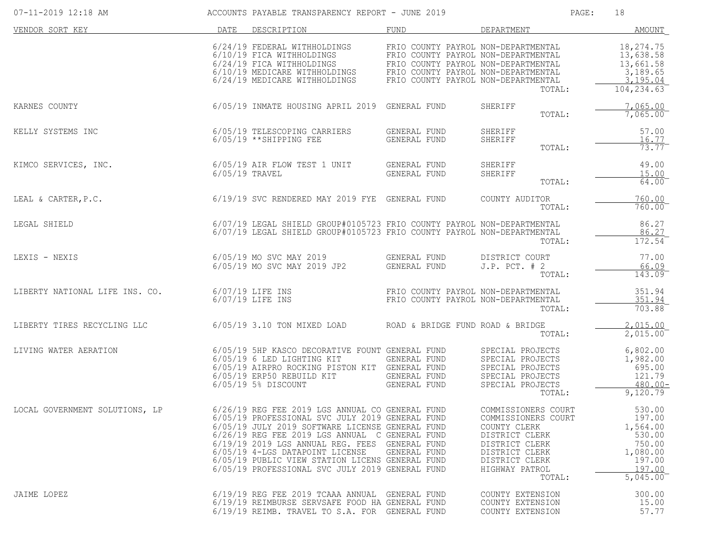| 07-11-2019 12:18 AM            |                | ACCOUNTS PAYABLE TRANSPARENCY REPORT - JUNE 2019                                                                                                                                                                                                                                                                                                                                        |                                                                            |                                                                                                                                                                | PAGE: | 18                                                                                           |
|--------------------------------|----------------|-----------------------------------------------------------------------------------------------------------------------------------------------------------------------------------------------------------------------------------------------------------------------------------------------------------------------------------------------------------------------------------------|----------------------------------------------------------------------------|----------------------------------------------------------------------------------------------------------------------------------------------------------------|-------|----------------------------------------------------------------------------------------------|
| VENDOR SORT KEY                | DATE           | DESCRIPTION                                                                                                                                                                                                                                                                                                                                                                             | FUND                                                                       | DEPARTMENT                                                                                                                                                     |       | AMOUNT                                                                                       |
|                                |                | 6/24/19 FEDERAL WITHHOLDINGS<br>6/10/19 FICA WITHHOLDINGS<br>6/24/19 FICA WITHHOLDINGS FRIO COUNTY PAYROL NON-DEPARTMENTAL<br>6/10/19 MEDICARE WITHHOLDINGS FRIO COUNTY PAYROL NON-DEPARTMENTAL<br>6/24/19 MEDICARE WITHHOLDINGS FRIO COUNTY PAYROL NON-DEPARTMENTAL                                                                                                                    | FRIO COUNTY PAYROL NON-DEPARTMENTAL<br>FRIO COUNTY PAYROL NON-DEPARTMENTAL | TOTAL:                                                                                                                                                         |       | 18,274.75<br>13,638.58<br>13,661.58<br>3,189.65<br>3,195.04<br>104, 234.63                   |
| KARNES COUNTY                  |                | 6/05/19 INMATE HOUSING APRIL 2019 GENERAL FUND                                                                                                                                                                                                                                                                                                                                          |                                                                            | SHERIFF<br>TOTAL:                                                                                                                                              |       | 7,065.00<br>7,065.00                                                                         |
| KELLY SYSTEMS INC              |                | 6/05/19 TELESCOPING CARRIERS<br>6/05/19 ** SHIPPING FEE                                                                                                                                                                                                                                                                                                                                 | GENERAL FUND<br><b>GENERAL FUND</b>                                        | SHERIFF<br>SHERIFF<br>TOTAL:                                                                                                                                   |       | 57.00<br>16.77<br>$73.77^{-}$                                                                |
| KIMCO SERVICES, INC.           | 6/05/19 TRAVEL | 6/05/19 AIR FLOW TEST 1 UNIT                                                                                                                                                                                                                                                                                                                                                            | GENERAL FUND<br>GENERAL FUND                                               | SHERIFF<br>SHERIFF<br>TOTAL:                                                                                                                                   |       | 49.00<br>15.00<br>64.00                                                                      |
| LEAL & CARTER, P.C.            |                | 6/19/19 SVC RENDERED MAY 2019 FYE GENERAL FUND                                                                                                                                                                                                                                                                                                                                          |                                                                            | COUNTY AUDITOR<br>TOTAL:                                                                                                                                       |       | 760.00<br>760.00                                                                             |
| LEGAL SHIELD                   |                | 6/07/19 LEGAL SHIELD GROUP#0105723 FRIO COUNTY PAYROL NON-DEPARTMENTAL<br>6/07/19 LEGAL SHIELD GROUP#0105723 FRIO COUNTY PAYROL NON-DEPARTMENTAL                                                                                                                                                                                                                                        |                                                                            | TOTAL:                                                                                                                                                         |       | 86.27<br>86.27<br>172.54                                                                     |
| LEXIS - NEXIS                  |                | 6/05/19 MO SVC MAY 2019<br>6/05/19 MO SVC MAY 2019 JP2                                                                                                                                                                                                                                                                                                                                  | GENERAL FUND<br>GENERAL FUND                                               | DISTRICT COURT<br>$J.P.$ PCT. $# 2$<br>TOTAL:                                                                                                                  |       | 77.00<br>66.09<br>143.09                                                                     |
| LIBERTY NATIONAL LIFE INS. CO. |                | $6/07/19$ LIFE INS<br>$6/07/19$ LIFE INS                                                                                                                                                                                                                                                                                                                                                | FRIO COUNTY PAYROL NON-DEPARTMENTAL<br>FRIO COUNTY PAYROL NON-DEPARTMENTAL | TOTAL:                                                                                                                                                         |       | 351.94<br>351.94<br>703.88                                                                   |
| LIBERTY TIRES RECYCLING LLC    |                | $6/05/19$ 3.10 TON MIXED LOAD                                                                                                                                                                                                                                                                                                                                                           | ROAD & BRIDGE FUND ROAD & BRIDGE                                           | TOTAL:                                                                                                                                                         |       | 2,015.00<br>2,015.00                                                                         |
| LIVING WATER AERATION          |                | 6/05/19 5HP KASCO DECORATIVE FOUNT GENERAL FUND<br>6/05/19 6 LED LIGHTING KIT<br>6/05/19 AIRPRO ROCKING PISTON KIT GENERAL FUND<br>6/05/19 ERP50 REBUILD KIT<br>6/05/19 5% DISCOUNT                                                                                                                                                                                                     | GENERAL FUND<br><b>GENERAL FUND</b><br>GENERAL FUND                        | SPECIAL PROJECTS<br>SPECIAL PROJECTS<br>SPECIAL PROJECTS<br>SPECIAL PROJECTS<br>SPECIAL PROJECTS<br>TOTAL:                                                     |       | 6,802.00<br>1,982.00<br>695.00<br>121.79<br>$480.00 -$<br>9,120.79                           |
| LOCAL GOVERNMENT SOLUTIONS, LP |                | 6/26/19 REG FEE 2019 LGS ANNUAL CO GENERAL FUND<br>6/05/19 PROFESSIONAL SVC JULY 2019 GENERAL FUND<br>6/05/19 JULY 2019 SOFTWARE LICENSE GENERAL FUND<br>6/26/19 REG FEE 2019 LGS ANNUAL C GENERAL FUND<br>$6/19/19$ 2019 LGS ANNUAL REG. FEES<br>6/05/19 4-LGS DATAPOINT LICENSE<br>6/05/19 PUBLIC VIEW STATION LICENS GENERAL FUND<br>6/05/19 PROFESSIONAL SVC JULY 2019 GENERAL FUND | GENERAL FUND<br>GENERAL FUND                                               | COMMISSIONERS COURT<br>COMMISSIONERS COURT<br>COUNTY CLERK<br>DISTRICT CLERK<br>DISTRICT CLERK<br>DISTRICT CLERK<br>DISTRICT CLERK<br>HIGHWAY PATROL<br>TOTAL: |       | 530.00<br>197.00<br>1,564.00<br>530.00<br>750.00<br>1,080.00<br>197.00<br>197.00<br>5,045.00 |
| JAIME LOPEZ                    |                | 6/19/19 REG FEE 2019 TCAAA ANNUAL GENERAL FUND<br>6/19/19 REIMBURSE SERVSAFE FOOD HA GENERAL FUND<br>6/19/19 REIMB. TRAVEL TO S.A. FOR GENERAL FUND                                                                                                                                                                                                                                     |                                                                            | COUNTY EXTENSION<br>COUNTY EXTENSION<br>COUNTY EXTENSION                                                                                                       |       | 300.00<br>15.00<br>57.77                                                                     |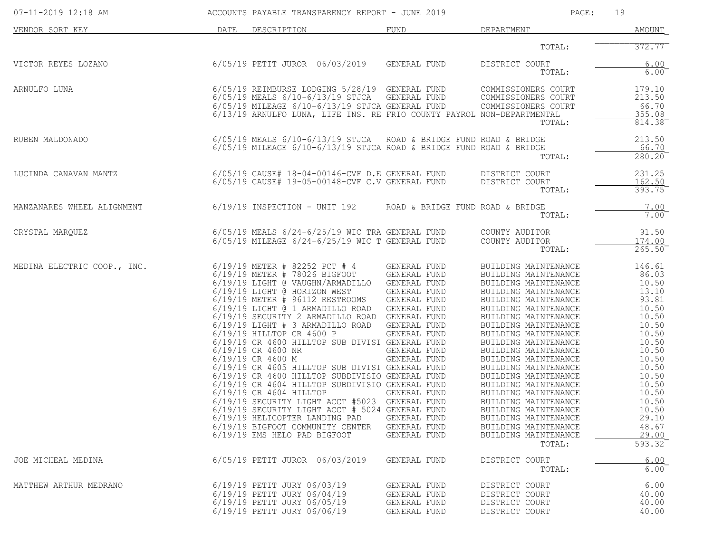| 07-11-2019 12:18 AM         |      | ACCOUNTS PAYABLE TRANSPARENCY REPORT - JUNE 2019                                                                                                                                                                                                                                                                                                                                                                                                                                                                                                                                                                                                                                                                                                                                                                                                                 |                                                                                                                                                                              | PAGE:                                                                                                                                                                                                                                                                                                                                                                                                                                                                                                                          | 19                                                                                                                                                                                                   |
|-----------------------------|------|------------------------------------------------------------------------------------------------------------------------------------------------------------------------------------------------------------------------------------------------------------------------------------------------------------------------------------------------------------------------------------------------------------------------------------------------------------------------------------------------------------------------------------------------------------------------------------------------------------------------------------------------------------------------------------------------------------------------------------------------------------------------------------------------------------------------------------------------------------------|------------------------------------------------------------------------------------------------------------------------------------------------------------------------------|--------------------------------------------------------------------------------------------------------------------------------------------------------------------------------------------------------------------------------------------------------------------------------------------------------------------------------------------------------------------------------------------------------------------------------------------------------------------------------------------------------------------------------|------------------------------------------------------------------------------------------------------------------------------------------------------------------------------------------------------|
| VENDOR SORT KEY             | DATE | DESCRIPTION                                                                                                                                                                                                                                                                                                                                                                                                                                                                                                                                                                                                                                                                                                                                                                                                                                                      | FUND                                                                                                                                                                         | DEPARTMENT                                                                                                                                                                                                                                                                                                                                                                                                                                                                                                                     | AMOUNT                                                                                                                                                                                               |
|                             |      |                                                                                                                                                                                                                                                                                                                                                                                                                                                                                                                                                                                                                                                                                                                                                                                                                                                                  |                                                                                                                                                                              | TOTAL:                                                                                                                                                                                                                                                                                                                                                                                                                                                                                                                         | 372.77                                                                                                                                                                                               |
| VICTOR REYES LOZANO         |      | 6/05/19 PETIT JUROR 06/03/2019                                                                                                                                                                                                                                                                                                                                                                                                                                                                                                                                                                                                                                                                                                                                                                                                                                   | GENERAL FUND                                                                                                                                                                 | DISTRICT COURT<br>TOTAL:                                                                                                                                                                                                                                                                                                                                                                                                                                                                                                       | 6.00<br>$6.00^{-}$                                                                                                                                                                                   |
| ARNULFO LUNA                |      | 6/05/19 REIMBURSE LODGING 5/28/19 GENERAL FUND<br>6/05/19 MEALS 6/10-6/13/19 STJCA GENERAL FUND<br>6/05/19 MILEAGE 6/10-6/13/19 STJCA GENERAL FUND<br>6/13/19 ARNULFO LUNA, LIFE INS. RE FRIO COUNTY PAYROT<br>6/13/19 ARNULFO LUNA, LIFE INS. RE FRIO COUNTY PAYROL NON-DEPARTMENTAL                                                                                                                                                                                                                                                                                                                                                                                                                                                                                                                                                                            |                                                                                                                                                                              | COMMISSIONERS COURT<br>COMMISSIONERS COURT<br>COMMISSIONERS COURT<br>TOTAL:                                                                                                                                                                                                                                                                                                                                                                                                                                                    | 179.10<br>213.50<br>66.70<br><u>355.08</u><br>814.38                                                                                                                                                 |
| RUBEN MALDONADO             |      | $6/05/19$ MEALS $6/10-6/13/19$ STJCA ROAD & BRIDGE FUND ROAD & BRIDGE<br>$6/05/19$ MILEAGE $6/10-6/13/19$ STJCA ROAD & BRIDGE FUND ROAD & BRIDGE                                                                                                                                                                                                                                                                                                                                                                                                                                                                                                                                                                                                                                                                                                                 |                                                                                                                                                                              | TOTAL:                                                                                                                                                                                                                                                                                                                                                                                                                                                                                                                         | 213.50<br>66.70<br>280.20                                                                                                                                                                            |
| LUCINDA CANAVAN MANTZ       |      | $6/05/19$ CAUSE# $18-04-00146$ -CVF D.E GENERAL FUND<br>6/05/19 CAUSE# 19-05-00148-CVF C.V GENERAL FUND                                                                                                                                                                                                                                                                                                                                                                                                                                                                                                                                                                                                                                                                                                                                                          |                                                                                                                                                                              | DISTRICT COURT<br>DISTRICT COURT<br>TOTAL:                                                                                                                                                                                                                                                                                                                                                                                                                                                                                     | 231.25<br>162.50<br>393.75                                                                                                                                                                           |
| MANZANARES WHEEL ALIGNMENT  |      | $6/19/19$ INSPECTION - UNIT 192                                                                                                                                                                                                                                                                                                                                                                                                                                                                                                                                                                                                                                                                                                                                                                                                                                  | ROAD & BRIDGE FUND ROAD & BRIDGE                                                                                                                                             | TOTAL:                                                                                                                                                                                                                                                                                                                                                                                                                                                                                                                         | 7.00<br>$7.00$ <sup>-</sup>                                                                                                                                                                          |
| CRYSTAL MARQUEZ             |      | 6/05/19 MEALS 6/24-6/25/19 WIC TRA GENERAL FUND<br>$6/05/19$ MILEAGE $6/24-6/25/19$ WIC T GENERAL FUND                                                                                                                                                                                                                                                                                                                                                                                                                                                                                                                                                                                                                                                                                                                                                           |                                                                                                                                                                              | COUNTY AUDITOR<br>COUNTY AUDITOR<br>TOTAL:                                                                                                                                                                                                                                                                                                                                                                                                                                                                                     | 91.50<br>174.00<br>$265.50^-$                                                                                                                                                                        |
| MEDINA ELECTRIC COOP., INC. |      | 6/19/19 METER # 82252 PCT # 4<br>6/19/19 METER # 78026 BIGFOOT<br>6/19/19 LIGHT @ VAUGHN/ARMADILLO GENERAL FUND<br>6/19/19 LIGHT @ HORIZON WEST<br>6/19/19 METER # 96112 RESTROOMS<br>6/19/19 LIGHT @ 1 ARMADILLO ROAD GENERAL FUND<br>6/19/19 SECURITY 2 ARMADILLO ROAD GENERAL FUND<br>6/19/19 LIGHT # 3 ARMADILLO ROAD GENERAL FUND<br>6/19/19 HILLTOP CR 4600 P<br>6/19/19 CR 4600 HILLTOP SUB DIVISI GENERAL FUND<br>6/19/19 CR 4600 NR<br>6/19/19 CR 4600 M<br>6/19/19 CR 4605 HILLTOP SUB DIVISI GENERAL FUND<br>6/19/19 CR 4600 HILLTOP SUBDIVISIO GENERAL FUND<br>6/19/19 CR 4604 HILLTOP SUBDIVISIO GENERAL FUND<br>6/19/19 CR 4604 HILLTOP<br>6/19/19 SECURITY LIGHT ACCT #5023 GENERAL FUND<br>6/19/19 SECURITY LIGHT ACCT # 5024 GENERAL FUND<br>6/19/19 HELICOPTER LANDING PAD<br>6/19/19 BIGFOOT COMMUNITY CENTER<br>6/19/19 EMS HELO PAD BIGFOOT | GENERAL FUND<br>GENERAL FUND<br>GENERAL FUND<br>GENERAL FUND<br>GENERAL FUND<br>GENERAL FUND<br>GENERAL FUND<br>GENERAL FUND<br>GENERAL FUND<br>GENERAL FUND<br>GENERAL FUND | BUILDING MAINTENANCE<br>BUILDING MAINTENANCE<br>BUILDING MAINTENANCE<br>BUILDING MAINTENANCE<br>BUILDING MAINTENANCE<br>BUILDING MAINTENANCE<br>BUILDING MAINTENANCE<br>BUILDING MAINTENANCE<br>BUILDING MAINTENANCE<br>BUILDING MAINTENANCE<br>BUILDING MAINTENANCE<br>BUILDING MAINTENANCE<br>BUILDING MAINTENANCE<br>BUILDING MAINTENANCE<br>BUILDING MAINTENANCE<br>BUILDING MAINTENANCE<br>BUILDING MAINTENANCE<br>BUILDING MAINTENANCE<br>BUILDING MAINTENANCE<br>BUILDING MAINTENANCE<br>BUILDING MAINTENANCE<br>TOTAL: | 146.61<br>86.03<br>10.50<br>13.10<br>93.81<br>10.50<br>10.50<br>10.50<br>10.50<br>10.50<br>10.50<br>10.50<br>10.50<br>10.50<br>10.50<br>10.50<br>10.50<br>10.50<br>29.10<br>48.67<br>29.00<br>593.32 |
| JOE MICHEAL MEDINA          |      | 6/05/19 PETIT JUROR 06/03/2019                                                                                                                                                                                                                                                                                                                                                                                                                                                                                                                                                                                                                                                                                                                                                                                                                                   | GENERAL FUND                                                                                                                                                                 | DISTRICT COURT<br>TOTAL:                                                                                                                                                                                                                                                                                                                                                                                                                                                                                                       | 6.00<br>6.00                                                                                                                                                                                         |
| MATTHEW ARTHUR MEDRANO      |      | 6/19/19 PETIT JURY 06/03/19<br>6/19/19 PETIT JURY 06/04/19<br>6/19/19 PETIT JURY 06/05/19<br>6/19/19 PETIT JURY 06/06/19                                                                                                                                                                                                                                                                                                                                                                                                                                                                                                                                                                                                                                                                                                                                         | GENERAL FUND<br>GENERAL FUND<br>GENERAL FUND<br>GENERAL FUND                                                                                                                 | DISTRICT COURT<br>DISTRICT COURT<br>DISTRICT COURT<br>DISTRICT COURT                                                                                                                                                                                                                                                                                                                                                                                                                                                           | 6.00<br>40.00<br>40.00<br>40.00                                                                                                                                                                      |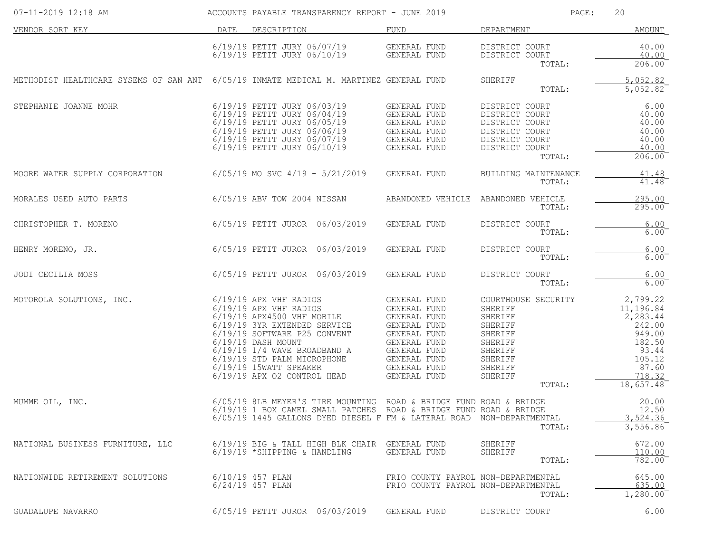| $07 - 11 - 2019$ 12:18 AM                                                              |                                                                                                                                                                                        | ACCOUNTS PAYABLE TRANSPARENCY REPORT - JUNE 2019                                                                                                                                                                                                                                                                                     |                                                                                                                                                                                                                   |                                                                                                                        | PAGE:                          | 20                                                                                                                 |
|----------------------------------------------------------------------------------------|----------------------------------------------------------------------------------------------------------------------------------------------------------------------------------------|--------------------------------------------------------------------------------------------------------------------------------------------------------------------------------------------------------------------------------------------------------------------------------------------------------------------------------------|-------------------------------------------------------------------------------------------------------------------------------------------------------------------------------------------------------------------|------------------------------------------------------------------------------------------------------------------------|--------------------------------|--------------------------------------------------------------------------------------------------------------------|
| VENDOR SORT KEY                                                                        | DATE DESCRIPTION                                                                                                                                                                       |                                                                                                                                                                                                                                                                                                                                      | FUND                                                                                                                                                                                                              | DEPARTMENT                                                                                                             |                                | <b>AMOUNT</b>                                                                                                      |
|                                                                                        |                                                                                                                                                                                        | $6/19/19$ PETIT JURY $06/07/19$ GENERAL FUND<br>$6/19/19$ PETIT JURY $06/10/19$ GENERAL FUND                                                                                                                                                                                                                                         |                                                                                                                                                                                                                   | DISTRICT COURT<br>DISTRICT COURT                                                                                       | TOTAL:                         | 40.00<br>40.00<br>206.00                                                                                           |
| METHODIST HEALTHCARE SYSEMS OF SAN ANT 6/05/19 INMATE MEDICAL M. MARTINEZ GENERAL FUND |                                                                                                                                                                                        |                                                                                                                                                                                                                                                                                                                                      |                                                                                                                                                                                                                   | SHERIFF                                                                                                                | TOTAL:                         | 5,052.82<br>5,052.82                                                                                               |
| STEPHANIE JOANNE MOHR                                                                  | 6/19/19 PETIT JURY 06/03/19<br>6/19/19 PETIT JURY 06/04/19<br>6/19/19 PETIT JURY 06/05/19<br>6/19/19 PETIT JURY 06/06/19<br>6/19/19 PETIT JURY 06/07/19<br>6/19/19 PETIT JURY 06/10/19 |                                                                                                                                                                                                                                                                                                                                      | GENERAL FUND<br>GENERAL FUND<br>GENERAL FUND<br>GENERAL FUND<br>GENERAL FUND<br>CINERAL FUND<br>GENERAL FUND<br>GENERAL FUND                                                                                      | DISTRICT COURT<br>DISTRICT COURT<br>DISTRICT COURT<br>DISTRICT COURT<br>DISTRICT COURT<br>DISTRICT COURT               | TOTAL:                         | 6.00<br>40.00<br>40.00<br>40.00<br>40.00<br>40.00<br>206.00                                                        |
| MOORE WATER SUPPLY CORPORATION                                                         | $6/05/19$ MO SVC $4/19$ - $5/21/2019$                                                                                                                                                  |                                                                                                                                                                                                                                                                                                                                      | GENERAL FUND                                                                                                                                                                                                      |                                                                                                                        | BUILDING MAINTENANCE<br>TOTAL: | $\frac{41.48}{41.48}$                                                                                              |
| MORALES USED AUTO PARTS                                                                |                                                                                                                                                                                        |                                                                                                                                                                                                                                                                                                                                      | 6/05/19 ABV TOW 2004 NISSAN       ABANDONED VEHICLE ABANDONED VEHICLE                                                                                                                                             |                                                                                                                        | TOTAL:                         | 295.00<br>$295.00^{-}$                                                                                             |
| CHRISTOPHER T. MORENO                                                                  | 6/05/19 PETIT JUROR 06/03/2019                                                                                                                                                         |                                                                                                                                                                                                                                                                                                                                      | GENERAL FUND                                                                                                                                                                                                      | DISTRICT COURT                                                                                                         | TOTAL:                         | 6.00<br>$6.00$ <sup>-</sup>                                                                                        |
| 6/05/19 PETIT JUROR 06/03/2019<br>HENRY MORENO, JR.                                    |                                                                                                                                                                                        |                                                                                                                                                                                                                                                                                                                                      | GENERAL FUND                                                                                                                                                                                                      | DISTRICT COURT                                                                                                         | TOTAL:                         | 6.00<br>6.00                                                                                                       |
| 6/05/19 PETIT JUROR 06/03/2019<br>JODI CECILIA MOSS                                    |                                                                                                                                                                                        |                                                                                                                                                                                                                                                                                                                                      | GENERAL FUND                                                                                                                                                                                                      | DISTRICT COURT                                                                                                         | TOTAL:                         | 6.00<br>6.00                                                                                                       |
| MOTOROLA SOLUTIONS, INC.                                                               | 6/19/19 APX VHF RADIOS<br>6/19/19 SOFTWARE P25 CONVENT<br>6/19/19 DASH MOUNT                                                                                                           | 6/19/19 AFA VIII NADIOS<br>6/19/19 APX VHF RADIOS GENERAL FUND<br>6/19/19 3YR EXTENDED SERVICE GENERAL FUND<br>6/19/19 3YR EXTENDED SERVICE GENERAL FUND<br>6/19/19 1/4 WAVE BROADBAND A GENERAL FUND<br>6/19/19 STD PALM MICROPHONE GENERAL FUND<br>6/19/19 15WATT SPEAKER GENERAL FUND<br>6/19/19 APX 02 CONTROL HEAD GENERAL FUND | <b>GENERAL FUND</b><br>GENERAL FUND<br>GENERAL FUND                                                                                                                                                               | COURTHOUSE SECURITY<br>SHERIFF<br>SHERIFF<br>SHERIFF<br>SHERIFF<br>SHERIFF<br>SHERIFF<br>SHERIFF<br>SHERIFF<br>SHERIFF | TOTAL:                         | 2,799.22<br>11,196.84<br>2,283.44<br>242.00<br>949.00<br>182.50<br>93.44<br>105.12<br>87.60<br>718.32<br>18,657.48 |
| MUMME OIL, INC.                                                                        |                                                                                                                                                                                        |                                                                                                                                                                                                                                                                                                                                      | 6/05/19 8LB MEYER'S TIRE MOUNTING ROAD & BRIDGE FUND ROAD & BRIDGE<br>6/19/19 1 BOX CAMEL SMALL PATCHES ROAD & BRIDGE FUND ROAD & BRIDGE<br>6/05/19 1445 GALLONS DYED DIESEL F FM & LATERAL ROAD NON-DEPARTMENTAL |                                                                                                                        | TOTAL:                         | 20.00<br>12.50<br>3,524.36<br>3,556.86                                                                             |
| NATIONAL BUSINESS FURNITURE, LLC                                                       | 6/19/19 *SHIPPING & HANDLING                                                                                                                                                           | 6/19/19 BIG & TALL HIGH BLK CHAIR GENERAL FUND                                                                                                                                                                                                                                                                                       | GENERAL FUND                                                                                                                                                                                                      | SHERIFF<br>SHERIFF                                                                                                     | TOTAL:                         | 672.00<br>110.00<br>782.00                                                                                         |
| NATIONWIDE RETIREMENT SOLUTIONS                                                        | $6/10/19$ 457 PLAN<br>$6/24/19$ 457 PLAN                                                                                                                                               |                                                                                                                                                                                                                                                                                                                                      | FRIO COUNTY PAYROL NON-DEPARTMENTAL<br>FRIO COUNTY PAYROL NON-DEPARTMENTAL                                                                                                                                        |                                                                                                                        | TOTAL:                         | 645.00<br>635.00<br>1,280.00                                                                                       |
| GUADALUPE NAVARRO                                                                      | 6/05/19 PETIT JUROR 06/03/2019                                                                                                                                                         |                                                                                                                                                                                                                                                                                                                                      | GENERAL FUND                                                                                                                                                                                                      | DISTRICT COURT                                                                                                         |                                | 6.00                                                                                                               |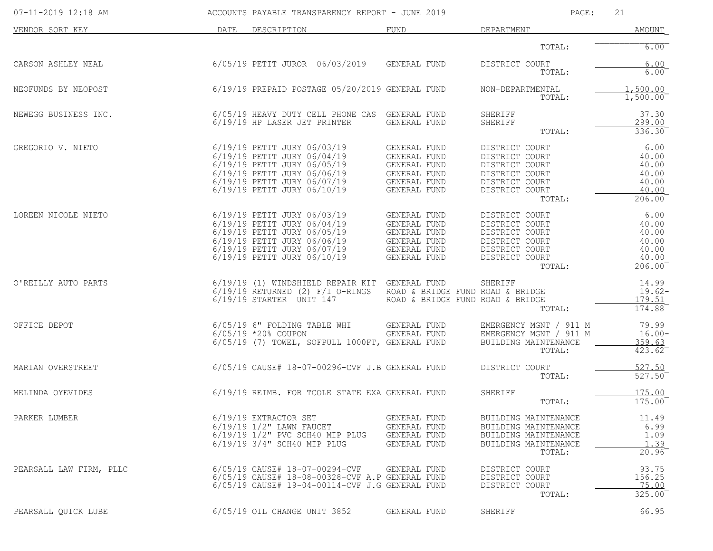| 07-11-2019 12:18 AM     | ACCOUNTS PAYABLE TRANSPARENCY REPORT - JUNE 2019                                                                                                                                       |                                                                                                            | PAGE:                                                                                                              | 21                                                          |
|-------------------------|----------------------------------------------------------------------------------------------------------------------------------------------------------------------------------------|------------------------------------------------------------------------------------------------------------|--------------------------------------------------------------------------------------------------------------------|-------------------------------------------------------------|
| VENDOR SORT KEY         | DATE<br>DESCRIPTION                                                                                                                                                                    | FUND                                                                                                       | DEPARTMENT                                                                                                         | AMOUNT                                                      |
|                         |                                                                                                                                                                                        |                                                                                                            | TOTAL:                                                                                                             | 6.00                                                        |
| CARSON ASHLEY NEAL      | 6/05/19 PETIT JUROR 06/03/2019                                                                                                                                                         | GENERAL FUND                                                                                               | DISTRICT COURT<br>TOTAL:                                                                                           | 6.00<br>$6.00^{-}$                                          |
| NEOFUNDS BY NEOPOST     | 6/19/19 PREPAID POSTAGE 05/20/2019 GENERAL FUND                                                                                                                                        |                                                                                                            | NON-DEPARTMENTAL<br>TOTAL:                                                                                         | 1,500.00<br>1,500.00                                        |
| NEWEGG BUSINESS INC.    | 6/05/19 HEAVY DUTY CELL PHONE CAS GENERAL FUND<br>6/19/19 HP LASER JET PRINTER                                                                                                         | GENERAL FUND                                                                                               | SHERIFF<br>SHERIFF<br>TOTAL:                                                                                       | 37.30<br>299.00<br>336.30                                   |
| GREGORIO V. NIETO       | 6/19/19 PETIT JURY 06/03/19<br>6/19/19 PETIT JURY 06/04/19<br>6/19/19 PETIT JURY 06/05/19<br>6/19/19 PETIT JURY 06/06/19<br>6/19/19 PETIT JURY 06/07/19<br>6/19/19 PETIT JURY 06/10/19 | GENERAL FUND<br><b>GENERAL FUND</b><br>GENERAL FUND<br><b>GENERAL FUND</b><br>GENERAL FUND<br>GENERAL FUND | DISTRICT COURT<br>DISTRICT COURT<br>DISTRICT COURT<br>DISTRICT COURT<br>DISTRICT COURT<br>DISTRICT COURT<br>TOTAL: | 6.00<br>40.00<br>40.00<br>40.00<br>40.00<br>40.00<br>206.00 |
| LOREEN NICOLE NIETO     | 6/19/19 PETIT JURY 06/03/19<br>6/19/19 PETIT JURY 06/04/19<br>6/19/19 PETIT JURY 06/05/19<br>6/19/19 PETIT JURY 06/06/19<br>6/19/19 PETIT JURY 06/07/19<br>6/19/19 PETIT JURY 06/10/19 | GENERAL FUND<br>GENERAL FUND<br>GENERAL FUND<br><b>GENERAL FUND</b><br>GENERAL FUND<br>GENERAL FUND        | DISTRICT COURT<br>DISTRICT COURT<br>DISTRICT COURT<br>DISTRICT COURT<br>DISTRICT COURT<br>DISTRICT COURT<br>TOTAL: | 6.00<br>40.00<br>40.00<br>40.00<br>40.00<br>40.00<br>206.00 |
| O'REILLY AUTO PARTS     | 6/19/19 (1) WINDSHIELD REPAIR KIT GENERAL FUND<br>$6/19/19$ RETURNED (2) $F/I$ O-RINGS<br>6/19/19 STARTER UNIT 147                                                                     | ROAD & BRIDGE FUND ROAD & BRIDGE<br>ROAD & BRIDGE FUND ROAD & BRIDGE                                       | SHERIFF<br>TOTAL:                                                                                                  | 14.99<br>$19.62-$<br>179.51<br>174.88                       |
| OFFICE DEPOT            | 6/05/19 6" FOLDING TABLE WHI<br>$6/05/19$ *20% COUPON<br>6/05/19 (7) TOWEL, SOFPULL 1000FT, GENERAL FUND                                                                               | GENERAL FUND<br>GENERAL FUND                                                                               | EMERGENCY MGNT / 911 M<br>EMERGENCY MGNT / 911 M<br>BUILDING MAINTENANCE<br>TOTAL:                                 | 79.99<br>$16.00 -$<br>359.63<br>423.62                      |
| MARIAN OVERSTREET       | 6/05/19 CAUSE# 18-07-00296-CVF J.B GENERAL FUND                                                                                                                                        |                                                                                                            | DISTRICT COURT<br>TOTAL:                                                                                           | 527.50<br>527.50                                            |
| MELINDA OYEVIDES        | 6/19/19 REIMB. FOR TCOLE STATE EXA GENERAL FUND                                                                                                                                        |                                                                                                            | SHERIFF<br>TOTAL:                                                                                                  | 175.00<br>$175.00^{-}$                                      |
| PARKER LUMBER           | $6/19/19$ EXTRACTOR SET<br>$6/19/19$ $1/2$ " LAWN FAUCET<br>6/19/19 1/2" PVC SCH40 MIP PLUG<br>6/19/19 3/4" SCH40 MIP PLUG                                                             | GENERAL FUND<br>GENERAL FUND<br>GENERAL FUND<br>GENERAL FUND                                               | BUILDING MAINTENANCE<br>BUILDING MAINTENANCE<br>BUILDING MAINTENANCE<br>BUILDING MAINTENANCE<br>TOTAL:             | 11.49<br>6.99<br>1.09<br>1.39<br>20.96                      |
| PEARSALL LAW FIRM, PLLC | 6/05/19 CAUSE# 18-07-00294-CVF<br>6/05/19 CAUSE# 18-08-00328-CVF A.P GENERAL FUND<br>6/05/19 CAUSE# 19-04-00114-CVF J.G GENERAL FUND                                                   | GENERAL FUND                                                                                               | DISTRICT COURT<br>DISTRICT COURT<br>DISTRICT COURT<br>TOTAL:                                                       | 93.75<br>156.25<br>75.00<br>325.00                          |
| PEARSALL QUICK LUBE     | 6/05/19 OIL CHANGE UNIT 3852                                                                                                                                                           | GENERAL FUND                                                                                               | SHERIFF                                                                                                            | 66.95                                                       |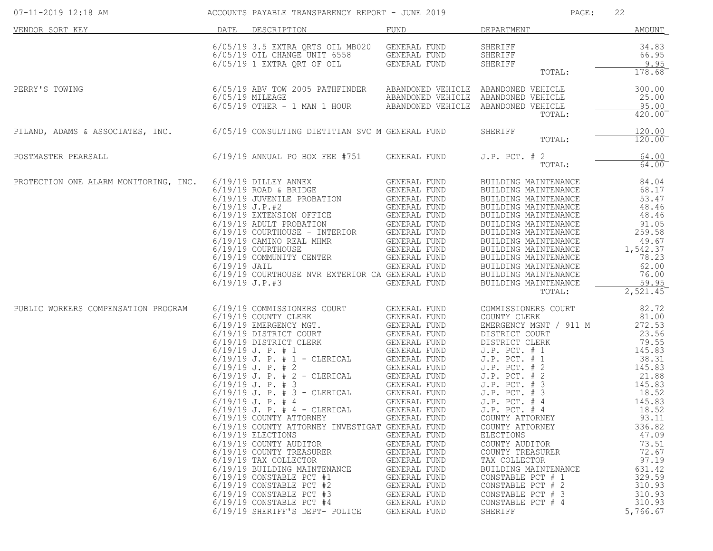| 07-11-2019 12:18 AM                                                              |                                    | ACCOUNTS PAYABLE TRANSPARENCY REPORT - JUNE 2019                                                                                                                                                                                                                                                                                                                                                                                                                                                                                                                                                                                                                                                                                                                                                                                                                                                                                                                                                          |                                                                                                                                                                                                              | PAGE:                                                                                                                                                                                                                                                                                                                                                                                                                                                                                                 | 22                                                                                                                                                                                                                                          |
|----------------------------------------------------------------------------------|------------------------------------|-----------------------------------------------------------------------------------------------------------------------------------------------------------------------------------------------------------------------------------------------------------------------------------------------------------------------------------------------------------------------------------------------------------------------------------------------------------------------------------------------------------------------------------------------------------------------------------------------------------------------------------------------------------------------------------------------------------------------------------------------------------------------------------------------------------------------------------------------------------------------------------------------------------------------------------------------------------------------------------------------------------|--------------------------------------------------------------------------------------------------------------------------------------------------------------------------------------------------------------|-------------------------------------------------------------------------------------------------------------------------------------------------------------------------------------------------------------------------------------------------------------------------------------------------------------------------------------------------------------------------------------------------------------------------------------------------------------------------------------------------------|---------------------------------------------------------------------------------------------------------------------------------------------------------------------------------------------------------------------------------------------|
| VENDOR SORT KEY                                                                  |                                    | DATE DESCRIPTION                                                                                                                                                                                                                                                                                                                                                                                                                                                                                                                                                                                                                                                                                                                                                                                                                                                                                                                                                                                          | FUND                                                                                                                                                                                                         | DEPARTMENT                                                                                                                                                                                                                                                                                                                                                                                                                                                                                            | AMOUNT                                                                                                                                                                                                                                      |
|                                                                                  |                                    | 6/05/19 3.5 EXTRA QRTS OIL MB020 GENERAL FUND<br>6/05/19 OIL CHANGE UNIT 6558 GENERAL FUND<br>6/05/19 1 EXTRA QRT OF OIL GENERAL FUND                                                                                                                                                                                                                                                                                                                                                                                                                                                                                                                                                                                                                                                                                                                                                                                                                                                                     |                                                                                                                                                                                                              | SHERIFF<br>SHERIFF<br>SHERIFF<br>TOTAL:                                                                                                                                                                                                                                                                                                                                                                                                                                                               | 34.83<br>66.95<br>9.95<br>178.68                                                                                                                                                                                                            |
| PERRY'S TOWING                                                                   |                                    | 6/05/19 ABV TOW 2005 PATHFINDER ABANDONED VEHICLE ABANDONED VEHICLE<br>$6/05/19$ MILEAGE $6/05/19$ OTHER - 1 MAN 1 HOUR ABANDONED VEHICLE ABANDONED VEHICLE                                                                                                                                                                                                                                                                                                                                                                                                                                                                                                                                                                                                                                                                                                                                                                                                                                               |                                                                                                                                                                                                              | TOTAL:                                                                                                                                                                                                                                                                                                                                                                                                                                                                                                | 300.00<br>25.00<br>95.00<br>420.00                                                                                                                                                                                                          |
| PILAND, ADAMS & ASSOCIATES, INC. 6/05/19 CONSULTING DIETITIAN SVC M GENERAL FUND |                                    |                                                                                                                                                                                                                                                                                                                                                                                                                                                                                                                                                                                                                                                                                                                                                                                                                                                                                                                                                                                                           |                                                                                                                                                                                                              | SHERIFF<br>TOTAL:                                                                                                                                                                                                                                                                                                                                                                                                                                                                                     | 120.00<br>$120.00^{-}$                                                                                                                                                                                                                      |
| POSTMASTER PEARSALL                                                              |                                    | 6/19/19 ANNUAL PO BOX FEE #751 GENERAL FUND                                                                                                                                                                                                                                                                                                                                                                                                                                                                                                                                                                                                                                                                                                                                                                                                                                                                                                                                                               |                                                                                                                                                                                                              | $J.P.$ PCT. $# 2$<br>TOTAL:                                                                                                                                                                                                                                                                                                                                                                                                                                                                           | 64.00<br>64.00                                                                                                                                                                                                                              |
| PROTECTION ONE ALARM MONITORING, INC.                                            | $6/19/19$ JAIL<br>$6/19/19$ J.P.#3 | 6/19/19 DILLEY ANNEX<br>$6/19/19$ ROAD & BRIDGE<br>6/19/19 JUVENILE PROBATION<br>6/19/19 JUVENILE PROBATION GENERAL FUND<br>6/19/19 EXTENSION OFFICE GENERAL FUND<br>6/19/19 ADULT PROBATION GENERAL FUND<br>6/19/19 COURTHOUSE - INTERIOR GENERAL FUND<br>6/19/19 COURTHOUSE GENERAL FUND<br><br>6/19/19 COURTHOUSE NVR EXTERIOR CA GENERAL FUND                                                                                                                                                                                                                                                                                                                                                                                                                                                                                                                                                                                                                                                         | GENERAL FUND<br>GENERAL FUND<br>GENERAL FUND<br>GENERAL FUND                                                                                                                                                 | BUILDING MAINTENANCE<br>BUILDING MAINTENANCE<br>BUILDING MAINTENANCE<br>BUILDING MAINTENANCE<br>BUILDING MAINTENANCE<br>BUILDING MAINTENANCE<br>BUILDING MAINTENANCE<br>BUILDING MAINTENANCE<br>BUILDING MAINTENANCE<br>BUILDING MAINTENANCE<br>BUILDING MAINTENANCE<br>BUILDING MAINTENANCE<br>BUILDING MAINTENANCE<br>TOTAL:                                                                                                                                                                        | 84.04<br>68.17<br>53.47<br>48.46<br>48.46<br>91.05<br>259.58<br>49.67<br>1,542.37<br>78.23<br>62.00<br>76.00<br>59.95<br>2,521.45                                                                                                           |
| PUBLIC WORKERS COMPENSATION PROGRAM                                              |                                    | 6/19/19 COMMISSIONERS COURT<br>6/19/19 COUNTY CLERK<br>NERS COURT GENERAL FUND<br>MGT. GENERAL FUND<br>COURT GENERAL FUND<br>CENERAL FUND<br>CENERAL FUND<br>- CLERICAL GENERAL FUND<br>- CLERICAL GENERAL FUND<br>- CLERICAL GENERAL FUND<br>- CLERICAL GENERAL FUND<br>- CLERICAL GENERAL FUND<br>- CLE<br>6/19/19 EMERGENCY MGT.<br>6/19/19 DISTRICT COURT<br>6/19/19 DISTRICT CLERK<br>$6/19/19$ J. P. # 1<br>$6/19/19$ J. P. # 1 - CLERICAL<br>$6/19/19$ J. P. # 2<br>$6/19/19$ J. P. # 2 - CLERICAL<br>$6/19/19$ J. P. # 3<br>$6/19/19$ J. P. # 3 - CLERICAL<br>$6/19/19$ J. P. # 4<br>$6/19/19$ J. P. # 4 - CLERICAL<br>6/19/19 COUNTY ATTORNEY<br>6/19/19 COUNTY ATTORNEY INVESTIGAT GENERAL FUND<br>$6/19/19$ ELECTIONS<br>6/19/19 COUNTY AUDITOR<br>6/19/19 COUNTY TREASURER<br>6/19/19 TAX COLLECTOR<br>6/19/19 BUILDING MAINTENANCE<br>$6/19/19$ CONSTABLE PCT #1<br>$6/19/19$ CONSTABLE PCT #2<br>$6/19/19$ CONSTABLE PCT #3<br>$6/19/19$ CONSTABLE PCT #4<br>6/19/19 SHERIFF'S DEPT- POLICE | GENERAL FUND<br>GENERAL FUND<br>GENERAL FUND<br>GENERAL FUND<br>GENERAL FUND<br>GENERAL FUND<br>GENERAL FUND<br>GENERAL FUND<br>GENERAL FUND<br>GENERAL FUND<br>GENERAL FUND<br>GENERAL FUND<br>GENERAL FUND | COMMISSIONERS COURT<br>COUNTY CLERK<br>EMERGENCY MGNT / 911 M<br>DISTRICT COURT<br>DISTRICT CLERK<br>J.P. PCT. <sub>"</sub><br>J.P. PCT. # 1<br>PCT. # 2<br>J.P. PCT. # 2<br>J.P. PCT. # 3<br>J.P. PCT. # 3<br>J.P. PCT. # 4<br>$J.P.$ PCT. $#4$<br>$J.P.$ PCT. $#4$<br>COUNTY ATTORNEY<br>COUNTY ATTORNEY<br>ELECTIONS<br>COUNTY AUDITOR<br>COUNTY TREASURER<br>TAX COLLECTOR<br>BUILDING MAINTENANCE<br>CONSTABLE PCT # 1<br>CONSTABLE PCT # 2<br>CONSTABLE PCT # 3<br>CONSTABLE PCT # 4<br>SHERIFF | 82.72<br>81.00<br>272.53<br>23.56<br>79.55<br>145.83<br>38.31<br>145.83<br>21.88<br>145.83<br>18.52<br>145.83<br>18.52<br>93.11<br>336.82<br>47.09<br>73.51<br>72.67<br>97.19<br>631.42<br>329.59<br>310.93<br>310.93<br>310.93<br>5,766.67 |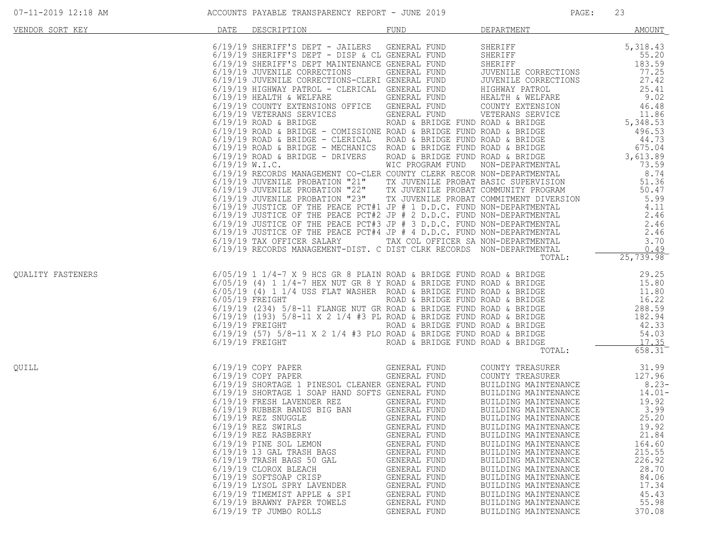| 07-11-2019 12:18 AM |
|---------------------|
|---------------------|

| VENDOR SORT KEY   | DATE | DESCRIPTION                                                                                                                                                                                                                                                                                                                                                                                                                                                                                                                                                                                                                               | <b>FUND</b>                                                                                                                                                                                  | DEPARTMENT                                                                                                                                                                                                                                                                                                                                                                                                                           | <b>AMOUNT</b>                                                                                                                                                           |
|-------------------|------|-------------------------------------------------------------------------------------------------------------------------------------------------------------------------------------------------------------------------------------------------------------------------------------------------------------------------------------------------------------------------------------------------------------------------------------------------------------------------------------------------------------------------------------------------------------------------------------------------------------------------------------------|----------------------------------------------------------------------------------------------------------------------------------------------------------------------------------------------|--------------------------------------------------------------------------------------------------------------------------------------------------------------------------------------------------------------------------------------------------------------------------------------------------------------------------------------------------------------------------------------------------------------------------------------|-------------------------------------------------------------------------------------------------------------------------------------------------------------------------|
|                   |      | 6/19/19 SHERIFF'S DEPT - JAILERS GENERAL FUND<br>G/19/19 SHERIFF'S DEPT - DISP & CL GENERAL FUND<br>6/19/19 SHERIFF'S DEPT - DISP & CL GENERAL FUND<br>6/19/19 SHERIFF'S DEPT MAINTENALLOT COMP<br>6/19/19 SHERIFF'S DEFI - DISF & CLI GENERAL FOND<br>6/19/19 JUVENILE CORRECTIONS<br>6/19/19 JUVENILE CORRECTIONS - GENERAL FUND<br>6/19/19 JUVENILE CORRECTIONS - CLERICAL GENERAL FUND<br>6/19/19 HIGHWAY PATROL - CLERICAL GENERAL F                                                                                                                                                                                                 |                                                                                                                                                                                              | SHERIFF<br>SHERIFF<br>SHERIFF<br>JUVENILE CORRECTIONS                                                                                                                                                                                                                                                                                                                                                                                | 5, 318.43<br>55.20<br>183.59<br>77.25<br>27.42<br>25.41<br>9.02<br>46.48<br>$46.48$<br>$11.86$                                                                          |
|                   |      |                                                                                                                                                                                                                                                                                                                                                                                                                                                                                                                                                                                                                                           |                                                                                                                                                                                              |                                                                                                                                                                                                                                                                                                                                                                                                                                      |                                                                                                                                                                         |
|                   |      |                                                                                                                                                                                                                                                                                                                                                                                                                                                                                                                                                                                                                                           |                                                                                                                                                                                              |                                                                                                                                                                                                                                                                                                                                                                                                                                      |                                                                                                                                                                         |
|                   |      | 6/19/19 RECORDS MANAGEMENT-DIST. C DIST CLRK RECORDS NON-DEPARTMENTAL                                                                                                                                                                                                                                                                                                                                                                                                                                                                                                                                                                     |                                                                                                                                                                                              | TOTAL:                                                                                                                                                                                                                                                                                                                                                                                                                               | 0.49<br>25, 739.98                                                                                                                                                      |
| OUALITY FASTENERS |      |                                                                                                                                                                                                                                                                                                                                                                                                                                                                                                                                                                                                                                           |                                                                                                                                                                                              | TOTAL:                                                                                                                                                                                                                                                                                                                                                                                                                               | 658.31                                                                                                                                                                  |
| OUILL             |      | GENERAL FUND<br>GENERAL FUND<br>6/19/19 COPY PAPER<br>6/19/19 COPY PAPER<br>6/19/19 SHORTAGE 1 PINESOL CLEANER GENERAL FUND<br>6/19/19 SHORTAGE 1 SOAP HAND SOFTS GENERAL FUND<br>6/19/19 FRESH LAVENDER REZ GENERAL FUND<br>6/19/19 RUBBER BANDS BIG BAN GENERAL FUND<br>6/19/19 REZ SNUGGLE<br>6/19/19 REZ SNUGGLE<br>$6/19/19$ REZ SWIRLS<br>$6/19/19$ REZ RASBERRY<br>6/19/19 PINE SOL LEMON<br>$6/19/19$ 13 GAL TRASH BAGS<br>$6/19/19$ TRASH BAGS 50 GAL<br>6/19/19 CLOROX BLEACH<br>6/19/19 SOFTSOAP CRISP<br>6/19/19 LYSOL SPRY LAVENDER<br>6/19/19 TIMEMIST APPLE & SPI<br>6/19/19 BRAWNY PAPER TOWELS<br>6/19/19 TP JUMBO ROLLS | GENERAL FUND<br>GENERAL FUND<br>GENERAL FUND<br>GENERAL FUND<br>GENERAL FUND<br>GENERAL FUND<br>GENERAL FUND<br>GENERAL FUND<br>GENERAL FUND<br>GENERAL FUND<br>GENERAL FUND<br>GENERAL FUND | COUNTY TREASURER<br>COUNTY TREASURER<br>BUILDING MAINTENANCE<br>BUILDING MAINTENANCE<br>BUILDING MAINTENANCE<br>BUILDING MAINTENANCE<br>BUILDING MAINTENANCE<br>BUILDING MAINTENANCE<br>BUILDING MAINTENANCE<br>BUILDING MAINTENANCE<br>BUILDING MAINTENANCE<br>BUILDING MAINTENANCE<br>BUILDING MAINTENANCE<br>BUILDING MAINTENANCE<br>BUILDING MAINTENANCE<br>BUILDING MAINTENANCE<br>BUILDING MAINTENANCE<br>BUILDING MAINTENANCE | 31.99<br>127.96<br>$8.23-$<br>$14.01-$<br>19.92<br>3.99<br>25.20<br>19.92<br>21.84<br>164.60<br>215.55<br>226.92<br>28.70<br>84.06<br>17.34<br>45.43<br>55.98<br>370.08 |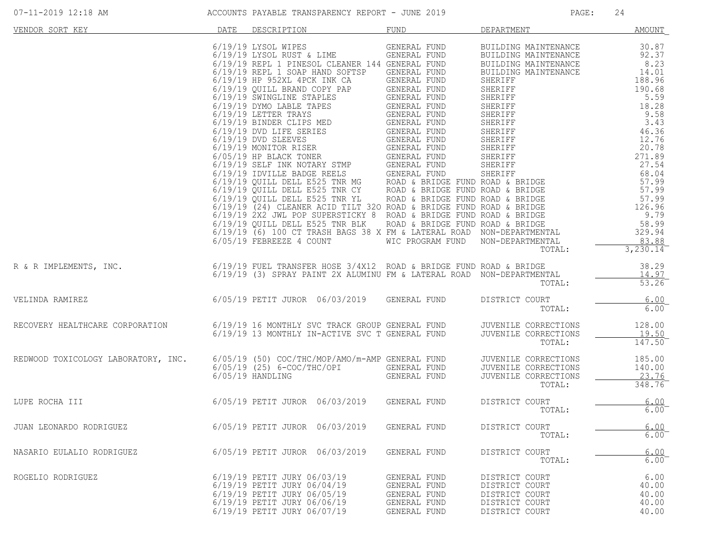| VENDOR SORT KEY                                                                                                                                                                        | DATE | DESCRIPTION                                                                                                                                             | <b>FUND</b>                                                                  | DEPARTMENT                                                                             | <u>AMOUNT</u>                            |
|----------------------------------------------------------------------------------------------------------------------------------------------------------------------------------------|------|---------------------------------------------------------------------------------------------------------------------------------------------------------|------------------------------------------------------------------------------|----------------------------------------------------------------------------------------|------------------------------------------|
|                                                                                                                                                                                        |      | 6/19/19 LYSOL WIPES GENERAL FUND<br>6/05/19 FEBREEZE 4 COUNT                                                                                            | WIC PROGRAM FUND NON-DEPARTMENTAL                                            | BUILDING MAINTENANCE<br>TOTAL:                                                         | 30.87<br>83.88<br>3,230.14               |
| R & R IMPLEMENTS, INC.<br>6/19/19 FUEL TRANSFER HOSE 3/4X12 ROAD & BRIDGE FUND ROAD & BRIDGE<br>6/19/19 (3) SPRAY PAINT 2X ALUMINU FM & LATERAL ROAD NON-DEPARTMENTAL                  |      |                                                                                                                                                         |                                                                              | TOTAL:                                                                                 | 38.29<br>14.97<br>53.26                  |
| VELINDA RAMIREZ                                                                                                                                                                        |      | 6/05/19 PETIT JUROR 06/03/2019 GENERAL FUND                                                                                                             |                                                                              | DISTRICT COURT<br>TOTAL:                                                               | 6.00<br>6.00                             |
| ------<br>RECOVERY HEALTHCARE CORPORATION 6/19/19 16 MONTHLY SVC TRACK GROUP GENERAL FUND JUVENILE CORRECTIONS<br>6/19/19 13 MONTHLY IN-ACTIVE SVC T GENERAL FUND JUVENILE CORRECTIONS |      |                                                                                                                                                         |                                                                              | TOTAL:                                                                                 | 128.00<br>19.50<br>$147.50^{-}$          |
| REDWOOD TOXICOLOGY LABORATORY, INC.                                                                                                                                                    |      |                                                                                                                                                         |                                                                              | JUVENILE CORRECTIONS<br>JUVENILE CORRECTIONS<br>JUVENILE CORRECTIONS<br>TOTAL:         | 185.00<br>140.00<br>23.76<br>348.76      |
| LUPE ROCHA III                                                                                                                                                                         |      | 6/05/19 PETIT JUROR 06/03/2019 GENERAL FUND                                                                                                             |                                                                              | DISTRICT COURT<br>TOTAL:                                                               | 6.00<br>$6.00^{-}$                       |
| JUAN LEONARDO RODRIGUEZ                                                                                                                                                                |      | 6/05/19 PETIT JUROR 06/03/2019                                                                                                                          | GENERAL FUND                                                                 | DISTRICT COURT<br>TOTAL:                                                               | 6.00<br>$6.00^{-}$                       |
| NASARIO EULALIO RODRIGUEZ                                                                                                                                                              |      | 6/05/19 PETIT JUROR 06/03/2019                                                                                                                          | GENERAL FUND                                                                 | DISTRICT COURT<br>TOTAL:                                                               | 6.00<br>$6.00^{-}$                       |
| ROGELIO RODRIGUEZ                                                                                                                                                                      |      | 6/19/19 PETIT JURY 06/03/19<br>6/19/19 PETIT JURY 06/04/19<br>6/19/19 PETIT JURY 06/05/19<br>6/19/19 PETIT JURY 06/06/19<br>6/19/19 PETIT JURY 06/07/19 | GENERAL FUND<br>GENERAL FUND<br>GENERAL FUND<br>GENERAL FUND<br>GENERAL FUND | DISTRICT COURT<br>DISTRICT COURT<br>DISTRICT COURT<br>DISTRICT COURT<br>DISTRICT COURT | 6.00<br>40.00<br>40.00<br>40.00<br>40.00 |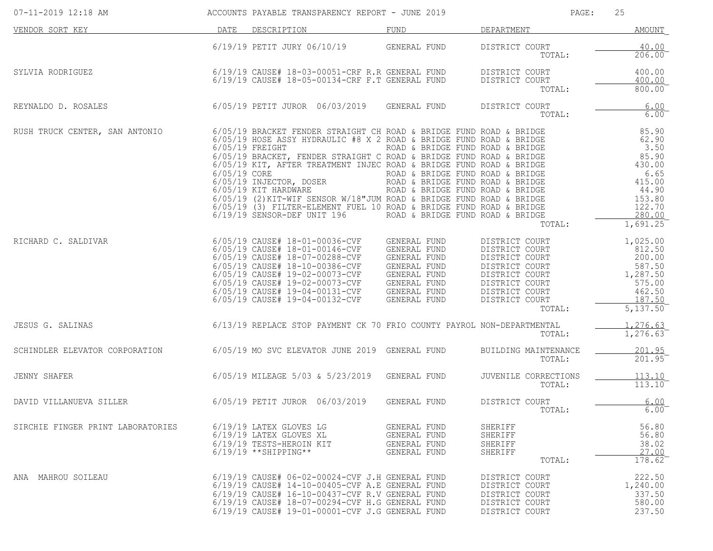| 07-11-2019 12:18 AM               |              | ACCOUNTS PAYABLE TRANSPARENCY REPORT - JUNE 2019                                                                                                                                                                                                                                                                                                                                                                                                                                                                                               |                                                                                                                                                                                  | PAGE:                                                                                                                                                  | 25                                                                                                             |
|-----------------------------------|--------------|------------------------------------------------------------------------------------------------------------------------------------------------------------------------------------------------------------------------------------------------------------------------------------------------------------------------------------------------------------------------------------------------------------------------------------------------------------------------------------------------------------------------------------------------|----------------------------------------------------------------------------------------------------------------------------------------------------------------------------------|--------------------------------------------------------------------------------------------------------------------------------------------------------|----------------------------------------------------------------------------------------------------------------|
| VENDOR SORT KEY                   | DATE         | DESCRIPTION                                                                                                                                                                                                                                                                                                                                                                                                                                                                                                                                    | FUND                                                                                                                                                                             | DEPARTMENT                                                                                                                                             | <b>AMOUNT</b>                                                                                                  |
|                                   |              | 6/19/19 PETIT JURY 06/10/19                                                                                                                                                                                                                                                                                                                                                                                                                                                                                                                    | GENERAL FUND                                                                                                                                                                     | DISTRICT COURT<br>TOTAL:                                                                                                                               | 40.00<br>206.00                                                                                                |
| SYLVIA RODRIGUEZ                  |              | 6/19/19 CAUSE# 18-03-00051-CRF R.R GENERAL FUND<br>6/19/19 CAUSE# 18-05-00134-CRF F.T GENERAL FUND                                                                                                                                                                                                                                                                                                                                                                                                                                             |                                                                                                                                                                                  | DISTRICT COURT<br>DISTRICT COURT<br>TOTAL:                                                                                                             | 400.00<br>400.00<br>800.00                                                                                     |
| REYNALDO D. ROSALES               |              | 6/05/19 PETIT JUROR 06/03/2019                                                                                                                                                                                                                                                                                                                                                                                                                                                                                                                 | GENERAL FUND                                                                                                                                                                     | DISTRICT COURT<br>TOTAL:                                                                                                                               | 6.00<br>$6.00$ <sup>-</sup>                                                                                    |
| RUSH TRUCK CENTER, SAN ANTONIO    | 6/05/19 CORE | 6/05/19 BRACKET FENDER STRAIGHT CH ROAD & BRIDGE FUND ROAD & BRIDGE<br>6/05/19 HOSE ASSY HYDRAULIC #8 X 2 ROAD & BRIDGE FUND ROAD & BRIDGE<br>$6/05/19$ FREIGHT<br>6/05/19 BRACKET, FENDER STRAIGHT C ROAD & BRIDGE FUND ROAD & BRIDGE<br>6/05/19 KIT, AFTER TREATMENT INJEC ROAD & BRIDGE FUND ROAD & BRIDGE<br>6/05/19 INJECTOR, DOSER<br>6/05/19 KIT HARDWARE<br>6/05/19 (2) KIT-WIF SENSOR W/18"JUM ROAD & BRIDGE FUND ROAD & BRIDGE<br>6/05/19 (3) FILTER-ELEMENT FUEL 10 ROAD & BRIDGE FUND ROAD & BRIDGE<br>6/19/19 SENSOR-DEF UNIT 196 | ROAD & BRIDGE FUND ROAD & BRIDGE<br>ROAD & BRIDGE FUND ROAD & BRIDGE<br>ROAD & BRIDGE FUND ROAD & BRIDGE<br>ROAD & BRIDGE FUND ROAD & BRIDGE<br>ROAD & BRIDGE FUND ROAD & BRIDGE | TOTAL:                                                                                                                                                 | 85.90<br>62.90<br>3.50<br>85.90<br>430.00<br>6.65<br>415.00<br>44.90<br>153.80<br>122.70<br>280.00<br>1,691.25 |
| RICHARD C. SALDIVAR               |              | 6/05/19 CAUSE# 18-01-00036-CVF<br>6/05/19 CAUSE# 18-01-00146-CVF<br>6/05/19 CAUSE# 18-07-00288-CVF<br>6/05/19 CAUSE# 18-10-00386-CVF<br>6/05/19 CAUSE# 19-02-00073-CVF<br>6/05/19 CAUSE# 19-02-00073-CVF<br>6/05/19 CAUSE# 19-04-00131-CVF<br>6/05/19 CAUSE# 19-04-00132-CVF                                                                                                                                                                                                                                                                   | GENERAL FUND<br>GENERAL FUND<br>GENERAL FUND<br>GENERAL FUND<br>GENERAL FUND<br>GENERAL FUND<br>GENERAL FUND<br>GENERAL FUND                                                     | DISTRICT COURT<br>DISTRICT COURT<br>DISTRICT COURT<br>DISTRICT COURT<br>DISTRICT COURT<br>DISTRICT COURT<br>DISTRICT COURT<br>DISTRICT COURT<br>TOTAL: | 1,025.00<br>812.50<br>200.00<br>587.50<br>1,287.50<br>575.00<br>462.50<br>187.50<br>5,137.50                   |
| JESUS G. SALINAS                  |              | 6/13/19 REPLACE STOP PAYMENT CK 70 FRIO COUNTY PAYROL NON-DEPARTMENTAL                                                                                                                                                                                                                                                                                                                                                                                                                                                                         |                                                                                                                                                                                  | TOTAL:                                                                                                                                                 | 1,276.63<br>1,276.63                                                                                           |
| SCHINDLER ELEVATOR CORPORATION    |              | 6/05/19 MO SVC ELEVATOR JUNE 2019 GENERAL FUND                                                                                                                                                                                                                                                                                                                                                                                                                                                                                                 |                                                                                                                                                                                  | BUILDING MAINTENANCE<br>TOTAL:                                                                                                                         | 201.95<br>201.95                                                                                               |
| JENNY SHAFER                      |              | 6/05/19 MILEAGE 5/03 & 5/23/2019                                                                                                                                                                                                                                                                                                                                                                                                                                                                                                               | GENERAL FUND                                                                                                                                                                     | JUVENILE CORRECTIONS<br>TOTAL:                                                                                                                         | 113.10<br>113.10                                                                                               |
| DAVID VILLANUEVA SILLER           |              | 6/05/19 PETIT JUROR 06/03/2019                                                                                                                                                                                                                                                                                                                                                                                                                                                                                                                 | GENERAL FUND                                                                                                                                                                     | DISTRICT COURT<br>TOTAL:                                                                                                                               | 6.00<br>$6.00$ <sup>-</sup>                                                                                    |
| SIRCHIE FINGER PRINT LABORATORIES |              | 6/19/19 LATEX GLOVES LG<br>6/19/19 LATEX GLOVES XL<br>6/19/19 TESTS-HEROIN KIT<br>$6/19/19$ **SHIPPING**                                                                                                                                                                                                                                                                                                                                                                                                                                       | GENERAL FUND<br>GENERAL FUND<br>GENERAL FUND<br>GENERAL FUND                                                                                                                     | SHERIFF<br>SHERIFF<br>SHERIFF<br>SHERIFF<br>TOTAL:                                                                                                     | 56.80<br>56.80<br>38.02<br>27.00<br>178.62                                                                     |
| ANA MAHROU SOILEAU                |              | 6/19/19 CAUSE# 06-02-00024-CVF J.H GENERAL FUND<br>$6/19/19$ CAUSE# 14-10-00405-CVF A.E GENERAL FUND<br>6/19/19 CAUSE# 16-10-00437-CVF R.V GENERAL FUND<br>6/19/19 CAUSE# 18-07-00294-CVF H.G GENERAL FUND<br>6/19/19 CAUSE# 19-01-00001-CVF J.G GENERAL FUND                                                                                                                                                                                                                                                                                  |                                                                                                                                                                                  | DISTRICT COURT<br>DISTRICT COURT<br>DISTRICT COURT<br>DISTRICT COURT<br>DISTRICT COURT                                                                 | 222.50<br>1,240.00<br>337.50<br>580.00<br>237.50                                                               |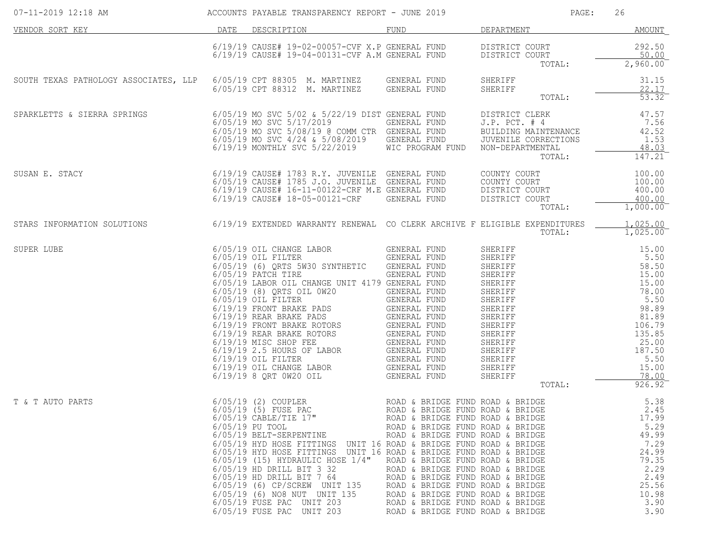| 07-11-2019 12:18 AM                                                                                             | ACCOUNTS PAYABLE TRANSPARENCY REPORT - JUNE 2019                                                                                                                                                                                                                                                                                                                                                                                                                                                                                                                                                         |                                                                                                                                                                                                                                                                                                                                                                      | PAGE:                                                                                                                                                                                                                                                                                                                     | 26                                                                                                                                                     |
|-----------------------------------------------------------------------------------------------------------------|----------------------------------------------------------------------------------------------------------------------------------------------------------------------------------------------------------------------------------------------------------------------------------------------------------------------------------------------------------------------------------------------------------------------------------------------------------------------------------------------------------------------------------------------------------------------------------------------------------|----------------------------------------------------------------------------------------------------------------------------------------------------------------------------------------------------------------------------------------------------------------------------------------------------------------------------------------------------------------------|---------------------------------------------------------------------------------------------------------------------------------------------------------------------------------------------------------------------------------------------------------------------------------------------------------------------------|--------------------------------------------------------------------------------------------------------------------------------------------------------|
| DATE DESCRIPTION<br>VENDOR SORT KEY                                                                             |                                                                                                                                                                                                                                                                                                                                                                                                                                                                                                                                                                                                          | FUND                                                                                                                                                                                                                                                                                                                                                                 | DEPARTMENT                                                                                                                                                                                                                                                                                                                | AMOUNT                                                                                                                                                 |
|                                                                                                                 | $6/19/19$ CAUSE# 19-02-00057-CVF X.P GENERAL FUND DISTRICT COURT $6/19/19$ CAUSE# 19-04-00131-CVF A.M GENERAL FUND DISTRICT COURT                                                                                                                                                                                                                                                                                                                                                                                                                                                                        |                                                                                                                                                                                                                                                                                                                                                                      | DISTRICT COURT<br>TOTAL:                                                                                                                                                                                                                                                                                                  | 292.50<br>50.00<br>2,960.00                                                                                                                            |
| SOUTH TEXAS PATHOLOGY ASSOCIATES, LLP 6/05/19 CPT 88305 M. MARTINEZ GENERAL FUND                                | 6/05/19 CPT 88312 M. MARTINEZ GENERAL FUND                                                                                                                                                                                                                                                                                                                                                                                                                                                                                                                                                               |                                                                                                                                                                                                                                                                                                                                                                      | SHERIFF<br>SHERIFF<br>TOTAL:                                                                                                                                                                                                                                                                                              | 31.15<br>22.17<br>$53.32$ <sup>-</sup>                                                                                                                 |
| SPARKLETTS & SIERRA SPRINGS                                                                                     | 6/05/19 MO SVC 5/02 & 5/22/19 DIST GENERAL FUND<br>6/05/19 MO SVC 5/17/2019<br>6/05/19 MO SVC 5/08/19 @ COMM CTR GENERAL FUND<br>6/05/19 MO SVC 4/24 & 5/08/2019 GENERAL FUND<br>6/19/19 MONTHLY SVC 5/22/2019 WIC PROGRAM FUND                                                                                                                                                                                                                                                                                                                                                                          | GENERAL FUND                                                                                                                                                                                                                                                                                                                                                         | DISTRICT CLERK<br>$J.P.$ PCT. $#4$<br>BUILDING MAINTENANCE<br>JUVENILE CORRECTIONS<br>NON-DEPARTMENTAL<br>TOTAL:                                                                                                                                                                                                          | 47.57<br>7.56<br>42.52<br>1.53<br>48.03<br>147.21                                                                                                      |
| SUSAN E. STACY                                                                                                  | 6/19/19 CAUSE# 1783 R.Y. JUVENILE GENERAL FUND<br>6/05/19 CAUSE# 1785 J.O. JUVENILE GENERAL FUND<br>6/19/19 CAUSE# 16-11-00122-CBE M E CENERAL FUND<br>6/19/19 CAUSE# 16-11-00122-CRF M.E GENERAL FUND<br>6/19/19 CAUSE# 18-05-00121-CRF                                                                                                                                                                                                                                                                                                                                                                 | GENERAL FUND                                                                                                                                                                                                                                                                                                                                                         | COUNTY COURT<br>COUNTY COURT<br>DISTRICT COURT<br>DISTRICT COURT<br>TOTAL:                                                                                                                                                                                                                                                | 100.00<br>100.00<br>400.00<br>400.00<br>$1,000.00^-$                                                                                                   |
| STARS INFORMATION SOLUTIONS 6/19/19 EXTENDED WARRANTY RENEWAL CO CLERK ARCHIVE F ELIGIBLE EXPENDITURES          |                                                                                                                                                                                                                                                                                                                                                                                                                                                                                                                                                                                                          |                                                                                                                                                                                                                                                                                                                                                                      | TOTAL:                                                                                                                                                                                                                                                                                                                    | 1,025.00<br>1,025.00                                                                                                                                   |
| 6/05/19 OIL CHANGE LABOR<br>6/05/19 OIL FILTER<br>6/05/19 (6) QRTS 5W30 SYN<br>6/05/19 PATCH TIRE<br>SUPER LUBE | 6/05/19 (6) QRTS 5W30 SYNTHETIC<br>6/05/19 LABOR OIL CHANGE UNIT 4179 GENERAL FUND<br>6/05/19 LABOR OLL CHANGE ONLI 41/9 GENERAL FOND<br>6/05/19 (8) QRTS OLL 0W20 GENERAL FUND<br>6/19/19 FRONT BRAKE PADS GENERAL FUND<br>6/19/19 FRONT BRAKE PADS GENERAL FUND<br>6/19/19 REAR BRAKE ROTORS GENERAL FUND<br>6/19/19 OLL FILTER G<br>6/19/19 OIL CHANGE LABOR GENERAL FUND<br>6/19/19 8 ORT 0W20 OIL                                                                                                                                                                                                   | GENERAL FUND<br>GENERAL FUND<br><b>GENERAL FUND</b><br>GENERAL FUND<br><b>GENERAL FUND</b>                                                                                                                                                                                                                                                                           | SHERIFF<br>SHERIFF<br>SHERIFF<br>SHERIFF<br>SHERIFF<br>SHERIFF<br>SHERIFF<br>SHERIFF<br>SHERIFF<br>SHERIFF<br>SHERIFF<br>SHERIFF<br>SHERIFF<br>SHERIFF<br>SHERIFF<br>SHERIFF<br>SHERIFF<br>SHERIFF<br>SHERIFF<br>3HERIFF<br>SHERIFF<br>3HERIFF<br>3HERIFF<br>3HERIFF<br>3HERIF<br>SHERIFF<br>SHERIFF<br>SHERIFF<br>TOTAL: | 15.00<br>5.50<br>58.50<br>15.00<br>15.00<br>78.00<br>5.50<br>98.89<br>81.89<br>106.79<br>135.85<br>25.00<br>187.50<br>5.50<br>15.00<br>78.00<br>926.92 |
| T & T AUTO PARTS                                                                                                | 6/05/19 (2) COUPLER                       ROAD & BRIDGE FUND ROAD & BRIDGE<br>6/05/19 (5) FUSE PAC                   ROAD & BRIDGE FUND ROAD & BRIDGE<br>$6/05/19$ CABLE/TIE 17"<br>6/05/19 PU TOOL<br>6/05/19 BELT-SERPENTINE<br>6/05/19 HYD HOSE FITTINGS UNIT 16 ROAD & BRIDGE FUND ROAD & BRIDGE<br>6/05/19 HYD HOSE FITTINGS UNIT 16 ROAD & BRIDGE FUND ROAD & BRIDGE<br>$6/05/19$ (15) HYDRAULIC HOSE $1/4$ "<br>6/05/19 HD DRILL BIT 3 32<br>6/05/19 HD DRILL BIT 7 64<br>6/05/19 (6) CP/SCREW UNIT 135<br>6/05/19 (6) NO8 NUT UNIT 135<br>6/05/19 FUSE PAC UNIT 203<br>6/05/19 FUSE PAC UNIT 203 | ROAD & BRIDGE FUND ROAD & BRIDGE<br>ROAD & BRIDGE FUND ROAD & BRIDGE<br>ROAD & BRIDGE FUND ROAD & BRIDGE<br>ROAD & BRIDGE FUND ROAD & BRIDGE<br>ROAD & BRIDGE FUND ROAD & BRIDGE<br>ROAD & BRIDGE FUND ROAD & BRIDGE<br>ROAD & BRIDGE FUND ROAD & BRIDGE<br>ROAD & BRIDGE FUND ROAD & BRIDGE<br>ROAD & BRIDGE FUND ROAD & BRIDGE<br>ROAD & BRIDGE FUND ROAD & BRIDGE |                                                                                                                                                                                                                                                                                                                           | 5.38<br>2.45<br>17.99<br>5.29<br>49.99<br>7.29<br>24.99<br>79.35<br>2.29<br>2.49<br>25.56<br>10.98<br>3.90<br>3.90                                     |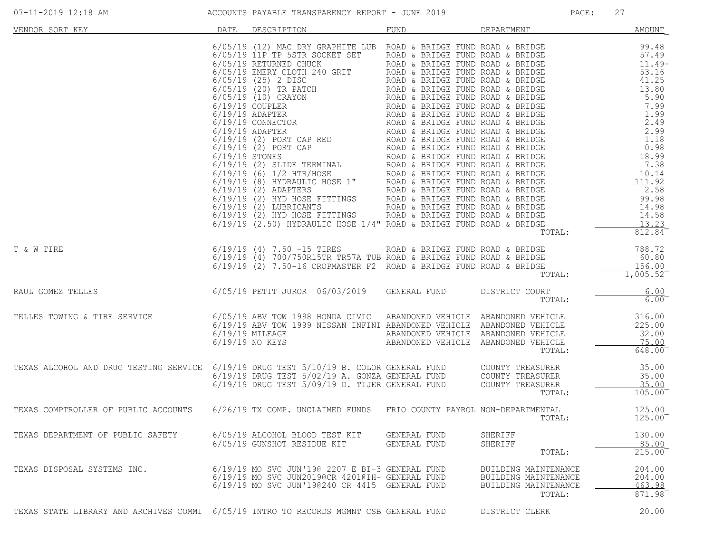| VENDOR SORT KEY                                                                                                                                                             | DATE | DESCRIPTION                                                                                                                                                                                                      | FUND                                                                                                              | DEPARTMENT                                                                     | <b>AMOUNT</b>                                |
|-----------------------------------------------------------------------------------------------------------------------------------------------------------------------------|------|------------------------------------------------------------------------------------------------------------------------------------------------------------------------------------------------------------------|-------------------------------------------------------------------------------------------------------------------|--------------------------------------------------------------------------------|----------------------------------------------|
|                                                                                                                                                                             |      |                                                                                                                                                                                                                  |                                                                                                                   |                                                                                |                                              |
|                                                                                                                                                                             |      |                                                                                                                                                                                                                  |                                                                                                                   | TOTAL:                                                                         | 812.84                                       |
| T & W TIRE                                                                                                                                                                  |      | 6/19/19 (4) 7.50 -15 TIRES           ROAD & BRIDGE FUND ROAD & BRIDGE 6/19/19 (4) 700/750R15TR TR57A TUB ROAD & BRIDGE FUND ROAD & BRIDGE<br>6/19/19 (2) 7.50-16 CROPMASTER F2  ROAD & BRIDGE FUND ROAD & BRIDGE |                                                                                                                   | TOTAL:                                                                         | 788.72<br>60.80<br>156.00<br>1,005.52        |
| RAUL GOMEZ TELLES                                                                                                                                                           |      | 6/05/19 PETIT JUROR 06/03/2019 GENERAL FUND                                                                                                                                                                      |                                                                                                                   | DISTRICT COURT<br>TOTAL:                                                       | 6.00<br>$6.00$ <sup>-</sup>                  |
| TELLES TOWING & TIRE SERVICE                                                                                                                                                |      | 6/05/19 ABV TOW 1998 HONDA CIVIC<br>6/19/19 ABV TOW 1999 NISSAN INFINI ABANDONED VEHICLE ABANDONED VEHICLE<br>$6/19/19$ MILEAGE<br>6/19/19 NO KEYS                                                               | ABANDONED VEHICLE ABANDONED VEHICLE<br>ABANDONED VEHICLE ABANDONED VEHICLE<br>ABANDONED VEHICLE ABANDONED VEHICLE | TOTAL:                                                                         | 316.00<br>225.00<br>32.00<br>75.00<br>648.00 |
| TEXAS ALCOHOL AND DRUG TESTING SERVICE 6/19/19 DRUG TEST 5/10/19 B. COLOR GENERAL FUND COUNTY TREASURER<br>6/19/19 DRUG TEST 5/02/19 A. GONZA GENERAL FUND COUNTY TREASURER |      | 6/19/19 DRUG TEST 5/09/19 D. TIJER GENERAL FUND                                                                                                                                                                  |                                                                                                                   | COUNTY TREASURER<br>TOTAL:                                                     | 35.00<br>35.00<br>35.00<br>105.00            |
| TEXAS COMPTROLLER OF PUBLIC ACCOUNTS 6/26/19 TX COMP. UNCLAIMED FUNDS                                                                                                       |      |                                                                                                                                                                                                                  | FRIO COUNTY PAYROL NON-DEPARTMENTAL                                                                               | TOTAL:                                                                         | 125.00<br>125.00                             |
| TEXAS DEPARTMENT OF PUBLIC SAFETY                                                                                                                                           |      | 6/05/19 ALCOHOL BLOOD TEST KIT<br>6/05/19 GUNSHOT RESIDUE KIT                                                                                                                                                    | GENERAL FUND<br>GENERAL FUND                                                                                      | SHERIFF<br>SHERIFF<br>TOTAL:                                                   | 130.00<br>85.00<br>215.00                    |
| TEXAS DISPOSAL SYSTEMS INC.                                                                                                                                                 |      | 6/19/19 MO SVC JUN'190 2207 E BI-3 GENERAL FUND<br>6/19/19 MO SVC JUN2019@CR 4201@TH- GENERAL FUND<br>6/19/19 MO SVC JUN'190240 CR 4415 GENERAL FUND                                                             |                                                                                                                   | BUILDING MAINTENANCE<br>BUILDING MAINTENANCE<br>BUILDING MAINTENANCE<br>TOTAL: | 204.00<br>204.00<br>463.98<br>871.98         |
| TEXAS STATE LIBRARY AND ARCHIVES COMMI 6/05/19 INTRO TO RECORDS MGMNT CSB GENERAL FUND                                                                                      |      |                                                                                                                                                                                                                  |                                                                                                                   | DISTRICT CLERK                                                                 | 20.00                                        |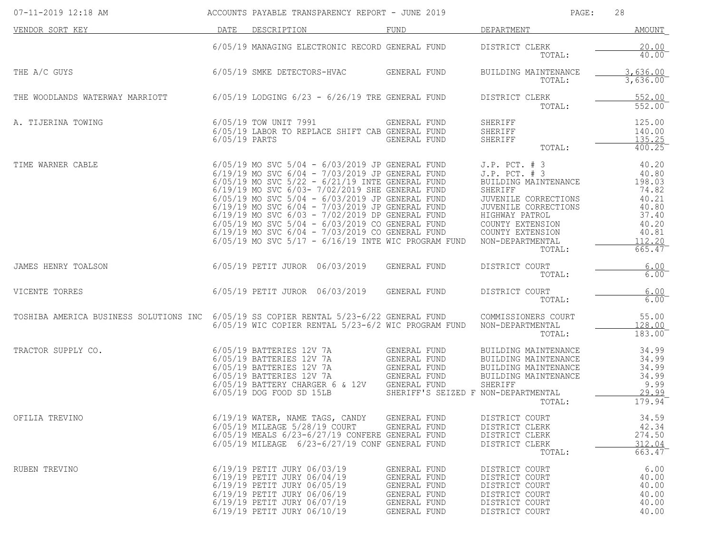| 07-11-2019 12:18 AM                    |                 | ACCOUNTS PAYABLE TRANSPARENCY REPORT - JUNE 2019                                                                                                                                                                                                                                                                                                                                                                                                                                                                                                       |                                                                                                                     | PAGE:                                                                                                                                                                                                             | 28                                                                                                       |
|----------------------------------------|-----------------|--------------------------------------------------------------------------------------------------------------------------------------------------------------------------------------------------------------------------------------------------------------------------------------------------------------------------------------------------------------------------------------------------------------------------------------------------------------------------------------------------------------------------------------------------------|---------------------------------------------------------------------------------------------------------------------|-------------------------------------------------------------------------------------------------------------------------------------------------------------------------------------------------------------------|----------------------------------------------------------------------------------------------------------|
| VENDOR SORT KEY                        | DATE            | DESCRIPTION                                                                                                                                                                                                                                                                                                                                                                                                                                                                                                                                            | FUND                                                                                                                | DEPARTMENT                                                                                                                                                                                                        | AMOUNT                                                                                                   |
|                                        |                 | 6/05/19 MANAGING ELECTRONIC RECORD GENERAL FUND                                                                                                                                                                                                                                                                                                                                                                                                                                                                                                        |                                                                                                                     | DISTRICT CLERK<br>TOTAL:                                                                                                                                                                                          | 20.00<br>$40.00^{-}$                                                                                     |
| THE A/C GUYS                           |                 | 6/05/19 SMKE DETECTORS-HVAC                                                                                                                                                                                                                                                                                                                                                                                                                                                                                                                            | GENERAL FUND                                                                                                        | BUILDING MAINTENANCE<br>TOTAL:                                                                                                                                                                                    | 3,636.00<br>3,636.00                                                                                     |
| THE WOODLANDS WATERWAY MARRIOTT        |                 | $6/05/19$ LODGING $6/23$ - $6/26/19$ TRE GENERAL FUND                                                                                                                                                                                                                                                                                                                                                                                                                                                                                                  |                                                                                                                     | DISTRICT CLERK<br>TOTAL:                                                                                                                                                                                          | 552.00<br>552.00                                                                                         |
| A. TIJERINA TOWING                     | $6/05/19$ PARTS | 6/05/19 TOW UNIT 7991<br>6/05/19 LABOR TO REPLACE SHIFT CAB GENERAL FUND                                                                                                                                                                                                                                                                                                                                                                                                                                                                               | GENERAL FUND<br>GENERAL FUND                                                                                        | SHERIFF<br>SHERIFF<br>SHERIFF<br>TOTAL:                                                                                                                                                                           | 125.00<br>140.00<br>135.25<br>400.25                                                                     |
| TIME WARNER CABLE                      |                 | $6/05/19$ MO SVC $5/04 - 6/03/2019$ JP GENERAL FUND<br>$6/19/19$ MO SVC $6/04 - 7/03/2019$ JP GENERAL FUND<br>$6/05/19$ MO SVC $5/22 - 6/21/19$ INTE GENERAL FUND<br>6/19/19 MO SVC 6/03- 7/02/2019 SHE GENERAL FUND<br>6/05/19 MO SVC 5/04 - 6/03/2019 JP GENERAL FUND<br>$6/19/19$ MO SVC $6/04 - 7/03/2019$ JP GENERAL FUND<br>6/19/19 MO SVC 6/03 - 7/02/2019 DP GENERAL FUND<br>6/05/19 MO SVC 5/04 - 6/03/2019 CO GENERAL FUND<br>$6/19/19$ MO SVC $6/04 - 7/03/2019$ CO GENERAL FUND<br>$6/05/19$ MO SVC $5/17 - 6/16/19$ INTE WIC PROGRAM FUND |                                                                                                                     | $J.P.$ PCT. $# 3$<br>$J.P.$ PCT. $# 3$<br>BUILDING MAINTENANCE<br>SHERIFF<br>JUVENILE CORRECTIONS<br>JUVENILE CORRECTIONS<br>HIGHWAY PATROL<br>COUNTY EXTENSION<br>COUNTY EXTENSION<br>NON-DEPARTMENTAL<br>TOTAL: | 40.20<br>40.80<br>198.03<br>74.82<br>40.21<br>40.80<br>37.40<br>40.20<br>40.81<br>112.20<br>$665.47^{-}$ |
| JAMES HENRY TOALSON                    |                 | 6/05/19 PETIT JUROR 06/03/2019                                                                                                                                                                                                                                                                                                                                                                                                                                                                                                                         | GENERAL FUND                                                                                                        | DISTRICT COURT<br>TOTAL:                                                                                                                                                                                          | 6.00<br>$6.00^{-}$                                                                                       |
| VICENTE TORRES                         |                 | 6/05/19 PETIT JUROR 06/03/2019                                                                                                                                                                                                                                                                                                                                                                                                                                                                                                                         | GENERAL FUND                                                                                                        | DISTRICT COURT<br>TOTAL:                                                                                                                                                                                          | 6.00<br>6.00                                                                                             |
| TOSHIBA AMERICA BUSINESS SOLUTIONS INC |                 | $6/05/19$ SS COPIER RENTAL $5/23-6/22$ GENERAL FUND<br>6/05/19 WIC COPIER RENTAL 5/23-6/2 WIC PROGRAM FUND                                                                                                                                                                                                                                                                                                                                                                                                                                             |                                                                                                                     | COMMISSIONERS COURT<br>NON-DEPARTMENTAL<br>TOTAL:                                                                                                                                                                 | 55.00<br>128.00<br>183.00                                                                                |
| TRACTOR SUPPLY CO.                     |                 | 6/05/19 BATTERIES 12V 7A<br>6/05/19 BATTERIES 12V 7A<br>6/05/19 BATTERIES 12V 7A<br>6/05/19 BATTERIES 12V 7A<br>6/05/19 BATTERY CHARGER 6 & 12V<br>6/05/19 DOG FOOD SD 15LB                                                                                                                                                                                                                                                                                                                                                                            | GENERAL FUND<br>GENERAL FUND<br>GENERAL FUND<br>GENERAL FUND<br>GENERAL FUND<br>SHERIFF'S SEIZED F NON-DEPARTMENTAL | BUILDING MAINTENANCE<br>BUILDING MAINTENANCE<br>BUILDING MAINTENANCE<br>BUILDING MAINTENANCE<br>SHERIFF<br>TOTAL:                                                                                                 | 34.99<br>34.99<br>34.99<br>34.99<br>9.99<br>29.99<br>$179.94$ <sup>-</sup>                               |
| OFILIA TREVINO                         |                 | 6/19/19 WATER, NAME TAGS, CANDY<br>6/05/19 MILEAGE 5/28/19 COURT<br>6/05/19 MEALS 6/23-6/27/19 CONFERE GENERAL FUND<br>6/05/19 MILEAGE 6/23-6/27/19 CONF GENERAL FUND                                                                                                                                                                                                                                                                                                                                                                                  | GENERAL FUND<br>GENERAL FUND                                                                                        | DISTRICT COURT<br>DISTRICT CLERK<br>DISTRICT CLERK<br>DISTRICT CLERK<br>TOTAL:                                                                                                                                    | 34.59<br>42.34<br>274.50<br>312.04<br>663.47                                                             |
| RUBEN TREVINO                          |                 | 6/19/19 PETIT JURY 06/03/19<br>6/19/19 PETIT JURY 06/04/19<br>6/19/19 PETIT JURY 06/05/19<br>6/19/19 PETIT JURY 06/06/19<br>6/19/19 PETIT JURY 06/07/19<br>6/19/19 PETIT JURY 06/10/19                                                                                                                                                                                                                                                                                                                                                                 | GENERAL FUND<br>GENERAL FUND<br>GENERAL FUND<br>GENERAL FUND<br>GENERAL FUND<br>GENERAL FUND                        | DISTRICT COURT<br>DISTRICT COURT<br>DISTRICT COURT<br>DISTRICT COURT<br>DISTRICT COURT<br>DISTRICT COURT                                                                                                          | 6.00<br>40.00<br>40.00<br>40.00<br>40.00<br>40.00                                                        |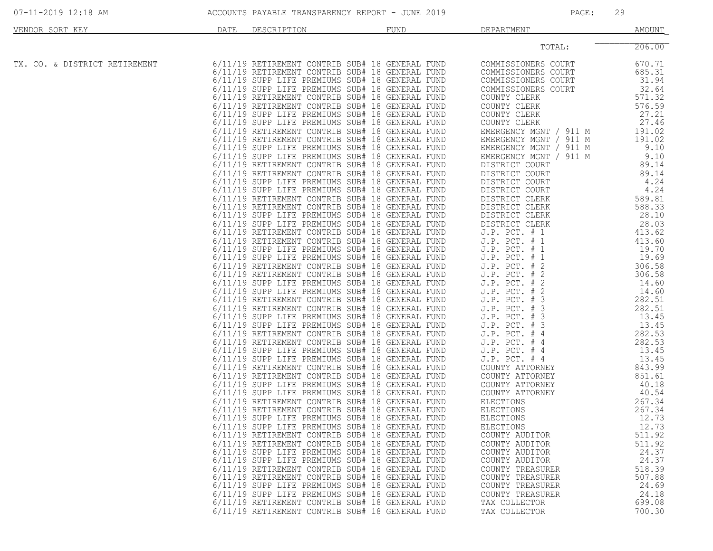| VENDOR SORT KEY               | DATE | DESCRIPTION | FUND                                                                                                                                                                                                                                                        | DEPARTMENT                                                                                                  | AMOUNT                                       |
|-------------------------------|------|-------------|-------------------------------------------------------------------------------------------------------------------------------------------------------------------------------------------------------------------------------------------------------------|-------------------------------------------------------------------------------------------------------------|----------------------------------------------|
|                               |      |             |                                                                                                                                                                                                                                                             | TOTAL:                                                                                                      | 206.00                                       |
| TX. CO. & DISTRICT RETIREMENT |      |             | 6/11/19 RETIREMENT CONTRIB SUB# 18 GENERAL FUND<br>6/11/19 RETIREMENT CONTRIB SUB# 18 GENERAL FUND<br>6/11/19 SUPP LIFE PREMIUMS SUB# 18 GENERAL FUND<br>6/11/19 SUPP LIFE PREMIUMS SUB# 18 GENERAL FUND                                                    | COMMISSIONERS COURT<br>COMMISSIONERS COURT<br>COMMISSIONERS COURT<br>COMMISSIONERS COURT                    | 670.71<br>685.31<br>31.94<br>32.64           |
|                               |      |             | 6/11/19 RETIREMENT CONTRIB SUB# 18 GENERAL FUND<br>6/11/19 RETIREMENT CONTRIB SUB# 18 GENERAL FUND<br>6/11/19 SUPP LIFE PREMIUMS SUB# 18 GENERAL FUND<br>6/11/19 SUPP LIFE PREMIUMS SUB# 18 GENERAL FUND<br>6/11/19 RETIREMENT CONTRIB SUB# 18 GENERAL FUND | COUNTY CLERK<br>COUNTY CLERK<br>COUNTY CLERK<br>COUNTY CLERK<br>EMERGENCY MGNT / 911 M                      | 571.32<br>576.59<br>27.21<br>27.46<br>191.02 |
|                               |      |             | 6/11/19 RETIREMENT CONTRIB SUB# 18 GENERAL FUND<br>6/11/19 SUPP LIFE PREMIUMS SUB# 18 GENERAL FUND<br>6/11/19 SUPP LIFE PREMIUMS SUB# 18 GENERAL FUND<br>6/11/19 RETIREMENT CONTRIB SUB# 18 GENERAL FUND                                                    | EMERGENCY MGNT / 911 M<br>EMERGENCY MGNT / 911 M<br>EMERGENCY MGNT /<br>911 M<br>DISTRICT COURT             | 191.02<br>9.10<br>9.10<br>89.14              |
|                               |      |             | 6/11/19 RETIREMENT CONTRIB SUB# 18 GENERAL FUND<br>6/11/19 SUPP LIFE PREMIUMS SUB# 18 GENERAL FUND<br>6/11/19 SUPP LIFE PREMIUMS SUB# 18 GENERAL FUND<br>6/11/19 RETIREMENT CONTRIB SUB# 18 GENERAL FUND                                                    | DISTRICT COURT<br>DISTRICT COURT<br>DISTRICT COURT<br>DISTRICT CLERK                                        | 89.14<br>4.24<br>4.24<br>589.81              |
|                               |      |             | 6/11/19 RETIREMENT CONTRIB SUB# 18 GENERAL FUND<br>6/11/19 SUPP LIFE PREMIUMS SUB# 18 GENERAL FUND<br>6/11/19 SUPP LIFE PREMIUMS SUB# 18 GENERAL FUND<br>6/11/19 RETIREMENT CONTRIB SUB# 18 GENERAL FUND                                                    | DISTRICT CLERK<br>DISTRICT CLERK<br>DISTRICT CLERK<br>$J.P.$ PCT. $# 1$                                     | 588.33<br>28.10<br>28.03<br>413.62           |
|                               |      |             | 6/11/19 RETIREMENT CONTRIB SUB# 18 GENERAL FUND<br>6/11/19 SUPP LIFE PREMIUMS SUB# 18 GENERAL FUND<br>6/11/19 SUPP LIFE PREMIUMS SUB# 18 GENERAL FUND<br>6/11/19 RETIREMENT CONTRIB SUB# 18 GENERAL FUND                                                    | J.P. PCT. # 1<br>$J.P.$ PCT. $# 1$<br>$J.P.$ PCT. $# 1$<br>$J.P.$ PCT. $# 2$                                | 413.60<br>19.70<br>19.69<br>306.58           |
|                               |      |             | 6/11/19 RETIREMENT CONTRIB SUB# 18 GENERAL FUND<br>6/11/19 SUPP LIFE PREMIUMS SUB# 18 GENERAL FUND<br>6/11/19 SUPP LIFE PREMIUMS SUB# 18 GENERAL FUND<br>6/11/19 RETIREMENT CONTRIB SUB# 18 GENERAL FUND                                                    | $J.P.$ PCT. $# 2$<br>$J.P.$ PCT. $# 2$<br>J.P. PCT. # 2<br>J.P. PCT. # 3                                    | 306.58<br>14.60<br>14.60<br>282.51           |
|                               |      |             | 6/11/19 RETIREMENT CONTRIB SUB# 18 GENERAL FUND<br>6/11/19 SUPP LIFE PREMIUMS SUB# 18 GENERAL FUND<br>6/11/19 SUPP LIFE PREMIUMS SUB# 18 GENERAL FUND<br>6/11/19 RETIREMENT CONTRIB SUB# 18 GENERAL FUND                                                    | J.P. PCT. #<br>$\overline{3}$<br>$J.P.$ PCT. $#$<br>$\overline{3}$<br>$J.P.$ PCT. $# 3$<br>$J.P.$ PCT. $#4$ | 282.51<br>13.45<br>13.45<br>282.53<br>282.53 |
|                               |      |             | 6/11/19 RETIREMENT CONTRIB SUB# 18 GENERAL FUND<br>6/11/19 SUPP LIFE PREMIUMS SUB# 18 GENERAL FUND<br>6/11/19 SUPP LIFE PREMIUMS SUB# 18 GENERAL FUND<br>6/11/19 RETIREMENT CONTRIB SUB# 18 GENERAL FUND                                                    | $J.P.$ PCT. $#4$<br>J.P. PCT. # 4<br>$J.P.$ PCT. $#4$<br>COUNTY ATTORNEY                                    | 13.45<br>13.45<br>843.99                     |
|                               |      |             | 6/11/19 RETIREMENT CONTRIB SUB# 18 GENERAL FUND<br>6/11/19 SUPP LIFE PREMIUMS SUB# 18 GENERAL FUND<br>6/11/19 SUPP LIFE PREMIUMS SUB# 18 GENERAL FUND<br>6/11/19 RETIREMENT CONTRIB SUB# 18 GENERAL FUND                                                    | COUNTY ATTORNEY<br>COUNTY ATTORNEY<br>COUNTY ATTORNEY<br><b>ELECTIONS</b>                                   | 851.61<br>40.18<br>40.54<br>267.34           |
|                               |      |             | 6/11/19 RETIREMENT CONTRIB SUB# 18 GENERAL FUND<br>6/11/19 SUPP LIFE PREMIUMS SUB# 18 GENERAL FUND<br>6/11/19 SUPP LIFE PREMIUMS SUB# 18 GENERAL FUND<br>6/11/19 RETIREMENT CONTRIB SUB# 18 GENERAL FUND                                                    | ELECTIONS<br><b>ELECTIONS</b><br>ELECTIONS<br>COUNTY AUDITOR                                                | 267.34<br>12.73<br>12.73<br>511.92           |
|                               |      |             | 6/11/19 RETIREMENT CONTRIB SUB# 18 GENERAL FUND<br>6/11/19 SUPP LIFE PREMIUMS SUB# 18 GENERAL FUND<br>6/11/19 SUPP LIFE PREMIUMS SUB# 18 GENERAL FUND<br>6/11/19 RETIREMENT CONTRIB SUB# 18 GENERAL FUND                                                    | COUNTY AUDITOR<br>COUNTY AUDITOR<br>COUNTY AUDITOR<br>COUNTY TREASURER                                      | 511.92<br>24.37<br>24.37<br>518.39           |
|                               |      |             | 6/11/19 RETIREMENT CONTRIB SUB# 18 GENERAL FUND<br>6/11/19 SUPP LIFE PREMIUMS SUB# 18 GENERAL FUND<br>6/11/19 SUPP LIFE PREMIUMS SUB# 18 GENERAL FUND<br>6/11/19 RETIREMENT CONTRIB SUB# 18 GENERAL FUND                                                    | COUNTY TREASURER<br>COUNTY TREASURER<br>COUNTY TREASURER<br>TAX COLLECTOR                                   | 507.88<br>24.69<br>24.18<br>699.08           |
|                               |      |             | 6/11/19 RETIREMENT CONTRIB SUB# 18 GENERAL FUND                                                                                                                                                                                                             | TAX COLLECTOR                                                                                               | 700.30                                       |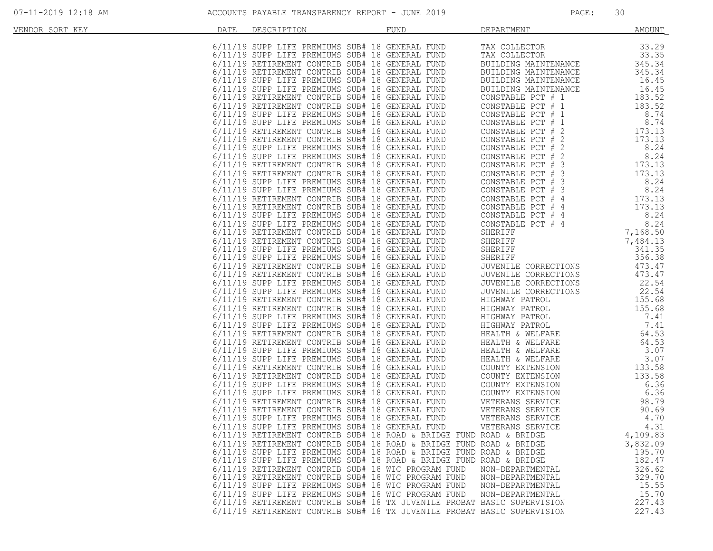| VENDOR SORT KEY | DATE | DESCRIPTION | FUND                                                                    | DEPARTMENT                                                                                                                             | <b>AMOUNT</b>       |
|-----------------|------|-------------|-------------------------------------------------------------------------|----------------------------------------------------------------------------------------------------------------------------------------|---------------------|
|                 |      |             |                                                                         |                                                                                                                                        |                     |
|                 |      |             |                                                                         |                                                                                                                                        |                     |
|                 |      |             |                                                                         |                                                                                                                                        |                     |
|                 |      |             |                                                                         |                                                                                                                                        | $33.35$<br>$345.34$ |
|                 |      |             |                                                                         |                                                                                                                                        |                     |
|                 |      |             |                                                                         | BUILDING MAINTENANCE<br>BUILDING MAINTENANCE<br>BUILDING MAINTENANCE<br>CONSTABLE PCT # 1 183.52<br>CONSTABLE PCT # 1 183.52<br>183.52 |                     |
|                 |      |             |                                                                         |                                                                                                                                        |                     |
|                 |      |             |                                                                         |                                                                                                                                        |                     |
|                 |      |             |                                                                         |                                                                                                                                        |                     |
|                 |      |             |                                                                         |                                                                                                                                        |                     |
|                 |      |             |                                                                         |                                                                                                                                        |                     |
|                 |      |             |                                                                         |                                                                                                                                        |                     |
|                 |      |             |                                                                         |                                                                                                                                        |                     |
|                 |      |             |                                                                         |                                                                                                                                        |                     |
|                 |      |             |                                                                         |                                                                                                                                        |                     |
|                 |      |             |                                                                         |                                                                                                                                        |                     |
|                 |      |             |                                                                         |                                                                                                                                        |                     |
|                 |      |             |                                                                         |                                                                                                                                        |                     |
|                 |      |             |                                                                         |                                                                                                                                        |                     |
|                 |      |             |                                                                         |                                                                                                                                        |                     |
|                 |      |             |                                                                         |                                                                                                                                        |                     |
|                 |      |             |                                                                         |                                                                                                                                        |                     |
|                 |      |             |                                                                         |                                                                                                                                        |                     |
|                 |      |             |                                                                         |                                                                                                                                        |                     |
|                 |      |             |                                                                         |                                                                                                                                        |                     |
|                 |      |             |                                                                         |                                                                                                                                        |                     |
|                 |      |             |                                                                         |                                                                                                                                        |                     |
|                 |      |             |                                                                         |                                                                                                                                        |                     |
|                 |      |             |                                                                         |                                                                                                                                        |                     |
|                 |      |             |                                                                         |                                                                                                                                        |                     |
|                 |      |             |                                                                         |                                                                                                                                        |                     |
|                 |      |             |                                                                         |                                                                                                                                        |                     |
|                 |      |             |                                                                         |                                                                                                                                        |                     |
|                 |      |             |                                                                         |                                                                                                                                        |                     |
|                 |      |             |                                                                         |                                                                                                                                        |                     |
|                 |      |             |                                                                         |                                                                                                                                        |                     |
|                 |      |             |                                                                         |                                                                                                                                        |                     |
|                 |      |             |                                                                         |                                                                                                                                        |                     |
|                 |      |             |                                                                         |                                                                                                                                        |                     |
|                 |      |             |                                                                         |                                                                                                                                        |                     |
|                 |      |             |                                                                         |                                                                                                                                        |                     |
|                 |      |             |                                                                         |                                                                                                                                        |                     |
|                 |      |             |                                                                         |                                                                                                                                        |                     |
|                 |      |             |                                                                         |                                                                                                                                        |                     |
|                 |      |             |                                                                         |                                                                                                                                        |                     |
|                 |      |             |                                                                         |                                                                                                                                        |                     |
|                 |      |             |                                                                         |                                                                                                                                        |                     |
|                 |      |             |                                                                         |                                                                                                                                        |                     |
|                 |      |             |                                                                         |                                                                                                                                        |                     |
|                 |      |             | $6/11/19$ RETIREMENT CONTRIB SUB# 18 ROAD & BRIDGE FUND ROAD & BRIDGE   |                                                                                                                                        | 4,109.83            |
|                 |      |             |                                                                         |                                                                                                                                        |                     |
|                 |      |             | 6/11/19 RETIREMENT CONTRIB SUB# 18 ROAD & BRIDGE FUND ROAD & BRIDGE     |                                                                                                                                        | 3,832.09<br>195.70  |
|                 |      |             | 6/11/19 SUPP LIFE PREMIUMS SUB# 18 ROAD & BRIDGE FUND ROAD & BRIDGE     |                                                                                                                                        |                     |
|                 |      |             | 6/11/19 SUPP LIFE PREMIUMS SUB# 18 ROAD & BRIDGE FUND ROAD & BRIDGE     |                                                                                                                                        | 182.47              |
|                 |      |             | 6/11/19 RETIREMENT CONTRIB SUB# 18 WIC PROGRAM FUND                     | NON-DEPARTMENTAL                                                                                                                       | 326.62              |
|                 |      |             | 6/11/19 RETIREMENT CONTRIB SUB# 18 WIC PROGRAM FUND NON-DEPARTMENTAL    |                                                                                                                                        | 329.70              |
|                 |      |             | 6/11/19 SUPP LIFE PREMIUMS SUB# 18 WIC PROGRAM FUND                     | NON-DEPARTMENTAL                                                                                                                       | 15.55               |
|                 |      |             | 6/11/19 SUPP LIFE PREMIUMS SUB# 18 WIC PROGRAM FUND                     | NON-DEPARTMENTAL                                                                                                                       | 15.70               |
|                 |      |             | 6/11/19 RETIREMENT CONTRIB SUB# 18 TX JUVENILE PROBAT BASIC SUPERVISION |                                                                                                                                        | 227.43              |
|                 |      |             | 6/11/19 RETIREMENT CONTRIB SUB# 18 TX JUVENILE PROBAT BASIC SUPERVISION |                                                                                                                                        | 227.43              |
|                 |      |             |                                                                         |                                                                                                                                        |                     |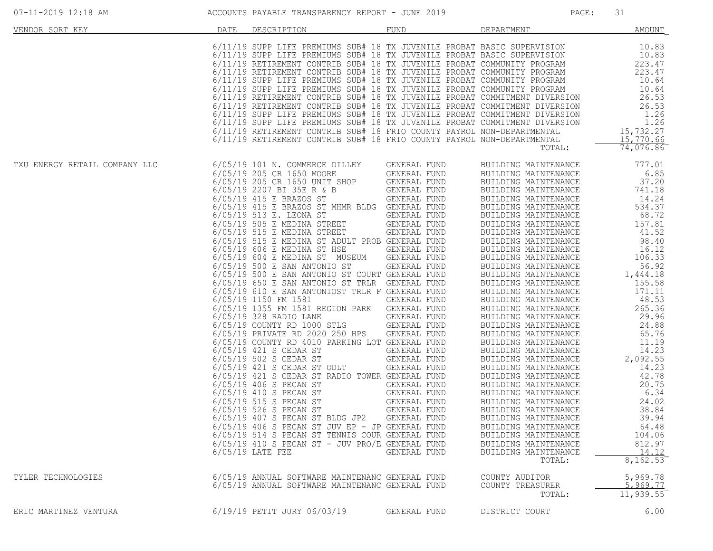| 07-11-2019 12:18 AM           |      | ACCOUNTS PAYABLE TRANSPARENCY REPORT - JUNE 2019                                                                                                                                                                                                                                                                                                                                                                                                                                                                                                                                                                                                                                                                                                                                                                                                                                                                                                                                                                                                                                                                                                                                                                                                                                                 |                                                                                                                                                                                                                                                                                                                                                                                                                     | PAGE:                                                                                                                                                                                                                                                                                                                                                                                                                                                                                                                                                                                                                                                                                                                                                                                                                                                                          | 31                                                                                                                                                                                                                                                                                                                                                       |
|-------------------------------|------|--------------------------------------------------------------------------------------------------------------------------------------------------------------------------------------------------------------------------------------------------------------------------------------------------------------------------------------------------------------------------------------------------------------------------------------------------------------------------------------------------------------------------------------------------------------------------------------------------------------------------------------------------------------------------------------------------------------------------------------------------------------------------------------------------------------------------------------------------------------------------------------------------------------------------------------------------------------------------------------------------------------------------------------------------------------------------------------------------------------------------------------------------------------------------------------------------------------------------------------------------------------------------------------------------|---------------------------------------------------------------------------------------------------------------------------------------------------------------------------------------------------------------------------------------------------------------------------------------------------------------------------------------------------------------------------------------------------------------------|--------------------------------------------------------------------------------------------------------------------------------------------------------------------------------------------------------------------------------------------------------------------------------------------------------------------------------------------------------------------------------------------------------------------------------------------------------------------------------------------------------------------------------------------------------------------------------------------------------------------------------------------------------------------------------------------------------------------------------------------------------------------------------------------------------------------------------------------------------------------------------|----------------------------------------------------------------------------------------------------------------------------------------------------------------------------------------------------------------------------------------------------------------------------------------------------------------------------------------------------------|
| VENDOR SORT KEY               | DATE | DESCRIPTION                                                                                                                                                                                                                                                                                                                                                                                                                                                                                                                                                                                                                                                                                                                                                                                                                                                                                                                                                                                                                                                                                                                                                                                                                                                                                      | FUND                                                                                                                                                                                                                                                                                                                                                                                                                | DEPARTMENT                                                                                                                                                                                                                                                                                                                                                                                                                                                                                                                                                                                                                                                                                                                                                                                                                                                                     | <b>AMOUNT</b>                                                                                                                                                                                                                                                                                                                                            |
|                               |      | 6/11/19 SUPP LIFE PREMIUMS SUB# 18 TX JUVENILE PROBAT BASIC SUPERVISION<br>6/11/19 SUPP LIFE PREMIUMS SUB# 18 TX JUVENILE PROBAT BASIC SUPERVISION<br>6/11/19 RETIREMENT CONTRIB SUB# 18 TX JUVENILE PROBAT COMMUNITY PROGRAM<br>6/11/19 RETIREMENT CONTRIB SUB# 18 TX JUVENILE PROBAT COMMUNITY PROGRAM<br>6/11/19 SUPP LIFE PREMIUMS SUB# 18 TX JUVENILE PROBAT COMMUNITY PROGRAM<br>6/11/19 SUPP LIFE PREMIUMS SUB# 18 TX JUVENILE PROBAT COMMUNITY PROGRAM<br>6/11/19 RETIREMENT CONTRIB SUB# 18 TX JUVENILE PROBAT COMMITMENT DIVERSION<br>6/11/19 RETIREMENT CONTRIB SUB# 18 TX JUVENILE PROBAT COMMITMENT DIVERSION<br>6/11/19 SUPP LIFE PREMIUMS SUB# 18 TX JUVENILE PROBAT COMMITMENT DIVERSION<br>6/11/19 SUPP LIFE PREMIUMS SUB# 18 TX JUVENILE PROBAT COMMITMENT DIVERSION<br>6/11/19 RETIREMENT CONTRIB SUB# 18 FRIO COUNTY PAYROL NON-DEPARTMENTAL<br>6/11/19 RETIREMENT CONTRIB SUB# 18 FRIO COUNTY PAYROL NON-DEPARTMENTAL                                                                                                                                                                                                                                                                                                                                                       |                                                                                                                                                                                                                                                                                                                                                                                                                     | TOTAL:                                                                                                                                                                                                                                                                                                                                                                                                                                                                                                                                                                                                                                                                                                                                                                                                                                                                         | 10.83<br>10.83<br>223.47<br>223.47<br>10.64<br>10.64<br>26.53<br>26.53<br>1.26<br>1.26<br>15,732.27<br>15,770.66<br>74,076.86                                                                                                                                                                                                                            |
| TXU ENERGY RETAIL COMPANY LLC |      | 6/05/19 101 N. COMMERCE DILLEY<br>6/05/19 205 CR 1650 MOORE<br>6/05/19 205 CR 1650 UNIT SHOP<br>6/05/19 2207 BI 35E R & B<br>6/05/19 415 E BRAZOS ST<br>6/05/19 415 E BRAZOS ST MHMR BLDG GENERAL FUND<br>6/05/19 513 E. LEONA ST<br>$6/05/19$ 505 E MEDINA STREET<br>$6/05/19$ 515 E MEDINA STREET<br>6/05/19 515 E MEDINA ST ADULT PROB GENERAL FUND<br>6/05/19 606 E MEDINA ST HSE<br>6/05/19 604 E MEDINA ST MUSEUM<br>6/05/19 500 E SAN ANTONIO ST<br>6/05/19 500 E SAN ANTONIO ST COURT GENERAL FUND<br>6/05/19 650 E SAN ANTONIO ST TRLR GENERAL FUND<br>6/05/19 610 E SAN ANTONIOST TRLR F GENERAL FUND<br>6/05/19 1150 FM 1581<br>6/05/19 1355 FM 1581 REGION PARK<br>6/05/19 328 RADIO LANE<br>$6/05/19$ COUNTY RD $1000$ STLG<br>6/05/19 PRIVATE RD 2020 250 HPS<br>6/05/19 COUNTY RD 4010 PARKING LOT GENERAL FUND<br>6/05/19 421 S CEDAR ST<br>6/05/19 502 S CEDAR ST<br>6/05/19 421 S CEDAR ST ODLT<br>6/05/19 421 S CEDAR ST RADIO TOWER GENERAL FUND<br>6/05/19 406 S PECAN ST<br>6/05/19 410 S PECAN ST<br>6/05/19 515 S PECAN ST<br>6/05/19 526 S PECAN ST<br>6/05/19 407 S PECAN ST BLDG JP2<br>6/05/19 406 S PECAN ST JUV EP - JP GENERAL FUND<br>6/05/19 514 S PECAN ST TENNIS COUR GENERAL FUND<br>$6/05/19$ 410 S PECAN ST - JUV PRO/E GENERAL FUND<br>$6/05/19$ LATE FEE | GENERAL FUND<br>GENERAL FUND<br>GENERAL FUND<br>GENERAL FUND<br>GENERAL FUND<br>GENERAL FUND<br>GENERAL FUND<br>GENERAL FUND<br>GENERAL FUND<br>GENERAL FUND<br>GENERAL FUND<br>GENERAL FUND<br><b>GENERAL FUND</b><br>GENERAL FUND<br>GENERAL FUND<br>GENERAL FUND<br>GENERAL FUND<br>GENERAL FUND<br>GENERAL FUND<br>GENERAL FUND<br>GENERAL FUND<br>GENERAL FUND<br>GENERAL FUND<br>GENERAL FUND<br>GENERAL FUND | BUILDING MAINTENANCE<br>BUILDING MAINTENANCE<br>BUILDING MAINTENANCE<br>BUILDING MAINTENANCE<br>BUILDING MAINTENANCE<br>BUILDING MAINTENANCE<br>BUILDING MAINTENANCE<br>BUILDING MAINTENANCE<br>BUILDING MAINTENANCE<br>BUILDING MAINTENANCE<br>BUILDING MAINTENANCE<br>BUILDING MAINTENANCE<br>BUILDING MAINTENANCE<br>BUILDING MAINTENANCE<br>BUILDING MAINTENANCE<br>BUILDING MAINTENANCE<br>BUILDING MAINTENANCE<br>BUILDING MAINTENANCE<br>BUILDING MAINTENANCE<br>BUILDING MAINTENANCE<br>BUILDING MAINTENANCE<br>BUILDING MAINTENANCE<br>BUILDING MAINTENANCE<br>BUILDING MAINTENANCE<br>BUILDING MAINTENANCE<br>BUILDING MAINTENANCE<br>BUILDING MAINTENANCE<br>BUILDING MAINTENANCE<br>BUILDING MAINTENANCE<br>BUILDING MAINTENANCE<br>BUILDING MAINTENANCE<br>BUILDING MAINTENANCE<br>BUILDING MAINTENANCE<br>BUILDING MAINTENANCE<br>BUILDING MAINTENANCE<br>TOTAL: | 777.01<br>6.85<br>37.20<br>741.18<br>14.24<br>534.37<br>68.72<br>157.81<br>41.52<br>98.40<br>16.12<br>106.33<br>56.92<br>1,444.18<br>155.58<br>171.11<br>48.53<br>265.36<br>29.96<br>24.88<br>65.76<br>11.19<br>14.23<br>2,092.55<br>14.23<br>42.78<br>20.75<br>6.34<br>24.02<br>38.84<br>39.94<br>64.48<br>104.06<br>812.97<br>$\frac{14.12}{8,162.53}$ |
| TYLER TECHNOLOGIES            |      | 6/05/19 ANNUAL SOFTWARE MAINTENANC GENERAL FUND<br>6/05/19 ANNUAL SOFTWARE MAINTENANC GENERAL FUND                                                                                                                                                                                                                                                                                                                                                                                                                                                                                                                                                                                                                                                                                                                                                                                                                                                                                                                                                                                                                                                                                                                                                                                               |                                                                                                                                                                                                                                                                                                                                                                                                                     | COUNTY AUDITOR<br>COUNTY TREASURER<br>TOTAL:                                                                                                                                                                                                                                                                                                                                                                                                                                                                                                                                                                                                                                                                                                                                                                                                                                   | 5,969.78<br>5,969.77<br>11, 939.55                                                                                                                                                                                                                                                                                                                       |
| ERIC MARTINEZ VENTURA         |      | 6/19/19 PETIT JURY 06/03/19                                                                                                                                                                                                                                                                                                                                                                                                                                                                                                                                                                                                                                                                                                                                                                                                                                                                                                                                                                                                                                                                                                                                                                                                                                                                      | GENERAL FUND                                                                                                                                                                                                                                                                                                                                                                                                        | DISTRICT COURT                                                                                                                                                                                                                                                                                                                                                                                                                                                                                                                                                                                                                                                                                                                                                                                                                                                                 | 6.00                                                                                                                                                                                                                                                                                                                                                     |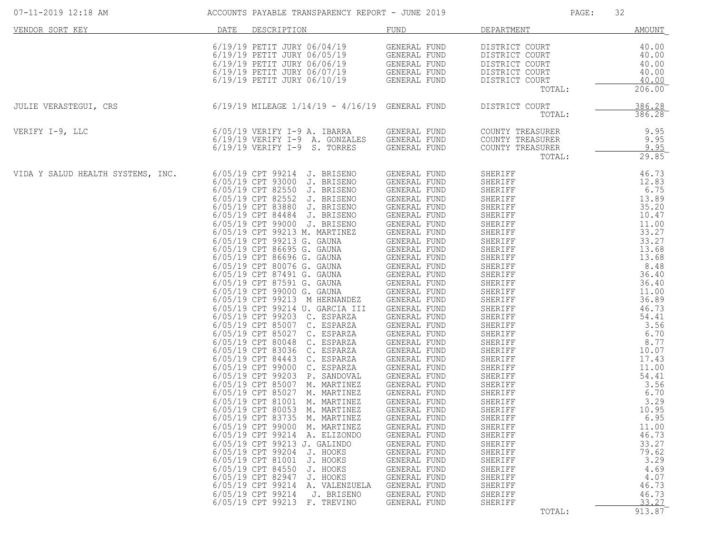| 07-11-2019 12:18 AM               |      | ACCOUNTS PAYABLE TRANSPARENCY REPORT - JUNE 2019                                                                                                                                                                                                   |                                                                              | PAGE:                            | 32                    |
|-----------------------------------|------|----------------------------------------------------------------------------------------------------------------------------------------------------------------------------------------------------------------------------------------------------|------------------------------------------------------------------------------|----------------------------------|-----------------------|
| VENDOR SORT KEY                   | DATE | DESCRIPTION                                                                                                                                                                                                                                        | FUND                                                                         | DEPARTMENT                       | AMOUNT                |
|                                   |      | 6/19/19 PETIT JURY 06/04/19                                                                                                                                                                                                                        | GENERAL FUND<br>GENERAL FUND<br>GENERAL FUND<br>GENERAL FUND<br>GENERAL FUND | DISTRICT COURT                   | 40.00                 |
|                                   |      | 6/19/19 PETIT JURY 06/05/19<br>6/19/19 PETIT JURY 06/06/19                                                                                                                                                                                         |                                                                              | DISTRICT COURT<br>DISTRICT COURT | 40.00<br>40.00        |
|                                   |      | 6/19/19 PETIT JURY 06/07/19                                                                                                                                                                                                                        |                                                                              | DISTRICT COURT                   | 40.00                 |
|                                   |      | 6/19/19 PETIT JURY 06/10/19                                                                                                                                                                                                                        |                                                                              | DISTRICT COURT                   | 40.00                 |
|                                   |      |                                                                                                                                                                                                                                                    |                                                                              | TOTAL:                           | 206.00                |
| JULIE VERASTEGUI, CRS             |      | $6/19/19$ MILEAGE $1/14/19$ - $4/16/19$ GENERAL FUND                                                                                                                                                                                               |                                                                              | DISTRICT COURT<br>TOTAL:         | 386.28<br>386.28      |
|                                   |      | 6/05/19 VERIFY I-9 A. IBARRA<br>6/19/19 VERIFY I-9 A CONFAILS                                                                                                                                                                                      |                                                                              | COUNTY TREASURER                 | 9.95                  |
| VERIFY I-9, LLC                   |      |                                                                                                                                                                                                                                                    | GENERAL FUND<br>GENERAL FUND                                                 | COUNTY TREASURER                 | 9.95                  |
|                                   |      | 6/19/19 VERIFY I-9 S. TORRES                                                                                                                                                                                                                       | GENERAL FUND                                                                 | COUNTY TREASURER                 | 9.95                  |
|                                   |      |                                                                                                                                                                                                                                                    |                                                                              | TOTAL:                           | 29.85                 |
| VIDA Y SALUD HEALTH SYSTEMS, INC. |      | 6/05/19 CPT 99214 J. BRISENO<br>6/05/19 CPT 93000 J. BRISENO                                                                                                                                                                                       | GENERAL FUND<br>GENERAL FUND                                                 | SHERIFF                          | 46.73                 |
|                                   |      | 6/05/19 CPT 82550 J. BRISENO                                                                                                                                                                                                                       | GENERAL FUND                                                                 |                                  |                       |
|                                   |      | 6/05/19 CPT 82552 J. BRISENO                                                                                                                                                                                                                       | GENERAL FUND                                                                 |                                  |                       |
|                                   |      | 6/05/19 CPT 83880 J. BRISENO                                                                                                                                                                                                                       | GENERAL FUND<br>GENERAL FUND                                                 |                                  |                       |
|                                   |      | 6/05/19 CPT 84484 J. BRISENO<br>6/05/19 CPT 99000 J. BRISENO                                                                                                                                                                                       |                                                                              |                                  |                       |
|                                   |      | 6/05/19 CPT 99213 M. MARTINEZ                                                                                                                                                                                                                      | GENERAL FUND<br>GENERAL FUND<br>CENERAL FUND                                 |                                  |                       |
|                                   |      | 6/05/19 CPT 99213 G. GAUNA GENERAL FUND                                                                                                                                                                                                            |                                                                              |                                  |                       |
|                                   |      | 6/05/19 CPT 86695 G. GAUNA                                                                                                                                                                                                                         | <b>GENERAL FUND</b>                                                          |                                  |                       |
|                                   |      | 6/05/19 CPT 86696 G. GAUNA<br>6/05/19 CPT 86696 G. GAUNA<br>6/05/19 CPT 80076 G. GAUNA<br>6/05/19 CPT 87491 G. GAUNA<br>6/05/19 CPT 97591 G. GAUNA<br>6/05/19 CPT 99000 G. GAUNA<br>6/05/19 CPT 99213 M HERNANDEZ<br>6/05/19 CPT 99213 M HERNANDEZ |                                                                              |                                  |                       |
|                                   |      |                                                                                                                                                                                                                                                    |                                                                              |                                  |                       |
|                                   |      |                                                                                                                                                                                                                                                    |                                                                              |                                  |                       |
|                                   |      |                                                                                                                                                                                                                                                    |                                                                              |                                  |                       |
|                                   |      | 6/05/19 CPT 99214 U. GARCIA III                                                                                                                                                                                                                    | GENERAL FUND                                                                 |                                  |                       |
|                                   |      | 6/05/19 CPT 99203 C. ESPARZA                                                                                                                                                                                                                       | <b>GENERAL FUND</b>                                                          |                                  |                       |
|                                   |      | 6/05/19 CPT 85007 C. ESPARZA<br>6/05/19 CPT 85027 C. ESPARZA                                                                                                                                                                                       | GENERAL FUND<br>GENERAL FUND                                                 |                                  |                       |
|                                   |      | 6/05/19 CPT 80048 C. ESPARZA                                                                                                                                                                                                                       | GENERAL FUND                                                                 |                                  |                       |
|                                   |      | 6/05/19 CPT 83036 C. ESPARZA                                                                                                                                                                                                                       | <b>GENERAL FUND</b>                                                          |                                  |                       |
|                                   |      | 6/05/19 CPT 84443 C. ESPARZA                                                                                                                                                                                                                       | GENERAL FUND                                                                 |                                  |                       |
|                                   |      | 6/05/19 CPT 99000 C. ESPARZA<br>6/05/19 CPT 99203 P. SANDOVAL                                                                                                                                                                                      | GENERAL FUND<br>GENERAL FUND                                                 |                                  |                       |
|                                   |      | 6/05/19 CPT 85007 M. MARTINEZ                                                                                                                                                                                                                      | GENERAL FUND                                                                 |                                  |                       |
|                                   |      | 6/05/19 CPT 85027 M. MARTINEZ                                                                                                                                                                                                                      | GENERAL FUND                                                                 |                                  |                       |
|                                   |      | 6/05/19 CPT 81001 M. MARTINEZ                                                                                                                                                                                                                      | GENERAL FUND                                                                 |                                  |                       |
|                                   |      | 6/05/19 CPT 80053 M. MARTINEZ<br>6/05/19 CPT 83735<br>M. MARTINEZ                                                                                                                                                                                  | GENERAL FUND<br>GENERAL FUND                                                 | SHERIFF<br>SHERIFF               | 10.95<br>6.95         |
|                                   |      | 6/05/19 CPT 99000<br>M. MARTINEZ                                                                                                                                                                                                                   | GENERAL FUND                                                                 | SHERIFF                          | 11.00                 |
|                                   |      | 6/05/19 CPT 99214<br>A. ELIZONDO                                                                                                                                                                                                                   | GENERAL FUND                                                                 | SHERIFF                          | 46.73                 |
|                                   |      | 6/05/19 CPT 99213 J. GALINDO                                                                                                                                                                                                                       | GENERAL FUND                                                                 | SHERIFF                          | 33.27                 |
|                                   |      | 6/05/19 CPT 99204<br>J. HOOKS<br>6/05/19 CPT 81001<br>J. HOOKS                                                                                                                                                                                     | GENERAL FUND<br>GENERAL FUND                                                 | SHERIFF<br>SHERIFF               | 79.62<br>3.29         |
|                                   |      | 6/05/19 CPT 84550<br>J. HOOKS                                                                                                                                                                                                                      | GENERAL FUND                                                                 | SHERIFF                          | 4.69                  |
|                                   |      | 6/05/19 CPT 82947<br>J. HOOKS                                                                                                                                                                                                                      | GENERAL FUND                                                                 | SHERIFF                          | 4.07                  |
|                                   |      | 6/05/19 CPT 99214<br>A. VALENZUELA<br>6/05/19 CPT 99214<br>J. BRISENO                                                                                                                                                                              | GENERAL FUND<br>GENERAL FUND                                                 | SHERIFF<br>SHERIFF               | 46.73<br>46.73        |
|                                   |      | 6/05/19 CPT 99213<br>F. TREVINO                                                                                                                                                                                                                    | GENERAL FUND                                                                 | SHERIFF                          | 33.27                 |
|                                   |      |                                                                                                                                                                                                                                                    |                                                                              | TOTAL:                           | $913.87$ <sup>-</sup> |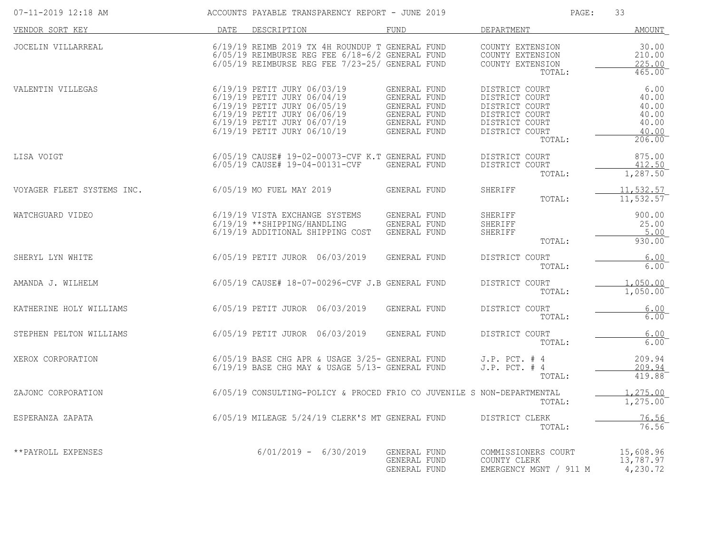| 07-11-2019 12:18 AM        |      | ACCOUNTS PAYABLE TRANSPARENCY REPORT - JUNE 2019                                                                                                                                       |                                                                                              | PAGE:                                                                                                              | 33                                                                         |
|----------------------------|------|----------------------------------------------------------------------------------------------------------------------------------------------------------------------------------------|----------------------------------------------------------------------------------------------|--------------------------------------------------------------------------------------------------------------------|----------------------------------------------------------------------------|
| VENDOR SORT KEY            | DATE | DESCRIPTION                                                                                                                                                                            | FUND                                                                                         | DEPARTMENT                                                                                                         | <u>AMOUNT</u>                                                              |
| JOCELIN VILLARREAL         |      | 6/19/19 REIMB 2019 TX 4H ROUNDUP T GENERAL FUND<br>$6/05/19$ REIMBURSE REG FEE $6/18-6/2$ GENERAL FUND<br>6/05/19 REIMBURSE REG FEE 7/23-25/ GENERAL FUND                              |                                                                                              | COUNTY EXTENSION<br>COUNTY EXTENSION<br>COUNTY EXTENSION<br>TOTAL:                                                 | 30.00<br>210.00<br>225.00<br>465.00                                        |
| VALENTIN VILLEGAS          |      | 6/19/19 PETIT JURY 06/03/19<br>6/19/19 PETIT JURY 06/04/19<br>6/19/19 PETIT JURY 06/05/19<br>6/19/19 PETIT JURY 06/06/19<br>6/19/19 PETIT JURY 06/07/19<br>6/19/19 PETIT JURY 06/10/19 | GENERAL FUND<br>GENERAL FUND<br>GENERAL FUND<br>GENERAL FUND<br>GENERAL FUND<br>GENERAL FUND | DISTRICT COURT<br>DISTRICT COURT<br>DISTRICT COURT<br>DISTRICT COURT<br>DISTRICT COURT<br>DISTRICT COURT<br>TOTAL: | 6.00<br>40.00<br>40.00<br>40.00<br>40.00<br>40.00<br>$206.00$ <sup>-</sup> |
| LISA VOIGT                 |      | 6/05/19 CAUSE# 19-02-00073-CVF K.T GENERAL FUND<br>6/05/19 CAUSE# 19-04-00131-CVF                                                                                                      | GENERAL FUND                                                                                 | DISTRICT COURT<br>DISTRICT COURT<br>TOTAL:                                                                         | 875.00<br>412.50<br>1,287.50                                               |
| VOYAGER FLEET SYSTEMS INC. |      | 6/05/19 MO FUEL MAY 2019                                                                                                                                                               | GENERAL FUND                                                                                 | SHERIFF<br>TOTAL:                                                                                                  | 11,532.57<br>11, 532.57                                                    |
| WATCHGUARD VIDEO           |      | 6/19/19 VISTA EXCHANGE SYSTEMS<br>6/19/19 ** SHIPPING/HANDLING<br>6/19/19 ADDITIONAL SHIPPING COST                                                                                     | GENERAL FUND<br>GENERAL FUND<br>GENERAL FUND                                                 | SHERIFF<br>SHERIFF<br>SHERIFF<br>TOTAL:                                                                            | 900.00<br>25.00<br>5.00<br>930.00                                          |
| SHERYL LYN WHITE           |      | 6/05/19 PETIT JUROR 06/03/2019                                                                                                                                                         | GENERAL FUND                                                                                 | DISTRICT COURT<br>TOTAL:                                                                                           | 6.00<br>6.00                                                               |
| AMANDA J. WILHELM          |      | 6/05/19 CAUSE# 18-07-00296-CVF J.B GENERAL FUND                                                                                                                                        |                                                                                              | DISTRICT COURT<br>TOTAL:                                                                                           | 1,050.00<br>1,050.00                                                       |
| KATHERINE HOLY WILLIAMS    |      | 6/05/19 PETIT JUROR 06/03/2019                                                                                                                                                         | GENERAL FUND                                                                                 | DISTRICT COURT<br>TOTAL:                                                                                           | 6.00<br>6.00                                                               |
| STEPHEN PELTON WILLIAMS    |      | 6/05/19 PETIT JUROR 06/03/2019                                                                                                                                                         | GENERAL FUND                                                                                 | DISTRICT COURT<br>TOTAL:                                                                                           | 6.00<br>6.00                                                               |
| XEROX CORPORATION          |      | 6/05/19 BASE CHG APR & USAGE 3/25- GENERAL FUND<br>6/19/19 BASE CHG MAY & USAGE 5/13- GENERAL FUND                                                                                     |                                                                                              | $J.P.$ PCT. $#4$<br>$J.P.$ PCT. $#4$<br>TOTAL:                                                                     | 209.94<br>209.94<br>419.88                                                 |
| ZAJONC CORPORATION         |      | 6/05/19 CONSULTING-POLICY & PROCED FRIO CO JUVENILE S NON-DEPARTMENTAL                                                                                                                 |                                                                                              | TOTAL:                                                                                                             | 1,275.00<br>1,275.00                                                       |
| ESPERANZA ZAPATA           |      | 6/05/19 MILEAGE 5/24/19 CLERK'S MT GENERAL FUND                                                                                                                                        |                                                                                              | DISTRICT CLERK<br>TOTAL:                                                                                           | 76.56<br>76.56                                                             |
| **PAYROLL EXPENSES         |      | $6/01/2019 - 6/30/2019$                                                                                                                                                                | GENERAL FUND<br>GENERAL FUND<br>GENERAL FUND                                                 | COMMISSIONERS COURT<br>COUNTY CLERK<br>EMERGENCY MGNT / 911 M                                                      | 15,608.96<br>13,787.97<br>4,230.72                                         |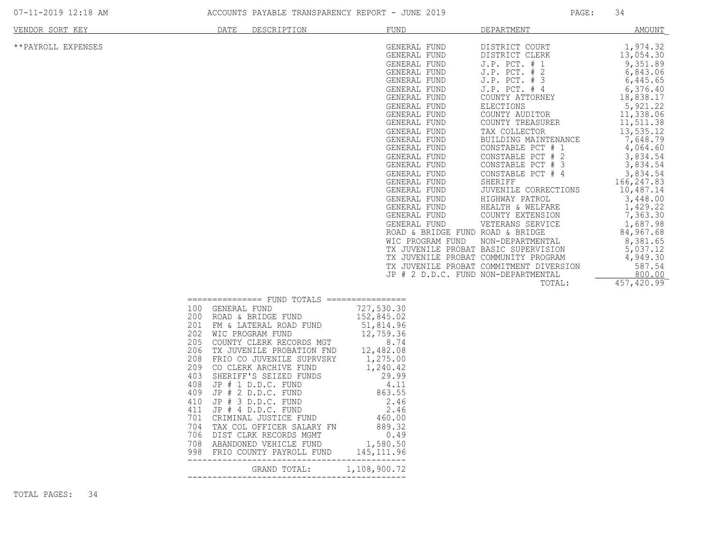|  | 07-11-2019 12:18 AM |  |
|--|---------------------|--|
|  |                     |  |

ACCOUNTS PAYABLE TRANSPARENCY REPORT - JUNE 2019 PAGE: 34

| VENDOR SORT KEY    | DATE                                                                      | DESCRIPTION                                                                                                                                                                                                                                                                                                                         | FUND                                                                                                                                                                                                                                                                                                                                                                                                                                                                                                                                        | DEPARTMENT                                                                                                                                                                                                                                                                                                                                                                                                                                                                                                     | <b>AMOUNT</b>                                                                                                                                                                                                                                                                                                                                                    |
|--------------------|---------------------------------------------------------------------------|-------------------------------------------------------------------------------------------------------------------------------------------------------------------------------------------------------------------------------------------------------------------------------------------------------------------------------------|---------------------------------------------------------------------------------------------------------------------------------------------------------------------------------------------------------------------------------------------------------------------------------------------------------------------------------------------------------------------------------------------------------------------------------------------------------------------------------------------------------------------------------------------|----------------------------------------------------------------------------------------------------------------------------------------------------------------------------------------------------------------------------------------------------------------------------------------------------------------------------------------------------------------------------------------------------------------------------------------------------------------------------------------------------------------|------------------------------------------------------------------------------------------------------------------------------------------------------------------------------------------------------------------------------------------------------------------------------------------------------------------------------------------------------------------|
| **PAYROLL EXPENSES |                                                                           |                                                                                                                                                                                                                                                                                                                                     | GENERAL FUND<br>GENERAL FUND<br>GENERAL FUND<br>GENERAL FUND<br>GENERAL FUND<br>GENERAL FUND<br>GENERAL FUND<br>GENERAL FUND<br>GENERAL FUND<br>GENERAL FUND<br>GENERAL FUND<br>GENERAL FUND<br>GENERAL FUND<br>GENERAL FUND<br>GENERAL FUND<br>GENERAL FUND<br>GENERAL FUND<br>GENERAL FUND<br>GENERAL FUND<br>GENERAL FUND<br>GENERAL FUND<br>GENERAL FUND<br>ROAD & BRIDGE FUND ROAD & BRIDGE<br>WIC PROGRAM FUND<br>TX JUVENILE PROBAT BASIC SUPERVISION<br>TX JUVENILE PROBAT COMMUNITY PROGRAM<br>JP # 2 D.D.C. FUND NON-DEPARTMENTAL | DISTRICT COURT<br>DISTRICT CLERK<br>J.P. PCT. # 1<br>J.P. PCT. # 2<br>$J.P.$ PCT. $# 3$<br>J.P. PCT. # 4<br>COUNTY ATTORNEY<br><b>ELECTIONS</b><br>COUNTY AUDITOR<br>COUNTY TREASURER<br>TAX COLLECTOR<br>BUILDING MAINTENANCE<br>CONSTABLE PCT # 1<br>CONSTABLE PCT # 2<br>CONSTABLE PCT # 3<br>CONSTABLE PCT<br>#4<br>SHERIFF<br>JUVENILE CORRECTIONS<br>HIGHWAY PATROL<br>HEALTH & WELFARE<br>COUNTY EXTENSION<br>VETERANS SERVICE<br>NON-DEPARTMENTAL<br>TX JUVENILE PROBAT COMMITMENT DIVERSION<br>TOTAL: | 1,974.32<br>13,054.30<br>9,351.89<br>6,843.06<br>6,445.65<br>6,376.40<br>18,838.17<br>5,921.22<br>11,338.06<br>11,511.38<br>13,535.12<br>7,648.79<br>4,064.60<br>3,834.54<br>3,834.54<br>3,834.54<br>166,247.83<br>10,487.14<br>3,448.00<br>1,429.22<br>7,363.30<br>1,687.98<br>84,967.68<br>8,381.65<br>5,037.12<br>4,949.30<br>587.54<br>800.00<br>457, 420.99 |
|                    | 100<br>200<br>201<br>202<br>205<br>206<br>208<br>209<br>403<br>408<br>409 | ================ FUND TOTALS =================<br>GENERAL FUND<br>ROAD & BRIDGE FUND<br>FM & LATERAL ROAD FUND<br>WIC PROGRAM FUND<br>COUNTY CLERK RECORDS MGT<br>TX JUVENILE PROBATION FND<br>FRIO CO JUVENILE SUPRVSRY<br>CO CLERK ARCHIVE FUND<br>SHERIFF'S SEIZED FUNDS<br>JP $# 1 D.D.C. FUND$<br>$JP$ $#$ $2$ $D.D.C.$ $FUND$ | 727,530.30<br>152,845.02<br>51,814.96<br>12,759.36<br>8.74<br>12,482.08<br>1,275.00<br>1,240.42<br>29.99<br>4.11<br>863.55                                                                                                                                                                                                                                                                                                                                                                                                                  |                                                                                                                                                                                                                                                                                                                                                                                                                                                                                                                |                                                                                                                                                                                                                                                                                                                                                                  |

--------------------------------------------

--------------------------------------------

GRAND TOTAL: 1,108,900.72

410 JP # 3 D.D.C. FUND 2.46 411 JP # 4 D.D.C. FUND 2.46 701 CRIMINAL JUSTICE FUND 460.00 704 TAX COL OFFICER SALARY FN 889.32 706 DIST CLRK RECORDS MGMT 0.49 708 ABANDONED VEHICLE FUND 1,580.50 998 FRIO COUNTY PAYROLL FUND 145,111.96

TOTAL PAGES: 34